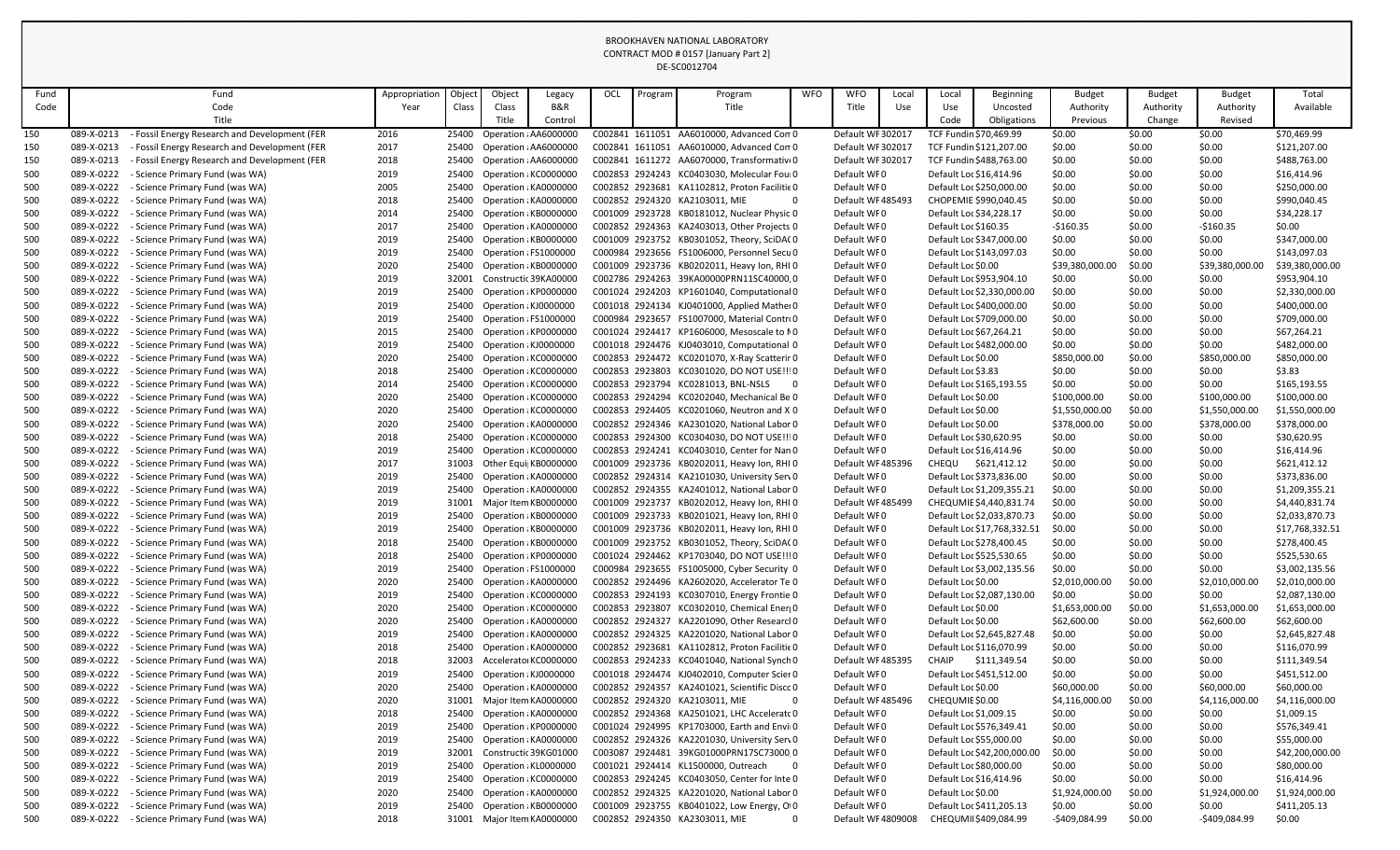| Fund       |                          | Fund                                                               | Appropriation | Object         | Object                                         | Legacy  | OCL | Program | Program                                                                                     | <b>WFO</b> | <b>WFO</b>                 | Local | Local                                         | Beginning                   | <b>Budget</b>            | <b>Budget</b>    | <b>Budget</b>            | Total                      |
|------------|--------------------------|--------------------------------------------------------------------|---------------|----------------|------------------------------------------------|---------|-----|---------|---------------------------------------------------------------------------------------------|------------|----------------------------|-------|-----------------------------------------------|-----------------------------|--------------------------|------------------|--------------------------|----------------------------|
| Code       |                          | Code                                                               | Year          | Class          | Class                                          | B&R     |     |         | Title                                                                                       |            | Title                      | Use   | Use                                           | Uncosted                    | Authority                | Authority        | Authority                | Available                  |
|            |                          | Title                                                              |               |                | Title                                          | Control |     |         |                                                                                             |            |                            |       | Code                                          | Obligations                 | Previous                 | Change           | Revised                  |                            |
| 150        | 089-X-0213               | Fossil Energy Research and Development (FER                        | 2016          |                | 25400 Operation : AA6000000                    |         |     |         | C002841 1611051 AA6010000, Advanced Con 0                                                   |            | Default WF 302017          |       | TCF Fundin \$70,469.99                        |                             | \$0.00                   | \$0.00           | \$0.00                   | \$70,469.99                |
| 150        | 089-X-0213               | Fossil Energy Research and Development (FER                        | 2017          |                | 25400 Operation ¿AA6000000                     |         |     |         | C002841 1611051 AA6010000, Advanced Con 0                                                   |            | Default WF 302017          |       |                                               | TCF Fundin \$121,207.00     | \$0.00                   | \$0.00           | \$0.00                   | \$121,207.00               |
| 150        | 089-X-0213               | Fossil Energy Research and Development (FER                        | 2018          | 25400          | Operation : AA6000000                          |         |     |         | C002841 1611272 AA6070000, Transformativ(0                                                  |            | Default WF 302017          |       | TCF Fundin \$488,763.00                       |                             | \$0.00                   | \$0.00           | \$0.00                   | \$488,763.00               |
| 500        | 089-X-0222               | - Science Primary Fund (was WA)                                    | 2019          | 25400          | Operation : KC0000000                          |         |     |         | C002853 2924243 KC0403030, Molecular Foul0                                                  |            | Default WF0                |       | Default Loc \$16,414.96                       |                             | \$0.00                   | \$0.00           | \$0.00                   | \$16,414.96                |
| 500        | 089-X-0222               | - Science Primary Fund (was WA)                                    | 2005          | 25400          | Operation : KA0000000                          |         |     |         | C002852 2923681 KA1102812, Proton Facilitie 0                                               |            | Default WFO                |       | Default Loc \$250,000.00                      |                             | \$0.00                   | \$0.00           | \$0.00                   | \$250,000.00               |
| 500        | 089-X-0222               | - Science Primary Fund (was WA)                                    | 2018          | 25400          | Operation : KA0000000                          |         |     |         | C002852 2924320 KA2103011, MIE                                                              |            | Default WF 485493          |       | CHOPEMIE \$990,040.45                         |                             | \$0.00                   | \$0.00           | \$0.00                   | \$990,040.45               |
| 500        | 089-X-0222               | Science Primary Fund (was WA)                                      | 2014          | 25400          | Operation : KB0000000                          |         |     |         | C001009 2923728 KB0181012, Nuclear Physic 0                                                 |            | Default WF0                |       | Default Loc \$34,228.17                       |                             | \$0.00                   | \$0.00           | \$0.00                   | \$34,228.17                |
| 500        | 089-X-0222               | - Science Primary Fund (was WA)                                    | 2017          | 25400          | Operation : KA0000000                          |         |     |         | C002852 2924363 KA2403013, Other Projects 0                                                 |            | Default WF0                |       | Default Loc \$160.35                          |                             | $-5160.35$               | \$0.00           | $-$160.35$               | \$0.00                     |
| 500        | 089-X-0222               | - Science Primary Fund (was WA)                                    | 2019          | 25400          | Operation : KB0000000                          |         |     |         | C001009 2923752 KB0301052, Theory, SciDA(0                                                  |            | Default WF0                |       | Default Loc \$347,000.00                      |                             | \$0.00                   | \$0.00           | \$0.00                   | \$347,000.00               |
| 500        | 089-X-0222               | Science Primary Fund (was WA)                                      | 2019          | 25400          | Operation : FS1000000                          |         |     |         | C000984 2923656 FS1006000, Personnel Secu0                                                  |            | Default WF0                |       | Default Loc \$143,097.03                      |                             | \$0.00                   | \$0.00           | \$0.00                   | \$143,097.03               |
| 500        | 089-X-0222               | - Science Primary Fund (was WA)                                    | 2020          | 25400          | Operation : KB0000000                          |         |     |         | C001009 2923736 KB0202011, Heavy Ion, RHI 0                                                 |            | Default WF0                |       | Default Loc \$0.00                            |                             | \$39,380,000.0           | \$0.00           | \$39,380,000.00          | \$39,380,000.00            |
| 500        | 089-X-0222               | - Science Primary Fund (was WA)                                    | 2019          | 32001          | Constructic 39KA00000                          |         |     |         | C002786 2924263 39KA00000PRN11SC40000,0                                                     |            | Default WF0                |       | Default Loc \$953,904.10                      |                             | \$0.00                   | \$0.00           | \$0.00                   | \$953,904.10               |
| 500        | 089-X-0222               | - Science Primary Fund (was WA)                                    | 2019          | 25400          | Operation : KP0000000                          |         |     |         | C001024 2924203 KP1601040, Computational 0                                                  |            | Default WF0                |       |                                               | Default Loc \$2,330,000.00  | \$0.00                   | \$0.00           | \$0.00                   | \$2,330,000.00             |
| 500        | 089-X-0222               | - Science Primary Fund (was WA)                                    | 2019          | 25400          | Operation : KJ0000000                          |         |     |         | C001018 2924134 KJ0401000, Applied Mather 0                                                 |            | Default WF0                |       | Default Loc \$400,000.00                      |                             | \$0.00                   | \$0.00           | \$0.00                   | \$400,000.00               |
| 500        | 089-X-0222               | - Science Primary Fund (was WA)                                    | 2019          | 25400          | Operation : FS1000000                          |         |     |         | C000984 2923657 FS1007000, Material Contro                                                  |            | Default WF0                |       | Default Loc \$709,000.00                      |                             | \$0.00                   | \$0.00           | \$0.00                   | \$709,000.00               |
| 500        | 089-X-0222               | - Science Primary Fund (was WA)                                    | 2015          | 25400          | Operation : KP0000000                          |         |     |         | C001024 2924417 KP1606000, Mesoscale to NO                                                  |            | Default WF0                |       | Default Loc \$67,264.21                       |                             | \$0.00                   | \$0.00           | \$0.00                   | \$67,264.21                |
| 500        | 089-X-0222               | - Science Primary Fund (was WA)                                    | 2019          | 25400          | Operation : KJ0000000                          |         |     |         | C001018 2924476 KJ0403010, Computational 0                                                  |            | Default WF0                |       | Default Loc \$482,000.00                      |                             | \$0.00                   | \$0.00           | \$0.00                   | \$482,000.00               |
| 500        | 089-X-0222               | Science Primary Fund (was WA)                                      | 2020          | 25400          | Operation : KC0000000                          |         |     |         | C002853 2924472 KC0201070, X-Ray Scatterir 0                                                |            | Default WF0                |       | Default Loc \$0.00                            |                             | \$850,000.00             | \$0.00           | \$850,000.00             | \$850,000.00               |
| 500        | 089-X-0222               | - Science Primary Fund (was WA)                                    | 2018          | 25400          | Operation : KC0000000                          |         |     |         | C002853 2923803 KC0301020, DO NOT USE !!! 0                                                 |            | Default WF0                |       | Default Loc \$3.83                            |                             | \$0.00                   | \$0.00           | \$0.00                   | \$3.83                     |
| 500        | 089-X-0222               | - Science Primary Fund (was WA)                                    | 2014          | 25400          | Operation : KC0000000                          |         |     |         | C002853 2923794 KC0281013, BNL-NSLS                                                         |            | Default WF0                |       | Default Loc \$165,193.55                      |                             | \$0.00                   | \$0.00           | \$0.00                   | \$165,193.55               |
| 500        | 089-X-0222               | - Science Primary Fund (was WA)                                    | 2020          | 25400          | Operation : KC0000000                          |         |     |         | C002853 2924294 KC0202040, Mechanical Be 0                                                  |            | Default WF0                |       | Default Loc \$0.00                            |                             | \$100,000.00             | \$0.00           | \$100,000.00             | \$100,000.00               |
| 500        | 089-X-0222               | - Science Primary Fund (was WA)                                    | 2020          | 25400          | Operation : KC0000000                          |         |     |         | C002853 2924405 KC0201060, Neutron and X 0                                                  |            | Default WF0                |       | Default Loc \$0.00                            |                             | \$1,550,000.00           | \$0.00           | \$1,550,000.00           | \$1,550,000.00             |
| 500        | 089-X-0222               | - Science Primary Fund (was WA)                                    | 2020          |                | 25400 Operation ¿KA0000000                     |         |     |         | C002852 2924346 KA2301020, National Labor 0                                                 |            | Default WF0                |       | Default Loc \$0.00                            |                             | \$378,000.00             | \$0.00           | \$378,000.00             | \$378,000.00               |
| 500        | 089-X-0222               | - Science Primary Fund (was WA)                                    | 2018          |                | 25400 Operation : KC0000000                    |         |     |         | C002853 2924300 KC0304030, DO NOT USE !!! 0                                                 |            | Default WF0                |       | Default Loc \$30,620.95                       |                             | \$0.00                   | \$0.00           | \$0.00                   | \$30,620.95                |
| 500        | 089-X-0222               | - Science Primary Fund (was WA)                                    | 2019          | 25400          | Operation : KC0000000                          |         |     |         | C002853 2924241 KC0403010, Center for Nan 0                                                 |            | Default WF0                |       | Default Loc \$16,414.96                       |                             | \$0.00                   | \$0.00           | \$0.00                   | \$16,414.96                |
| 500        | 089-X-0222               | - Science Primary Fund (was WA)                                    | 2017          | 31003          | Other Equi <sub>l</sub> KB0000000              |         |     |         | C001009 2923736 KB0202011, Heavy Ion, RHI 0                                                 |            | Default WF485396           |       | CHEQU                                         | \$621,412.12                | \$0.00                   | \$0.00           | \$0.00                   | \$621,412.12               |
| 500        | 089-X-0222               | Science Primary Fund (was WA)                                      | 2019          | 25400          | Operation : KA0000000                          |         |     |         | C002852 2924314 KA2101030, University Serv0                                                 |            | Default WF0                |       | Default Loc \$373,836.00                      |                             | \$0.00                   | \$0.00           | \$0.00                   | \$373,836.00               |
| 500        | 089-X-0222               | - Science Primary Fund (was WA)                                    | 2019          |                | 25400 Operation ¿KA0000000                     |         |     |         | C002852 2924355 KA2401012, National Labor 0                                                 |            | Default WF0                |       |                                               | Default Loc \$1,209,355.21  | \$0.00                   | \$0.00           | \$0.00                   | \$1,209,355.21             |
| 500        | 089-X-0222               | Science Primary Fund (was WA)                                      | 2019          | 31001          | Major Item KB0000000                           |         |     |         | C001009 2923737 KB0202012, Heavy Ion, RHI 0                                                 |            | Default WF 485499          |       |                                               | CHEQUMIE \$4,440,831.74     | \$0.00                   | \$0.00           | \$0.00                   | \$4,440,831.74             |
| 500        | 089-X-0222               | - Science Primary Fund (was WA)                                    | 2019          |                | 25400 Operation : KB0000000                    |         |     |         | C001009 2923733 KB0201021, Heavy Ion, RHI 0                                                 |            | Default WF0                |       |                                               | Default Loc \$2,033,870.73  | \$0.00                   | \$0.00           | \$0.00                   | \$2,033,870.73             |
| 500        | 089-X-0222               | - Science Primary Fund (was WA)                                    | 2019          |                | 25400 Operation : KB0000000                    |         |     |         | C001009 2923736 KB0202011, Heavy Ion, RHI 0                                                 |            | Default WF0                |       |                                               | Default Loc \$17,768,332.51 | \$0.00                   | \$0.00           | \$0.00                   | \$17,768,332.51            |
| 500        | 089-X-0222               | - Science Primary Fund (was WA)                                    | 2018          |                | 25400 Operation : KB0000000                    |         |     |         | C001009 2923752 KB0301052, Theory, SciDA(0                                                  |            | Default WF0                |       | Default Loc \$278,400.45                      |                             | \$0.00                   | \$0.00           | \$0.00                   | \$278,400.45               |
| 500        | 089-X-0222               | - Science Primary Fund (was WA)                                    | 2018          | 25400          | Operation : KP0000000                          |         |     |         | C001024 2924462 KP1703040, DO NOT USE !!! 0                                                 |            | Default WF0                |       | Default Loc \$525,530.65                      |                             | \$0.00                   | \$0.00           | \$0.00                   | \$525,530.65               |
| 500        | 089-X-0222               | Science Primary Fund (was WA)                                      | 2019          | 25400          | Operation : FS1000000                          |         |     |         | C000984 2923655 FS1005000, Cyber Security 0                                                 |            | Default WF0                |       |                                               | Default Loc \$3,002,135.56  | \$0.00                   | \$0.00           | \$0.00                   | \$3,002,135.56             |
| 500        | 089-X-0222               | Science Primary Fund (was WA)                                      | 2020          | 25400          | Operation : KA0000000                          |         |     |         | C002852 2924496 KA2602020, Accelerator Te 0                                                 |            | Default WF0                |       | Default Loc \$0.00                            |                             | \$2,010,000.00           | \$0.00           | \$2,010,000.00           | \$2,010,000.00             |
| 500        | 089-X-0222               | - Science Primary Fund (was WA)                                    | 2019          | 25400          | Operation : KC0000000                          |         |     |         | C002853 2924193 KC0307010, Energy Frontie 0                                                 |            | Default WF0                |       |                                               | Default Loc \$2,087,130.00  | \$0.00                   | \$0.00           | \$0.00                   | \$2,087,130.00             |
| 500        | 089-X-0222               | - Science Primary Fund (was WA)                                    | 2020          |                | 25400 Operation : KC0000000                    |         |     |         | C002853 2923807 KC0302010, Chemical Ener(0                                                  |            | Default WF0                |       | Default Loc \$0.00                            |                             | \$1,653,000.00           | \$0.00           | \$1,653,000.00           | \$1,653,000.00             |
| 500        | 089-X-0222               | - Science Primary Fund (was WA)                                    | 2020          |                | 25400 Operation ¿KA0000000                     |         |     |         | C002852 2924327 KA2201090, Other Researcl 0                                                 |            | Default WF0                |       | Default Loc \$0.00                            |                             | \$62,600.00              | \$0.00           | \$62,600.00              | \$62,600.00                |
| 500        | 089-X-0222               | - Science Primary Fund (was WA)                                    | 2019          | 25400          | Operation : KA0000000                          |         |     |         | C002852 2924325 KA2201020, National Labor 0                                                 |            | Default WF0                |       |                                               | Default Loc \$2,645,827.48  | \$0.00                   | \$0.00           | \$0.00                   | \$2,645,827.48             |
| 500        | 089-X-0222               | - Science Primary Fund (was WA)                                    | 2018          | 25400          | Operation : KA0000000                          |         |     |         | C002852 2923681 KA1102812, Proton Facilitie 0                                               |            | Default WF0                |       | Default Loc \$116,070.99                      |                             | \$0.00                   | \$0.00           | \$0.00                   | \$116,070.99               |
| 500        | 089-X-0222               | Science Primary Fund (was WA)                                      | 2018          | 32003          | Acceleratoi KC0000000                          |         |     |         | C002853 2924233 KC0401040, National Synch 0                                                 |            | Default WF 485395          |       | CHAIP                                         | \$111,349.54                | \$0.00                   | \$0.00           | \$0.00                   | \$111,349.54               |
| 500        | 089-X-0222               | - Science Primary Fund (was WA)                                    | 2019          | 25400          | Operation : KJ0000000                          |         |     |         | C001018 2924474 KJ0402010, Computer Scier 0                                                 |            | Default WF0                |       | Default Loc \$451,512.00                      |                             | \$0.00                   | \$0.00           | \$0.00                   | \$451,512.00               |
| 500        | 089-X-0222               | Science Primary Fund (was WA)                                      | 2020          | 25400          | Operation : KA0000000                          |         |     |         | C002852 2924357 KA2401021, Scientific Discc 0                                               |            | Default WF0                |       | Default Loc \$0.00                            |                             | \$60,000.00              | \$0.00           | \$60,000.00              | \$60,000.00                |
| 500        | 089-X-0222               | - Science Primary Fund (was WA)                                    | 2020          | 31001          | Major Item KA0000000                           |         |     |         | C002852 2924320 KA2103011, MIE                                                              |            | Default WF 485496          |       | CHEQUMIE \$0.00                               |                             | \$4,116,000.00           | \$0.00           | \$4,116,000.00           | \$4,116,000.00             |
| 500        | 089-X-0222               | - Science Primary Fund (was WA)                                    | 2018          | 25400          | Operation : KA0000000                          |         |     |         | C002852 2924368 KA2501021, LHC Acceleratc 0                                                 |            | Default WF0                |       | Default Loc \$1,009.15                        |                             | \$0.00                   | \$0.00           | \$0.00                   | \$1,009.15                 |
| 500        | 089-X-0222               | Science Primary Fund (was WA)                                      | 2019          | 25400          | Operation : KP0000000                          |         |     |         | C001024 2924995 KP1703000, Earth and Envil 0                                                |            | Default WF0                |       | Default Loc \$576,349.41                      |                             | \$0.00                   | \$0.00           | \$0.00                   | \$576,349.41               |
| 500        | 089-X-0222               | - Science Primary Fund (was WA)                                    | 2019          | 25400          | Operation : KA0000000                          |         |     |         | C002852 2924326 KA2201030, University Serv0                                                 |            | Default WF0                |       | Default Loc \$55,000.00                       |                             | \$0.00                   | \$0.00           | \$0.00                   | \$55,000.00                |
| 500        | 089-X-0222               | - Science Primary Fund (was WA)                                    | 2019          | 32001          | Constructic 39KG01000                          |         |     |         | C003087 2924481 39KG01000PRN17SC730000                                                      |            | Default WF0                |       |                                               | Default Loc \$42,200,000.00 | \$0.00                   | \$0.00           | \$0.00                   | \$42,200,000.00            |
| 500        | 089-X-0222<br>089-X-0222 | - Science Primary Fund (was WA)                                    | 2019          |                | 25400 Operation : KL0000000                    |         |     |         | C001021 2924414 KL1500000, Outreach                                                         | - 0        | Default WF0<br>Default WF0 |       | Default Loc \$80,000.00                       |                             | \$0.00                   | \$0.00           | \$0.00                   | \$80,000.00<br>\$16,414.96 |
| 500<br>500 | 089-X-0222               | - Science Primary Fund (was WA)<br>- Science Primary Fund (was WA) | 2019<br>2020  | 25400<br>25400 | Operation : KC0000000<br>Operation : KA0000000 |         |     |         | C002853 2924245 KC0403050, Center for Inte 0<br>C002852 2924325 KA2201020, National Labor 0 |            | Default WF0                |       | Default Loc \$16,414.96<br>Default Loc \$0.00 |                             | \$0.00<br>\$1,924,000.00 | \$0.00<br>\$0.00 | \$0.00<br>\$1,924,000.00 | \$1,924,000.00             |
| 500        | 089-X-0222               | Science Primary Fund (was WA)                                      | 2019          | 25400          | Operation : KB0000000                          |         |     |         | C001009 2923755 KB0401022, Low Energy, O10                                                  |            | Default WF0                |       | Default Loc \$411,205.13                      |                             | \$0.00                   | \$0.00           | \$0.00                   | \$411,205.13               |
| 500        | 089-X-0222               | - Science Primary Fund (was WA)                                    | 2018          | 31001          | Major Item KA0000000                           |         |     |         | C002852 2924350 KA2303011, MIE                                                              | $\Omega$   | Default WF 4809008         |       | CHEQUMII\$409,084.99                          |                             | -\$409,084.99            | \$0.00           | -\$409,084.99            | \$0.00                     |
|            |                          |                                                                    |               |                |                                                |         |     |         |                                                                                             |            |                            |       |                                               |                             |                          |                  |                          |                            |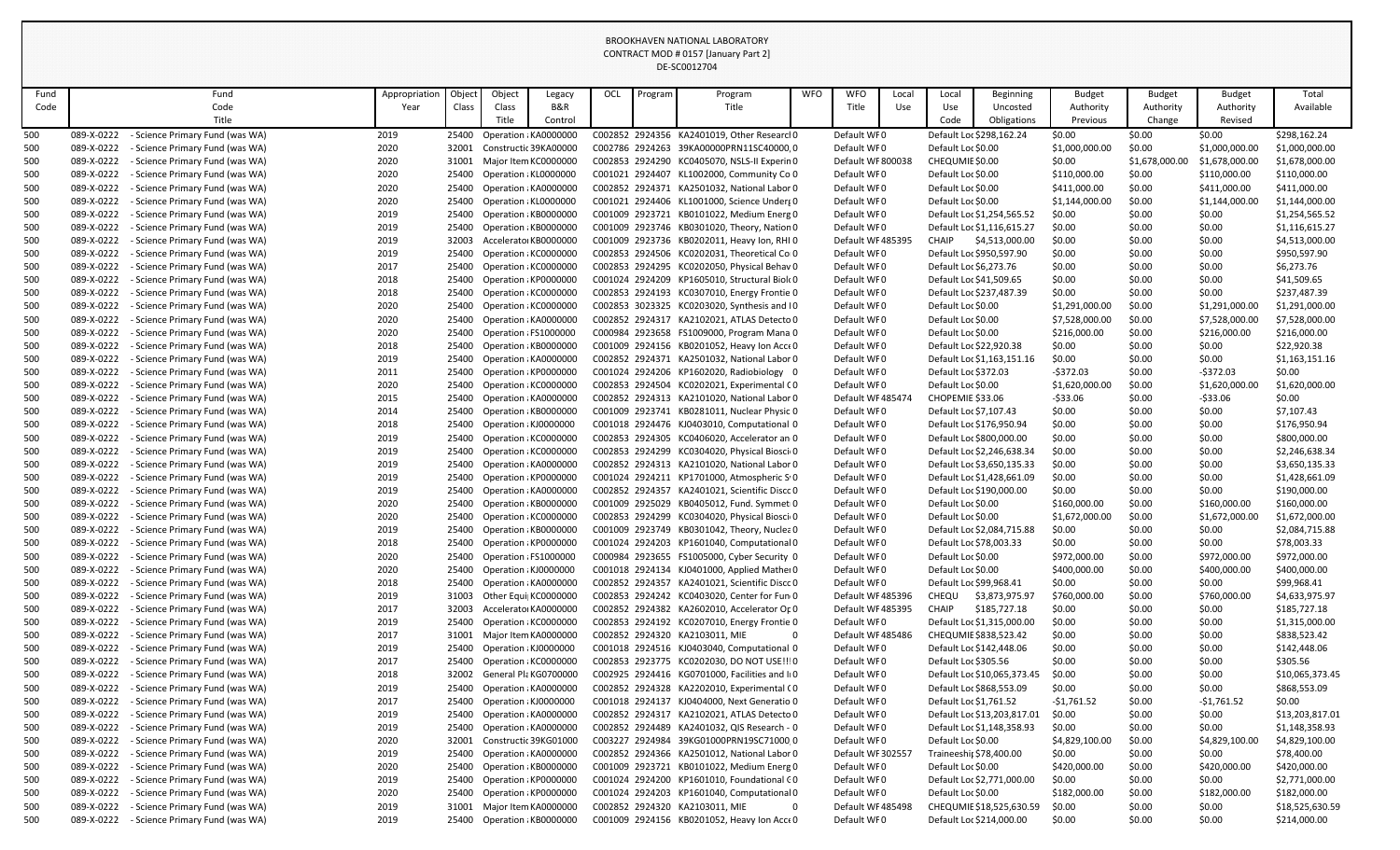| Fund       | Fund                                                                                           | Appropriation | Object         | Object                                         | Legacy  | OCL | Program | Program                                                                                     | <b>WFO</b> | <b>WFO</b>                      | Local | Local                   | <b>Beginning</b>                                        | <b>Budget</b>    | <b>Budget</b>    | <b>Budget</b>    | Total                           |
|------------|------------------------------------------------------------------------------------------------|---------------|----------------|------------------------------------------------|---------|-----|---------|---------------------------------------------------------------------------------------------|------------|---------------------------------|-------|-------------------------|---------------------------------------------------------|------------------|------------------|------------------|---------------------------------|
| Code       | Code                                                                                           | Year          | Class          | Class                                          | B&R     |     |         | Title                                                                                       |            | Title                           | Use   | Use                     | Uncosted                                                | Authority        | Authority        | Authority        | Available                       |
|            | Title                                                                                          |               |                | Title                                          | Control |     |         |                                                                                             |            |                                 |       | Code                    | Obligations                                             | Previous         | Change           | Revised          |                                 |
| 500        | 089-X-0222<br>- Science Primary Fund (was WA)                                                  | 2019          |                | 25400 Operation : KA0000000                    |         |     |         | C002852 2924356 KA2401019, Other Researcl 0                                                 |            | Default WF0                     |       |                         | Default Loc \$298,162.24                                | \$0.00           | \$0.00           | \$0.00           | \$298,162.24                    |
| 500        | 089-X-0222<br>- Science Primary Fund (was WA)                                                  | 2020          | 32001          | Constructic 39KA00000                          |         |     |         | C002786 2924263 39KA00000PRN11SC40000,0                                                     |            | Default WF0                     |       | Default Loc \$0.00      |                                                         | \$1,000,000.00   | \$0.00           | \$1,000,000.00   | \$1,000,000.00                  |
| 500        | 089-X-0222<br>- Science Primary Fund (was WA)                                                  | 2020          |                | 31001 Major Item KC0000000                     |         |     |         | C002853 2924290 KC0405070, NSLS-II Experin0                                                 |            | Default WF 800038               |       | CHEQUMIE \$0.00         |                                                         | \$0.00           | \$1,678,000.00   | \$1,678,000.00   | \$1,678,000.00                  |
| 500        | 089-X-0222<br>- Science Primary Fund (was WA)                                                  | 2020          | 25400          | Operation : KL0000000                          |         |     |         | C001021 2924407 KL1002000, Community Co 0                                                   |            | Default WF0                     |       | Default Loc \$0.00      |                                                         | \$110,000.00     | \$0.00           | \$110,000.00     | \$110,000.00                    |
| 500        | 089-X-0222<br>- Science Primary Fund (was WA)                                                  | 2020          |                | 25400 Operation : KA0000000                    |         |     |         | C002852 2924371 KA2501032, National Labor 0                                                 |            | Default WF0                     |       | Default Loc \$0.00      |                                                         | \$411,000.00     | \$0.00           | \$411,000.00     | \$411,000.00                    |
| 500        | 089-X-0222<br>- Science Primary Fund (was WA)                                                  | 2020          |                | 25400 Operation : KL0000000                    |         |     |         | C001021 2924406 KL1001000, Science Underg 0                                                 |            | Default WF0                     |       | Default Loc \$0.00      |                                                         | \$1,144,000.00   | \$0.00           | \$1,144,000.00   | \$1,144,000.00                  |
| 500        | 089-X-0222<br>- Science Primary Fund (was WA)                                                  | 2019          | 25400          | Operation : KB0000000                          |         |     |         | C001009 2923721 KB0101022, Medium Energ 0                                                   |            | Default WF0                     |       |                         | Default Loc \$1,254,565.52                              | \$0.00           | \$0.00           | \$0.00           | \$1,254,565.52                  |
| 500        | 089-X-0222<br>Science Primary Fund (was WA)<br>089-X-0222                                      | 2019          | 25400<br>32003 | Operation : KB0000000<br>AcceleratorKB0000000  |         |     |         | C001009 2923746 KB0301020, Theory, Nation 0                                                 |            | Default WF0<br>Default WF485395 |       | <b>CHAIP</b>            | Default Loc \$1,116,615.27                              | \$0.00           | \$0.00<br>\$0.00 | \$0.00<br>\$0.00 | \$1,116,615.27                  |
| 500<br>500 | - Science Primary Fund (was WA)<br>089-X-0222<br>- Science Primary Fund (was WA)               | 2019<br>2019  | 25400          | Operation : KC0000000                          |         |     |         | C001009 2923736 KB0202011, Heavy Ion, RHI 0<br>C002853 2924506 KC0202031, Theoretical Coro  |            | Default WF0                     |       |                         | \$4,513,000.00<br>Default Loc \$950,597.90              | \$0.00<br>\$0.00 | \$0.00           | \$0.00           | \$4,513,000.00<br>\$950,597.90  |
| 500        | 089-X-0222<br>- Science Primary Fund (was WA)                                                  | 2017          |                | 25400 Operation : KC0000000                    |         |     |         | C002853 2924295 KC0202050, Physical Behav 0                                                 |            | Default WF0                     |       | Default Loc \$6,273.76  |                                                         | \$0.00           | \$0.00           | \$0.00           | \$6,273.76                      |
| 500        | 089-X-0222<br>- Science Primary Fund (was WA)                                                  | 2018          |                | 25400 Operation : KP0000000                    |         |     |         | C001024 2924209 KP1605010, Structural Biol(0                                                |            | Default WF0                     |       | Default Loc \$41,509.65 |                                                         | \$0.00           | \$0.00           | \$0.00           | \$41,509.65                     |
| 500        | 089-X-0222<br><b>Science Primary Fund (was WA)</b>                                             | 2018          | 25400          | Operation : KC0000000                          |         |     |         | C002853 2924193 KC0307010, Energy Frontie 0                                                 |            | Default WF0                     |       |                         | Default Loc \$237,487.39                                | \$0.00           | \$0.00           | \$0.00           | \$237,487.39                    |
| 500        | 089-X-0222<br>Science Primary Fund (was WA)                                                    | 2020          | 25400          | Operation : KC0000000                          |         |     |         | C002853 3023325 KC0203020, Synthesis and IO                                                 |            | Default WF0                     |       | Default Loc \$0.00      |                                                         | \$1,291,000.00   | \$0.00           | \$1,291,000.00   | \$1,291,000.00                  |
| 500        | 089-X-0222<br>- Science Primary Fund (was WA)                                                  | 2020          | 25400          | Operation : KA0000000                          |         |     |         | C002852 2924317 KA2102021, ATLAS Detecto 0                                                  |            | Default WF0                     |       | Default Loc \$0.00      |                                                         | \$7,528,000.00   | \$0.00           | \$7,528,000.00   | \$7,528,000.00                  |
| 500        | 089-X-0222<br>- Science Primary Fund (was WA)                                                  | 2020          |                | 25400 Operation : FS1000000                    |         |     |         | C000984 2923658 FS1009000, Program Mana 0                                                   |            | Default WF0                     |       | Default Loc \$0.00      |                                                         | \$216,000.00     | \$0.00           | \$216,000.00     | \$216,000.00                    |
| 500        | 089-X-0222<br>- Science Primary Fund (was WA)                                                  | 2018          |                | 25400 Operation : KB0000000                    |         |     |         | C001009 2924156 KB0201052, Heavy Ion Acce 0                                                 |            | Default WF0                     |       | Default Loc \$22,920.38 |                                                         | \$0.00           | \$0.00           | \$0.00           | \$22,920.38                     |
| 500        | 089-X-0222<br>- Science Primary Fund (was WA)                                                  | 2019          | 25400          | Operation : KA0000000                          |         |     |         | C002852 2924371 KA2501032, National Labor 0                                                 |            | Default WF0                     |       |                         | Default Loc \$1,163,151.16                              | \$0.00           | \$0.00           | \$0.00           | \$1,163,151.16                  |
| 500        | 089-X-0222<br>- Science Primary Fund (was WA)                                                  | 2011          |                | 25400 Operation ¿KP0000000                     |         |     |         | C001024 2924206 KP1602020, Radiobiology 0                                                   |            | Default WF0                     |       | Default Loc \$372.03    |                                                         | $-$ \$372.03     | \$0.00           | $-5372.03$       | \$0.00                          |
| 500        | 089-X-0222<br>Science Primary Fund (was WA)                                                    | 2020          |                | 25400 Operation : KC0000000                    |         |     |         | C002853 2924504 KC0202021, Experimental CO                                                  |            | Default WF0                     |       | Default Loc \$0.00      |                                                         | \$1,620,000.00   | \$0.00           | \$1,620,000.00   | \$1,620,000.00                  |
| 500        | 089-X-0222<br>- Science Primary Fund (was WA)                                                  | 2015          | 25400          | Operation : KA0000000                          |         |     |         | C002852 2924313 KA2101020, National Labor 0                                                 |            | Default WF 485474               |       | CHOPEMIE \$33.06        |                                                         | -\$33.06         | \$0.00           | $-533.06$        | \$0.00                          |
| 500        | 089-X-0222<br>- Science Primary Fund (was WA)                                                  | 2014          |                | 25400 Operation : KB0000000                    |         |     |         | C001009 2923741 KB0281011, Nuclear Physic 0                                                 |            | Default WF0                     |       | Default Loc \$7,107.43  |                                                         | \$0.00           | \$0.00           | \$0.00           | \$7,107.43                      |
| 500        | 089-X-0222<br>- Science Primary Fund (was WA)                                                  | 2018          |                | 25400 Operation ¿KJ0000000                     |         |     |         | C001018 2924476 KJ0403010, Computational 0                                                  |            | Default WF0                     |       |                         | Default Loc \$176,950.94                                | \$0.00           | \$0.00           | \$0.00           | \$176,950.94                    |
| 500        | 089-X-0222<br>- Science Primary Fund (was WA)                                                  | 2019          | 25400          | Operation : KC0000000                          |         |     |         | C002853 2924305 KC0406020, Accelerator an 0                                                 |            | Default WF0                     |       |                         | Default Loc \$800,000.00                                | \$0.00           | \$0.00           | \$0.00           | \$800,000.00                    |
| 500        | 089-X-0222<br>- Science Primary Fund (was WA)                                                  | 2019          | 25400          | Operation : KC0000000                          |         |     |         | C002853 2924299 KC0304020, Physical Biosci 0                                                |            | Default WF0                     |       |                         | Default Loc \$2,246,638.34                              | \$0.00           | \$0.00           | \$0.00           | \$2,246,638.34                  |
| 500        | 089-X-0222<br>- Science Primary Fund (was WA)                                                  | 2019          |                | 25400 Operation : KA0000000                    |         |     |         | C002852 2924313 KA2101020, National Labor 0                                                 |            | Default WF0                     |       |                         | Default Loc \$3,650,135.33                              | \$0.00           | \$0.00           | \$0.00           | \$3,650,135.33                  |
| 500        | 089-X-0222 - Science Primary Fund (was WA)                                                     | 2019          |                | 25400 Operation : KP0000000                    |         |     |         | C001024 2924211 KP1701000, Atmospheric S.0                                                  |            | Default WF0                     |       |                         | Default Loc \$1,428,661.09                              | \$0.00           | \$0.00           | \$0.00           | \$1,428,661.09                  |
| 500        | - Science Primary Fund (was WA)<br>089-X-0222                                                  | 2019          |                | 25400 Operation ¿KA0000000                     |         |     |         | C002852 2924357 KA2401021, Scientific Discc 0                                               |            | Default WF0                     |       |                         | Default Loc \$190,000.00                                | \$0.00           | \$0.00           | \$0.00           | \$190,000.00                    |
| 500        | 089-X-0222<br>- Science Primary Fund (was WA)                                                  | 2020          |                | 25400 Operation : KB0000000                    |         |     |         | C001009 2925029 KB0405012, Fund. Symmet 0                                                   |            | Default WF0                     |       | Default Loc \$0.00      |                                                         | \$160,000.00     | \$0.00           | \$160,000.00     | \$160,000.00                    |
| 500        | 089-X-0222<br>- Science Primary Fund (was WA)                                                  | 2020          |                | 25400 Operation : KC0000000                    |         |     |         | C002853 2924299 KC0304020, Physical Biosci 0                                                |            | Default WF0                     |       | Default Loc \$0.00      |                                                         | \$1,672,000.00   | \$0.00           | \$1,672,000.00   | \$1,672,000.00                  |
| 500        | 089-X-0222<br>- Science Primary Fund (was WA)                                                  | 2019          |                | 25400 Operation : KB0000000                    |         |     |         | C001009 2923749 KB0301042, Theory, Nuclea 0                                                 |            | Default WF0                     |       |                         | Default Loc \$2,084,715.88                              | \$0.00           | \$0.00           | \$0.00           | \$2,084,715.88                  |
| 500        | 089-X-0222<br>- Science Primary Fund (was WA)                                                  | 2018          | 25400          | Operation : KP0000000                          |         |     |         | C001024 2924203 KP1601040, Computational 0                                                  |            | Default WF0                     |       | Default Loc \$78,003.33 |                                                         | \$0.00           | \$0.00           | \$0.00           | \$78,003.33                     |
| 500        | 089-X-0222<br>- Science Primary Fund (was WA)                                                  | 2020          | 25400          | Operation : FS1000000                          |         |     |         | C000984 2923655 FS1005000, Cyber Security 0                                                 |            | Default WF0                     |       | Default Loc \$0.00      |                                                         | \$972,000.00     | \$0.00           | \$972,000.00     | \$972,000.00                    |
| 500        | 089-X-0222<br>- Science Primary Fund (was WA)                                                  | 2020          | 25400          | Operation : KJ0000000                          |         |     |         | C001018 2924134 KJ0401000, Applied Mather 0                                                 |            | Default WF0                     |       | Default Loc \$0.00      |                                                         | \$400,000.00     | \$0.00           | \$400,000.00     | \$400,000.00                    |
| 500        | 089-X-0222<br>- Science Primary Fund (was WA)                                                  | 2018          | 25400          | Operation : KA0000000                          |         |     |         | C002852 2924357 KA2401021, Scientific Discc 0                                               |            | Default WF0                     |       | Default Loc \$99,968.41 |                                                         | \$0.00           | \$0.00           | \$0.00           | \$99,968.41                     |
| 500        | 089-X-0222<br>- Science Primary Fund (was WA)                                                  | 2019          |                | 31003 Other Equi  KC0000000                    |         |     |         | C002853 2924242 KC0403020, Center for Fun(0                                                 |            | Default WF485396                |       | CHEQU                   | \$3,873,975.97                                          | \$760,000.00     | \$0.00           | \$760,000.00     | \$4,633,975.97                  |
| 500        | 089-X-0222<br>- Science Primary Fund (was WA)                                                  | 2017          | 32003          | Accelerator KA0000000                          |         |     |         | C002852 2924382 KA2602010, Accelerator Op0                                                  |            | Default WF485395                |       | <b>CHAIP</b>            | \$185,727.18                                            | \$0.00           | \$0.00           | \$0.00           | \$185,727.18                    |
| 500        | 089-X-0222<br>- Science Primary Fund (was WA)                                                  | 2019          | 25400          | Operation : KC0000000                          |         |     |         | C002853 2924192 KC0207010, Energy Frontie 0                                                 |            | Default WF0                     |       |                         | Default Loc \$1,315,000.00                              | \$0.00           | \$0.00           | \$0.00           | \$1,315,000.00                  |
| 500        | 089-X-0222<br>- Science Primary Fund (was WA)                                                  | 2017          |                | 31001 Major Item KA0000000                     |         |     |         | C002852 2924320 KA2103011, MIE                                                              | 0          | Default WF 485486               |       |                         | CHEQUMIE \$838,523.42                                   | \$0.00           | \$0.00           | \$0.00           | \$838,523.42                    |
| 500        | 089-X-0222<br>- Science Primary Fund (was WA)                                                  | 2019          | 25400          | Operation : KJ0000000                          |         |     |         | C001018 2924516 KJ0403040, Computational 0                                                  |            | Default WF0                     |       |                         | Default Loc \$142,448.06                                | \$0.00           | \$0.00           | \$0.00           | \$142,448.06                    |
| 500        | 089-X-0222<br>- Science Primary Fund (was WA)                                                  | 2017          |                | 25400 Operation : KC0000000                    |         |     |         | C002853 2923775 KC0202030, DO NOT USE!!! 0                                                  |            | Default WF0                     |       | Default Loc \$305.56    |                                                         | \$0.00           | \$0.00           | \$0.00           | \$305.56                        |
| 500<br>500 | 089-X-0222<br>- Science Primary Fund (was WA)<br>089-X-0222<br>- Science Primary Fund (was WA) | 2018<br>2019  | 32002<br>25400 | General Pla KG0700000<br>Operation : KA0000000 |         |     |         | C002925 2924416 KG0701000, Facilities and IIO<br>C002852 2924328 KA2202010, Experimental CO |            | Default WF0<br>Default WF0      |       |                         | Default Loc \$10,065,373.45<br>Default Loc \$868,553.09 | \$0.00<br>\$0.00 | \$0.00<br>\$0.00 | \$0.00<br>\$0.00 | \$10,065,373.45<br>\$868,553.09 |
| 500        | 089-X-0222<br>- Science Primary Fund (was WA)                                                  | 2017          |                | 25400 Operation ¿KJ0000000                     |         |     |         | C001018 2924137 KJ0404000, Next Generatio 0                                                 |            | Default WF0                     |       | Default Loc \$1,761.52  |                                                         | -\$1,761.52      | \$0.00           | $-$1,761.52$     | \$0.00                          |
| 500        | 089-X-0222<br>- Science Primary Fund (was WA)                                                  | 2019          |                | 25400 Operation : KA0000000                    |         |     |         | C002852 2924317 KA2102021, ATLAS Detecto 0                                                  |            | Default WF0                     |       |                         | Default Loc \$13,203,817.01                             | \$0.00           | \$0.00           | \$0.00           | \$13,203,817.01                 |
| 500        | 089-X-0222<br>- Science Primary Fund (was WA)                                                  | 2019          | 25400          | Operation : KA0000000                          |         |     |         | C002852 2924489 KA2401032, QIS Research - 0                                                 |            | Default WF0                     |       |                         | Default Loc \$1,148,358.93                              | \$0.00           | \$0.00           | \$0.00           | \$1,148,358.93                  |
| 500        | 089-X-0222<br>- Science Primary Fund (was WA)                                                  | 2020          | 32001          | Constructic 39KG01000                          |         |     |         | C003227 2924984 39KG01000PRN19SC71000.0                                                     |            | Default WF0                     |       | Default Loc \$0.00      |                                                         | \$4,829,100.00   | \$0.00           | \$4,829,100.00   | \$4,829,100.00                  |
| 500        | 089-X-0222<br>- Science Primary Fund (was WA)                                                  | 2019          |                | 25400 Operation : KA0000000                    |         |     |         | C002852 2924366 KA2501012, National Labor 0                                                 |            | Default WF 302557               |       | Traineeshir \$78,400.00 |                                                         | \$0.00           | \$0.00           | \$0.00           | \$78,400.00                     |
| 500        | 089-X-0222<br>- Science Primary Fund (was WA)                                                  | 2020          | 25400          | Operation : KB0000000                          |         |     |         | C001009 2923721 KB0101022, Medium Energ 0                                                   |            | Default WF0                     |       | Default Loc \$0.00      |                                                         | \$420,000.00     | \$0.00           | \$420,000.00     | \$420,000.00                    |
| 500        | 089-X-0222<br>Science Primary Fund (was WA)                                                    | 2019          |                | 25400 Operation ¿KP0000000                     |         |     |         | C001024 2924200 KP1601010, Foundational CO                                                  |            | Default WF0                     |       |                         | Default Loc \$2,771,000.00                              | \$0.00           | \$0.00           | \$0.00           | \$2,771,000.00                  |
| 500        | 089-X-0222<br>- Science Primary Fund (was WA)                                                  | 2020          |                | 25400 Operation ¿KP0000000                     |         |     |         | C001024 2924203 KP1601040, Computational 0                                                  |            | Default WF0                     |       | Default Loc \$0.00      |                                                         | \$182,000.00     | \$0.00           | \$182,000.00     | \$182,000.00                    |
| 500        | 089-X-0222<br>- Science Primary Fund (was WA)                                                  | 2019          | 31001          | Major Item KA0000000                           |         |     |         | C002852 2924320 KA2103011, MIE                                                              | 0          | Default WF 485498               |       |                         | CHEQUMIE \$18,525,630.59                                | \$0.00           | \$0.00           | \$0.00           | \$18,525,630.59                 |
| 500        | 089-X-0222<br>- Science Primary Fund (was WA)                                                  | 2019          |                | 25400 Operation : KB0000000                    |         |     |         | C001009 2924156 KB0201052, Heavy Ion Acce 0                                                 |            | Default WF0                     |       |                         | Default Loc \$214,000.00                                | \$0.00           | \$0.00           | \$0.00           | \$214,000.00                    |
|            |                                                                                                |               |                |                                                |         |     |         |                                                                                             |            |                                 |       |                         |                                                         |                  |                  |                  |                                 |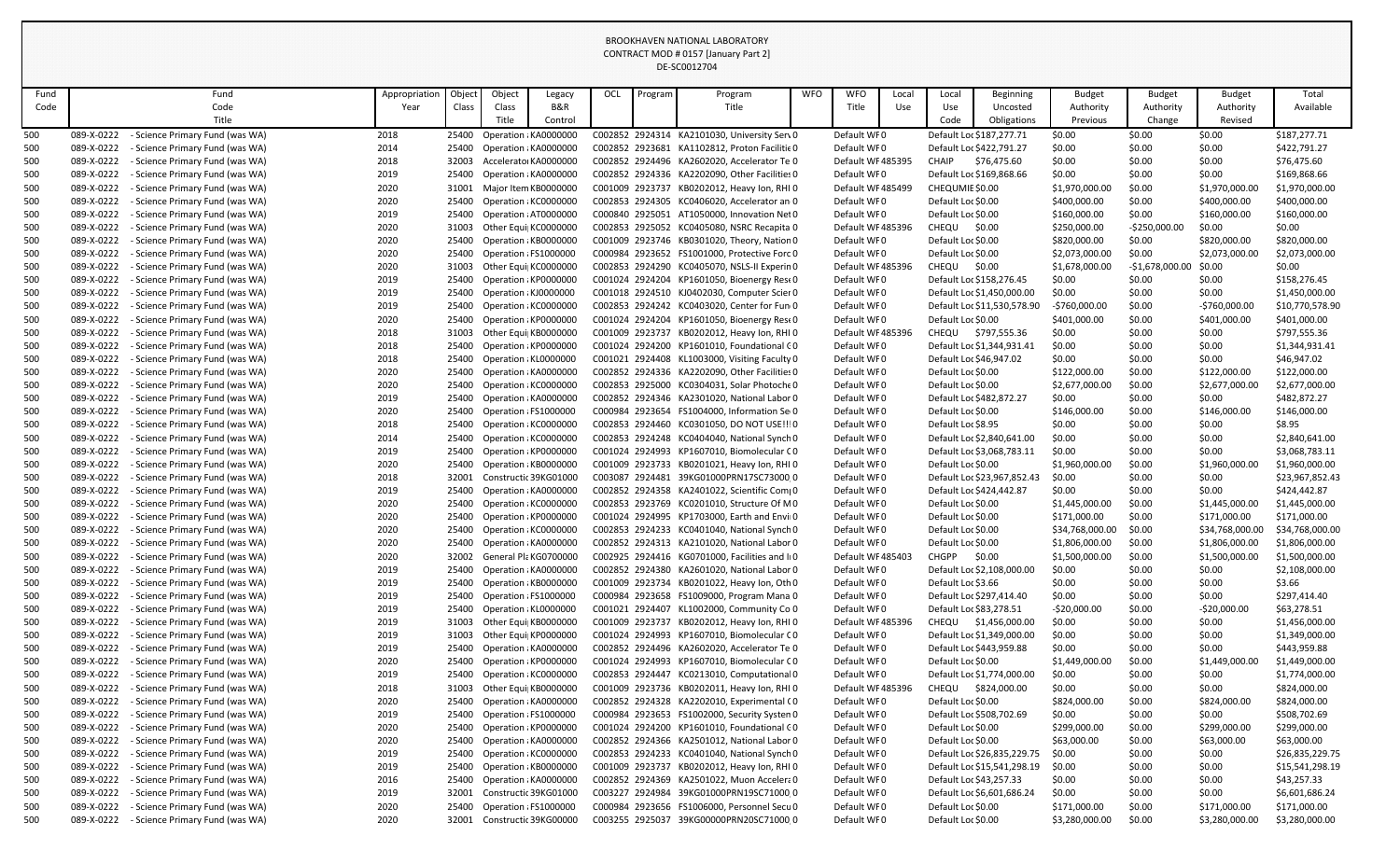| Fund       |                          | Fund                                                               | Appropriation | Object         | Object                                         | Legacy  | OCL | Program | Program                                                                                   | <b>WFO</b> | <b>WFO</b>                      | Local | Local                                    | <b>Beginning</b>            | <b>Budget</b>                  | <b>Budget</b>            | <b>Budget</b>                  | Total                          |
|------------|--------------------------|--------------------------------------------------------------------|---------------|----------------|------------------------------------------------|---------|-----|---------|-------------------------------------------------------------------------------------------|------------|---------------------------------|-------|------------------------------------------|-----------------------------|--------------------------------|--------------------------|--------------------------------|--------------------------------|
| Code       |                          | Code                                                               | Year          | Class          | Class                                          | B&R     |     |         | Title                                                                                     |            | Title                           | Use   | Use                                      | Uncosted                    | Authority                      | Authority                | Authority                      | Available                      |
|            |                          | Title                                                              |               |                | Title                                          | Control |     |         |                                                                                           |            |                                 |       | Code                                     | Obligations                 | Previous                       | Change                   | Revised                        |                                |
| 500        | 089-X-0222               | - Science Primary Fund (was WA)                                    | 2018          |                | 25400 Operation ¿KA0000000                     |         |     |         | C002852 2924314 KA2101030, University Serv0                                               |            | Default WF0                     |       | Default Loc \$187,277.71                 |                             | \$0.00                         | \$0.00                   | \$0.00                         | \$187,277.71                   |
| 500        | 089-X-0222               | - Science Primary Fund (was WA)                                    | 2014          | 25400          | Operation : KA0000000                          |         |     |         | C002852 2923681 KA1102812, Proton Facilitie 0                                             |            | Default WF0                     |       | Default Loc \$422,791.27                 |                             | \$0.00                         | \$0.00                   | \$0.00                         | \$422,791.27                   |
| 500        | 089-X-0222               | <b>Science Primary Fund (was WA)</b>                               | 2018          | 32003          | Accelerator KA0000000                          |         |     |         | C002852 2924496 KA2602020, Accelerator Te 0                                               |            | Default WF485395                |       | <b>CHAIP</b>                             | \$76,475.60                 | \$0.00                         | \$0.00                   | \$0.00                         | \$76,475.60                    |
| 500        | 089-X-0222               | - Science Primary Fund (was WA)                                    | 2019          | 25400          | Operation : KA0000000                          |         |     |         | C002852 2924336 KA2202090, Other Facilities 0                                             |            | Default WF0                     |       | Default Loc \$169,868.66                 |                             | \$0.00                         | \$0.00                   | \$0.00                         | \$169,868.66                   |
| 500        | 089-X-0222               | - Science Primary Fund (was WA)                                    | 2020          | 31001          | Major Item KB0000000                           |         |     |         | C001009 2923737 KB0202012, Heavy Ion, RHI 0                                               |            | Default WF 485499               |       | CHEQUMIE \$0.00                          |                             | \$1,970,000.00                 | \$0.00                   | \$1,970,000.00                 | \$1,970,000.00                 |
| 500        | 089-X-0222               | - Science Primary Fund (was WA)                                    | 2020          |                | 25400 Operation : KC0000000                    |         |     |         | C002853 2924305 KC0406020, Accelerator an 0                                               |            | Default WF0                     |       | Default Loc \$0.00                       |                             | \$400,000.00                   | \$0.00                   | \$400,000.00                   | \$400,000.00                   |
| 500        | 089-X-0222<br>089-X-0222 | - Science Primary Fund (was WA)                                    | 2019          | 25400          | Operation : AT0000000<br>Other Equi KC0000000  |         |     |         | C000840 2925051 AT1050000, Innovation Net 0<br>C002853 2925052 KC0405080, NSRC Recapita 0 |            | Default WF0                     |       | Default Loc \$0.00<br>CHEQU              |                             | \$160,000.00                   | \$0.00<br>$-$250,000.00$ | \$160,000.00<br>\$0.00         | \$160,000.00<br>\$0.00         |
| 500<br>500 | 089-X-0222               | - Science Primary Fund (was WA)<br>Science Primary Fund (was WA)   | 2020<br>2020  | 31003<br>25400 | Operation : KB0000000                          |         |     |         | C001009 2923746 KB0301020, Theory, Nation 0                                               |            | Default WF485396<br>Default WF0 |       | Default Loc \$0.00                       | \$0.00                      | \$250,000.00<br>\$820,000.00   | \$0.00                   | \$820,000.00                   | \$820,000.00                   |
| 500        | 089-X-0222               | - Science Primary Fund (was WA)                                    | 2020          | 25400          | Operation : FS1000000                          |         |     |         | C000984 2923652 FS1001000, Protective Forc 0                                              |            | Default WF0                     |       | Default Loc \$0.00                       |                             | \$2,073,000.00                 | \$0.00                   | \$2,073,000.00                 | \$2,073,000.00                 |
| 500        | 089-X-0222               | - Science Primary Fund (was WA)                                    | 2020          | 31003          | Other Equi KC0000000                           |         |     |         | C002853 2924290 KC0405070, NSLS-II Experin0                                               |            | Default WF 485396               |       | <b>CHEQU</b>                             | \$0.00                      | \$1,678,000.00                 | $-$1,678,000.00$         | \$0.00                         | \$0.00                         |
| 500        | 089-X-0222               | - Science Primary Fund (was WA)                                    | 2019          | 25400          | Operation : KP0000000                          |         |     |         | C001024 2924204 KP1601050, Bioenergy Rest 0                                               |            | Default WF0                     |       | Default Loc \$158,276.45                 |                             | \$0.00                         | \$0.00                   | \$0.00                         | \$158,276.45                   |
| 500        | 089-X-0222               | - Science Primary Fund (was WA)                                    | 2019          | 25400          | Operation : KJ000000C                          |         |     |         | C001018 2924510 KJ0402030, Computer Scier 0                                               |            | Default WF0                     |       |                                          | Default Loc \$1,450,000.00  | \$0.00                         | \$0.00                   | \$0.00                         | \$1,450,000.00                 |
| 500        | 089-X-0222               | - Science Primary Fund (was WA)                                    | 2019          | 25400          | Operation : KC0000000                          |         |     |         | C002853 2924242 KC0403020, Center for Fun 0                                               |            | Default WF0                     |       |                                          | Default Loc \$11,530,578.90 | -\$760,000.00                  | \$0.00                   | $-5760,000.00$                 | \$10,770,578.90                |
| 500        | 089-X-0222               | - Science Primary Fund (was WA)                                    | 2020          | 25400          | Operation : KP0000000                          |         |     |         | C001024 2924204 KP1601050, Bioenergy Rest 0                                               |            | Default WF0                     |       | Default Loc \$0.00                       |                             | \$401,000.00                   | \$0.00                   | \$401,000.00                   | \$401,000.00                   |
| 500        | 089-X-0222               | - Science Primary Fund (was WA)                                    | 2018          | 31003          | Other Equi KB0000000                           |         |     |         | C001009 2923737 KB0202012, Heavy Ion, RHI 0                                               |            | Default WF 485396               |       | CHEQU \$797,555.36                       |                             | \$0.00                         | \$0.00                   | \$0.00                         | \$797,555.36                   |
| 500        | 089-X-0222               | - Science Primary Fund (was WA)                                    | 2018          |                | 25400 Operation : KP0000000                    |         |     |         | C001024 2924200 KP1601010, Foundational CO                                                |            | Default WF0                     |       |                                          | Default Loc \$1,344,931.41  | \$0.00                         | \$0.00                   | \$0.00                         | \$1,344,931.41                 |
| 500        | 089-X-0222               | - Science Primary Fund (was WA)                                    | 2018          | 25400          | Operation : KL0000000                          |         |     |         | C001021 2924408 KL1003000, Visiting Faculty 0                                             |            | Default WF0                     |       | Default Loc \$46,947.02                  |                             | \$0.00                         | \$0.00                   | \$0.00                         | \$46,947.02                    |
| 500        | 089-X-0222               | - Science Primary Fund (was WA)                                    | 2020          | 25400          | Operation : KA0000000                          |         |     |         | C002852 2924336 KA2202090, Other Facilities 0                                             |            | Default WF0                     |       | Default Loc \$0.00                       |                             | \$122,000.00                   | \$0.00                   | \$122,000.00                   | \$122,000.00                   |
| 500        | 089-X-0222               | <b>Science Primary Fund (was WA)</b>                               | 2020          | 25400          | Operation : KC0000000                          |         |     |         | C002853 2925000 KC0304031, Solar Photoche 0                                               |            | Default WF0                     |       | Default Loc \$0.00                       |                             | \$2,677,000.00                 | \$0.00                   | \$2,677,000.00                 | \$2,677,000.00                 |
| 500        | 089-X-0222               | - Science Primary Fund (was WA)                                    | 2019          | 25400          | Operation : KA0000000                          |         |     |         | C002852 2924346 KA2301020, National Labor 0                                               |            | Default WF0                     |       | Default Loc \$482,872.27                 |                             | \$0.00                         | \$0.00                   | \$0.00                         | \$482,872.27                   |
| 500        | 089-X-0222               | - Science Primary Fund (was WA)                                    | 2020          | 25400          | Operation : FS1000000                          |         |     |         | C000984 2923654 FS1004000, Information Sei 0                                              |            | Default WF0                     |       | Default Loc \$0.00                       |                             | \$146,000.00                   | \$0.00                   | \$146,000.00                   | \$146,000.00                   |
| 500        | 089-X-0222               | - Science Primary Fund (was WA)                                    | 2018          | 25400          | Operation : KC0000000                          |         |     |         | C002853 2924460 KC0301050, DO NOT USE !!! 0                                               |            | Default WF0                     |       | Default Loc \$8.95                       |                             | \$0.00                         | \$0.00                   | \$0.00                         | \$8.95                         |
| 500        | 089-X-0222               | - Science Primary Fund (was WA)                                    | 2014          | 25400          | Operation : KC0000000                          |         |     |         | C002853 2924248 KC0404040, National Synch 0                                               |            | Default WF0                     |       |                                          | Default Loc \$2,840,641.00  | \$0.00                         | \$0.00                   | \$0.00                         | \$2,840,641.00                 |
| 500        | 089-X-0222               | - Science Primary Fund (was WA)                                    | 2019          |                | 25400 Operation ¿KP0000000                     |         |     |         | C001024 2924993 KP1607010, Biomolecular C0                                                |            | Default WF0                     |       |                                          | Default Loc \$3,068,783.11  | \$0.00                         | \$0.00                   | \$0.00                         | \$3,068,783.11                 |
| 500        | 089-X-0222               | - Science Primary Fund (was WA)                                    | 2020          | 25400          | Operation : KB0000000                          |         |     |         | C001009 2923733 KB0201021, Heavy Ion, RHI 0                                               |            | Default WF0                     |       | Default Loc \$0.00                       |                             | \$1,960,000.00                 | \$0.00                   | \$1,960,000.00                 | \$1,960,000.00                 |
| 500        |                          | 089-X-0222 - Science Primary Fund (was WA)                         | 2018          | 32001          | Constructic 39KG01000                          |         |     |         | C003087 2924481 39KG01000PRN17SC73000.0                                                   |            | Default WF0                     |       |                                          | Default Loc \$23,967,852.43 | \$0.00                         | \$0.00                   | \$0.00                         | \$23,967,852.43                |
|            | 089-X-0222               | - Science Primary Fund (was WA)                                    | 2019          | 25400          | Operation : KA0000000                          |         |     |         | C002852 2924358 KA2401022, Scientific Com(0<br>C002853 2923769 KC0201010, Structure Of M0 |            | Default WF0                     |       |                                          | Default Loc \$424,442.87    | \$0.00                         | \$0.00                   | \$0.00                         | \$424,442.87                   |
| 500<br>500 | 089-X-0222<br>089-X-0222 | - Science Primary Fund (was WA)<br>- Science Primary Fund (was WA) | 2020<br>2020  | 25400<br>25400 | Operation : KC0000000<br>Operation : KP0000000 |         |     |         | C001024 2924995 KP1703000, Earth and Envil 0                                              |            | Default WF0<br>Default WF0      |       | Default Loc \$0.00<br>Default Loc \$0.00 |                             | \$1,445,000.00<br>\$171,000.00 | \$0.00<br>\$0.00         | \$1,445,000.00<br>\$171,000.00 | \$1,445,000.00<br>\$171,000.00 |
| 500        | 089-X-0222               | - Science Primary Fund (was WA)                                    | 2020          |                | 25400 Operation : KC0000000                    |         |     |         | C002853 2924233 KC0401040, National Synch 0                                               |            | Default WF0                     |       | Default Loc \$0.00                       |                             | \$34,768,000.00                | \$0.00                   | \$34,768,000.00                | \$34,768,000.00                |
| 500        | 089-X-0222               | - Science Primary Fund (was WA)                                    | 2020          | 25400          | Operation : KA0000000                          |         |     |         | C002852 2924313 KA2101020, National Labor 0                                               |            | Default WF0                     |       | Default Loc \$0.00                       |                             | \$1,806,000.00                 | \$0.00                   | \$1,806,000.00                 | \$1,806,000.00                 |
| 500        | 089-X-0222               | - Science Primary Fund (was WA)                                    | 2020          | 32002          | General PlaKG0700000                           |         |     |         | C002925 2924416 KG0701000, Facilities and IIO                                             |            | Default WF 485403               |       | <b>CHGPP</b>                             | \$0.00                      | \$1,500,000.00                 | \$0.00                   | \$1,500,000.00                 | \$1,500,000.00                 |
| 500        | 089-X-0222               | - Science Primary Fund (was WA)                                    | 2019          | 25400          | Operation : KA0000000                          |         |     |         | C002852 2924380 KA2601020, National Labor 0                                               |            | Default WF0                     |       |                                          | Default Loc \$2,108,000.00  | \$0.00                         | \$0.00                   | \$0.00                         | \$2,108,000.00                 |
| 500        | 089-X-0222               | - Science Primary Fund (was WA)                                    | 2019          | 25400          | Operation : KB0000000                          |         |     |         | C001009 2923734 KB0201022, Heavy Ion, Oth 0                                               |            | Default WF0                     |       | Default Loc \$3.66                       |                             | \$0.00                         | \$0.00                   | \$0.00                         | \$3.66                         |
| 500        | 089-X-0222               | - Science Primary Fund (was WA)                                    | 2019          |                | 25400 Operation : FS1000000                    |         |     |         | C000984 2923658 FS1009000, Program Mana 0                                                 |            | Default WF0                     |       | Default Loc \$297,414.40                 |                             | \$0.00                         | \$0.00                   | \$0.00                         | \$297,414.40                   |
| 500        | 089-X-0222               | - Science Primary Fund (was WA)                                    | 2019          |                | 25400 Operation : KL0000000                    |         |     |         | C001021 2924407 KL1002000, Community Co 0                                                 |            | Default WF0                     |       | Default Loc \$83,278.51                  |                             | $-520,000.00$                  | \$0.00                   | $-520,000.00$                  | \$63,278.51                    |
| 500        | 089-X-0222               | - Science Primary Fund (was WA)                                    | 2019          | 31003          | Other Equi KB0000000                           |         |     |         | C001009 2923737 KB0202012, Heavy Ion, RHI 0                                               |            | Default WF485396                |       | CHEQU                                    | \$1,456,000.00              | \$0.00                         | \$0.00                   | \$0.00                         | \$1,456,000.00                 |
| 500        | 089-X-0222               | - Science Primary Fund (was WA)                                    | 2019          | 31003          | Other Equi <sub>l</sub> KP0000000              |         |     |         | C001024 2924993 KP1607010, Biomolecular C0                                                |            | Default WF0                     |       |                                          | Default Loc \$1,349,000.00  | \$0.00                         | \$0.00                   | \$0.00                         | \$1,349,000.00                 |
| 500        | 089-X-0222               | - Science Primary Fund (was WA)                                    | 2019          | 25400          | Operation : KA0000000                          |         |     |         | C002852 2924496 KA2602020, Accelerator Te 0                                               |            | Default WF0                     |       | Default Loc \$443,959.88                 |                             | \$0.00                         | \$0.00                   | \$0.00                         | \$443,959.88                   |
| 500        | 089-X-0222               | - Science Primary Fund (was WA)                                    | 2020          | 25400          | Operation : KP0000000                          |         |     |         | C001024 2924993 KP1607010, Biomolecular C0                                                |            | Default WF0                     |       | Default Loc \$0.00                       |                             | \$1,449,000.00                 | \$0.00                   | \$1,449,000.00                 | \$1,449,000.00                 |
| 500        | 089-X-0222               | - Science Primary Fund (was WA)                                    | 2019          |                | 25400 Operation : KC0000000                    |         |     |         | C002853 2924447 KC0213010, Computational 0                                                |            | Default WF0                     |       |                                          | Default Loc \$1,774,000.00  | \$0.00                         | \$0.00                   | \$0.00                         | \$1,774,000.00                 |
| 500        | 089-X-0222               | - Science Primary Fund (was WA)                                    | 2018          | 31003          | Other Equi <sub>l</sub> KB0000000              |         |     |         | C001009 2923736 KB0202011, Heavy Ion, RHI 0                                               |            | Default WF 485396               |       |                                          | CHEQU \$824,000.00          | \$0.00                         | \$0.00                   | \$0.00                         | \$824,000.00                   |
| 500        | 089-X-0222               | - Science Primary Fund (was WA)                                    | 2020          | 25400          | Operation : KA0000000                          |         |     |         | C002852 2924328 KA2202010, Experimental CO                                                |            | Default WF0                     |       | Default Loc \$0.00                       |                             | \$824,000.00                   | \$0.00                   | \$824,000.00                   | \$824,000.00                   |
| 500        | 089-X-0222               | - Science Primary Fund (was WA)                                    | 2019          |                | 25400 Operation : FS1000000                    |         |     |         | C000984 2923653 FS1002000, Security System 0                                              |            | Default WF0                     |       | Default Loc \$508,702.69                 |                             | \$0.00                         | \$0.00                   | \$0.00                         | \$508,702.69                   |
| 500        | 089-X-0222               | - Science Primary Fund (was WA)                                    | 2020          | 25400          | Operation : KP0000000                          |         |     |         | C001024 2924200 KP1601010, Foundational CO                                                |            | Default WF0                     |       | Default Loc \$0.00                       |                             | \$299,000.00                   | \$0.00                   | \$299,000.00                   | \$299,000.00                   |
| 500        | 089-X-0222               | - Science Primary Fund (was WA)                                    | 2020          | 25400          | Operation : KA0000000                          |         |     |         | C002852 2924366 KA2501012, National Labor 0                                               |            | Default WF0                     |       | Default Loc \$0.00                       |                             | \$63,000.00                    | \$0.00                   | \$63,000.00                    | \$63,000.00                    |
| 500        | 089-X-0222<br>089-X-0222 | - Science Primary Fund (was WA)                                    | 2019          |                | 25400 Operation : KC0000000                    |         |     |         | C002853 2924233 KC0401040, National Synch 0                                               |            | Default WF0                     |       |                                          | Default Loc \$26,835,229.75 | \$0.00                         | \$0.00                   | \$0.00                         | \$26,835,229.75                |
| 500<br>500 | 089-X-0222               | - Science Primary Fund (was WA)<br>- Science Primary Fund (was WA) | 2019<br>2016  | 25400<br>25400 | Operation : KB0000000<br>Operation : KA0000000 |         |     |         | C001009 2923737 KB0202012, Heavy Ion, RHI 0<br>C002852 2924369 KA2501022, Muon Accelera 0 |            | Default WF0<br>Default WF0      |       | Default Loc \$43,257.33                  | Default Loc \$15,541,298.19 | \$0.00<br>\$0.00               | \$0.00<br>\$0.00         | \$0.00<br>\$0.00               | \$15,541,298.19<br>\$43,257.33 |
| 500        | 089-X-0222               | - Science Primary Fund (was WA)                                    | 2019          | 32001          | Constructic 39KG01000                          |         |     |         | C003227 2924984 39KG01000PRN19SC710000                                                    |            | Default WF0                     |       |                                          | Default Loc \$6,601,686.24  | \$0.00                         | \$0.00                   | \$0.00                         | \$6,601,686.24                 |
| 500        | 089-X-0222               | - Science Primary Fund (was WA)                                    | 2020          | 25400          | Operation (FS1000000                           |         |     |         | C000984 2923656 FS1006000, Personnel Secu0                                                |            | Default WF0                     |       | Default Loc \$0.00                       |                             | \$171,000.00                   | \$0.00                   | \$171,000.00                   | \$171,000.00                   |
| 500        | 089-X-0222               | - Science Primary Fund (was WA)                                    | 2020          |                | 32001 Constructic 39KG00000                    |         |     |         | C003255 2925037 39KG00000PRN20SC71000.0                                                   |            | Default WF0                     |       | Default Loc \$0.00                       |                             | \$3,280,000.00                 | \$0.00                   | \$3,280,000.00                 | \$3,280,000.00                 |
|            |                          |                                                                    |               |                |                                                |         |     |         |                                                                                           |            |                                 |       |                                          |                             |                                |                          |                                |                                |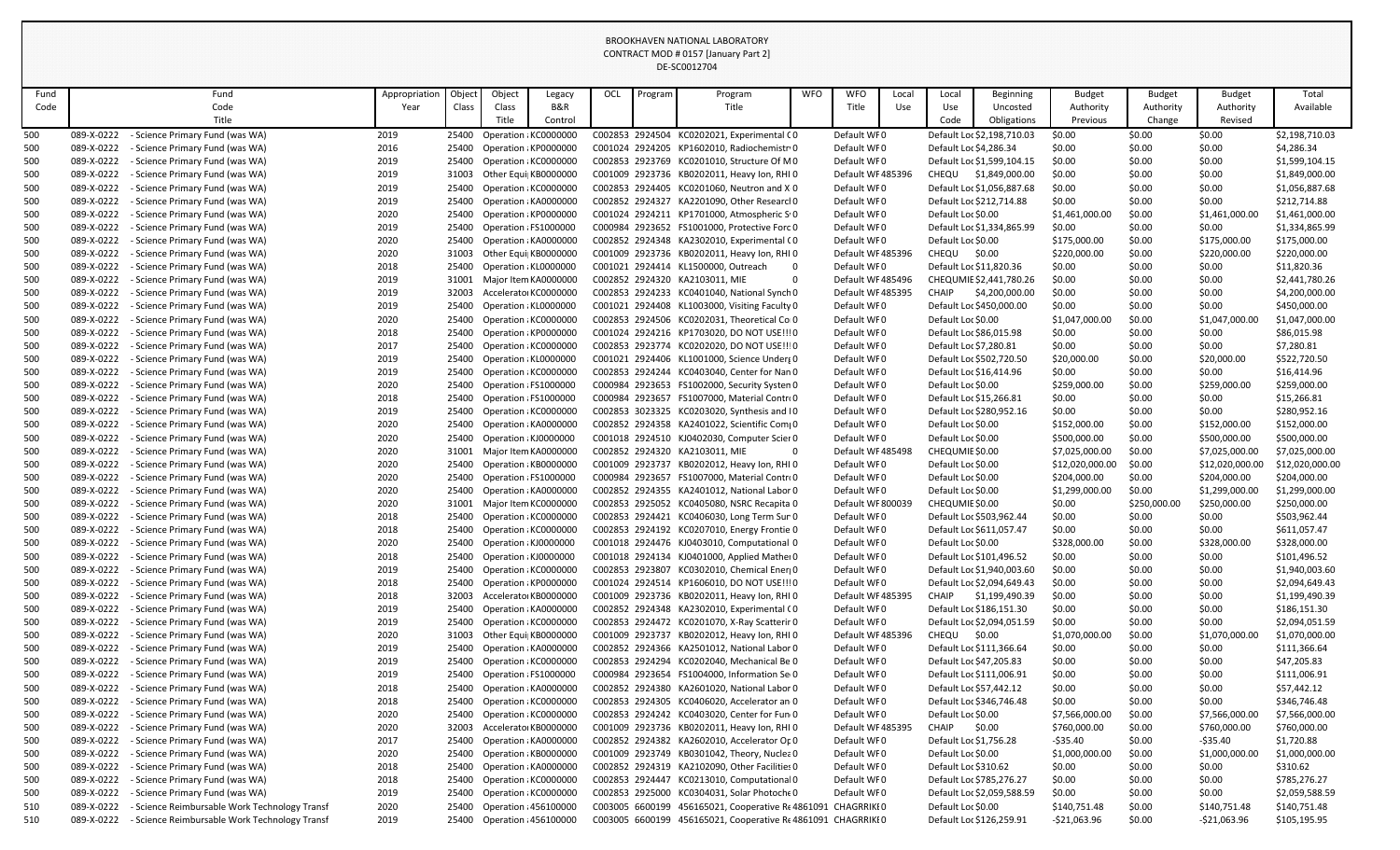| Fund |            | Fund                                          | Appropriation | Object | Object                      | Legacy  | OCL | Program | Program                                                     | <b>WFO</b> | <b>WFO</b>        | Local | Local                    | <b>Beginning</b>           | <b>Budget</b>   | <b>Budget</b> | <b>Budget</b>   | Total           |
|------|------------|-----------------------------------------------|---------------|--------|-----------------------------|---------|-----|---------|-------------------------------------------------------------|------------|-------------------|-------|--------------------------|----------------------------|-----------------|---------------|-----------------|-----------------|
| Code |            | Code                                          | Year          | Class  | Class                       | B&R     |     |         | Title                                                       |            | Title             | Use   | Use                      | Uncosted                   | Authority       | Authority     | Authority       | Available       |
|      |            | Title                                         |               |        | Title                       | Control |     |         |                                                             |            |                   |       | Code                     | Obligations                | <b>Previous</b> | Change        | Revised         |                 |
| 500  | 089-X-0222 | - Science Primary Fund (was WA)               | 2019          |        | 25400 Operation ¿KC0000000  |         |     |         | C002853 2924504 KC0202021, Experimental CO                  |            | Default WF0       |       |                          | Default Loc \$2,198,710.03 | \$0.00          | \$0.00        | \$0.00          | \$2,198,710.03  |
| 500  | 089-X-0222 | - Science Primary Fund (was WA)               | 2016          | 25400  | Operation : KP0000000       |         |     |         | C001024 2924205 KP1602010, Radiochemistr0                   |            | Default WF0       |       | Default Loc \$4,286.34   |                            | \$0.00          | \$0.00        | \$0.00          | \$4,286.34      |
| 500  | 089-X-0222 | - Science Primary Fund (was WA)               | 2019          | 25400  | Operation : KC0000000       |         |     |         | C002853 2923769 KC0201010, Structure Of M0                  |            | Default WF0       |       |                          | Default Loc \$1,599,104.15 | \$0.00          | \$0.00        | \$0.00          | \$1,599,104.15  |
| 500  | 089-X-0222 | - Science Primary Fund (was WA)               | 2019          | 31003  | Other Equi KB0000000        |         |     |         | C001009 2923736 KB0202011, Heavy Ion, RHI 0                 |            | Default WF485396  |       | CHEQU                    | \$1,849,000.00             | \$0.00          | \$0.00        | \$0.00          | \$1,849,000.00  |
| 500  | 089-X-0222 | - Science Primary Fund (was WA)               | 2019          | 25400  | Operation : KC0000000       |         |     |         | C002853 2924405 KC0201060, Neutron and X 0                  |            | Default WF0       |       |                          | Default Loc \$1,056,887.68 | \$0.00          | \$0.00        | \$0.00          | \$1,056,887.68  |
| 500  | 089-X-0222 | - Science Primary Fund (was WA)               | 2019          | 25400  | Operation : KA0000000       |         |     |         | C002852 2924327 KA2201090, Other Researcl 0                 |            | Default WF0       |       | Default Loc \$212,714.88 |                            | \$0.00          | \$0.00        | \$0.00          | \$212,714.88    |
| 500  | 089-X-0222 | - Science Primary Fund (was WA)               | 2020          |        | 25400 Operation : KP0000000 |         |     |         | C001024 2924211 KP1701000, Atmospheric S.0                  |            | Default WF0       |       | Default Loc \$0.00       |                            | \$1,461,000.00  | \$0.00        | \$1,461,000.00  | \$1,461,000.00  |
| 500  | 089-X-0222 | - Science Primary Fund (was WA)               | 2019          | 25400  | Operation : FS1000000       |         |     |         | C000984 2923652 FS1001000, Protective Forc 0                |            | Default WF0       |       |                          | Default Loc \$1,334,865.99 | \$0.00          | \$0.00        | \$0.00          | \$1,334,865.99  |
| 500  | 089-X-0222 | - Science Primary Fund (was WA)               | 2020          | 25400  | Operation : KA0000000       |         |     |         | C002852 2924348 KA2302010, Experimental CO                  |            | Default WF0       |       | Default Loc \$0.00       |                            | \$175,000.00    | \$0.00        | \$175,000.00    | \$175,000.00    |
| 500  | 089-X-0222 | - Science Primary Fund (was WA)               | 2020          | 31003  | Other Equi KB0000000        |         |     |         | C001009 2923736 KB0202011, Heavy Ion, RHI 0                 |            | Default WF 485396 |       | CHEQU                    | \$0.00                     | \$220,000.00    | \$0.00        | \$220,000.00    | \$220,000.00    |
| 500  | 089-X-0222 | - Science Primary Fund (was WA)               | 2018          | 25400  | Operation : KL0000000       |         |     |         | C001021 2924414 KL1500000, Outreach                         | - 0        | Default WF0       |       | Default Loc \$11,820.36  |                            | \$0.00          | \$0.00        | \$0.00          | \$11,820.36     |
| 500  | 089-X-0222 | - Science Primary Fund (was WA)               | 2019          | 31001  | Major Item KA0000000        |         |     |         | C002852 2924320 KA2103011, MIE                              |            | Default WF 485496 |       |                          | CHEQUMIE \$2,441,780.26    | \$0.00          | \$0.00        | \$0.00          | \$2,441,780.26  |
| 500  | 089-X-0222 | - Science Primary Fund (was WA)               | 2019          | 32003  | Accelerator KC0000000       |         |     |         | C002853 2924233 KC0401040, National Synch0                  |            | Default WF 485395 |       | <b>CHAIP</b>             | \$4,200,000.00             | \$0.00          | \$0.00        | \$0.00          | \$4,200,000.00  |
| 500  | 089-X-0222 | - Science Primary Fund (was WA)               | 2019          | 25400  | Operation : KL0000000       |         |     |         | C001021 2924408 KL1003000, Visiting Faculty 0               |            | Default WF0       |       | Default Loc \$450,000.00 |                            | \$0.00          | \$0.00        | \$0.00          | \$450,000.00    |
| 500  | 089-X-0222 | - Science Primary Fund (was WA)               | 2020          | 25400  | Operation : KC0000000       |         |     |         | C002853 2924506 KC0202031, Theoretical Coro                 |            | Default WF0       |       | Default Loc \$0.00       |                            | \$1,047,000.00  | \$0.00        | \$1,047,000.00  | \$1,047,000.00  |
| 500  | 089-X-0222 | - Science Primary Fund (was WA)               | 2018          | 25400  | Operation : KP0000000       |         |     |         | C001024 2924216 KP1703020, DO NOT USE!!!0                   |            | Default WF0       |       | Default Loc \$86,015.98  |                            | \$0.00          | \$0.00        | \$0.00          | \$86,015.98     |
| 500  | 089-X-0222 | - Science Primary Fund (was WA)               | 2017          | 25400  | Operation : KC0000000       |         |     |         | C002853 2923774 KC0202020, DO NOT USE !!! 0                 |            | Default WF0       |       | Default Loc \$7,280.81   |                            | \$0.00          | \$0.00        | \$0.00          | \$7,280.81      |
| 500  | 089-X-0222 | - Science Primary Fund (was WA)               | 2019          |        | 25400 Operation : KL0000000 |         |     |         | C001021 2924406 KL1001000, Science Underg 0                 |            | Default WF0       |       | Default Loc \$502,720.50 |                            | \$20,000.00     | \$0.00        | \$20,000.00     | \$522,720.50    |
| 500  | 089-X-0222 | - Science Primary Fund (was WA)               | 2019          | 25400  | Operation : KC0000000       |         |     |         | C002853 2924244 KC0403040, Center for Nan 0                 |            | Default WF0       |       | Default Loc \$16,414.96  |                            | \$0.00          | \$0.00        | \$0.00          | \$16,414.96     |
| 500  | 089-X-0222 | - Science Primary Fund (was WA)               | 2020          | 25400  | Operation : FS1000000       |         |     |         | C000984 2923653 FS1002000, Security System 0                |            | Default WF0       |       | Default Loc \$0.00       |                            | \$259,000.00    | \$0.00        | \$259,000.00    | \$259,000.00    |
| 500  | 089-X-0222 | - Science Primary Fund (was WA)               | 2018          | 25400  | Operation : FS1000000       |         |     |         | C000984 2923657 FS1007000, Material Contro0                 |            | Default WF0       |       | Default Loc \$15,266.81  |                            | \$0.00          | \$0.00        | \$0.00          | \$15,266.81     |
| 500  | 089-X-0222 | - Science Primary Fund (was WA)               | 2019          | 25400  | Operation : KC0000000       |         |     |         | C002853 3023325 KC0203020, Synthesis and IO                 |            | Default WF0       |       | Default Loc \$280,952.16 |                            | \$0.00          | \$0.00        | \$0.00          | \$280,952.16    |
| 500  | 089-X-0222 | - Science Primary Fund (was WA)               | 2020          | 25400  | Operation : KA0000000       |         |     |         | C002852 2924358 KA2401022, Scientific Com(0                 |            | Default WF0       |       | Default Loc \$0.00       |                            | \$152,000.00    | \$0.00        | \$152,000.00    | \$152,000.00    |
| 500  | 089-X-0222 | - Science Primary Fund (was WA)               | 2020          | 25400  | Operation : KJ0000000       |         |     |         | C001018 2924510 KJ0402030, Computer Scier 0                 |            | Default WF0       |       | Default Loc \$0.00       |                            | \$500,000.00    | \$0.00        | \$500,000.00    | \$500,000.00    |
| 500  | 089-X-0222 | - Science Primary Fund (was WA)               | 2020          | 31001  | Major Item KA0000000        |         |     |         | C002852 2924320 KA2103011, MIE                              |            | Default WF 485498 |       | CHEQUMIE \$0.00          |                            | \$7,025,000.00  | \$0.00        | \$7,025,000.00  | \$7,025,000.00  |
| 500  | 089-X-0222 | - Science Primary Fund (was WA)               | 2020          | 25400  | Operation : KB0000000       |         |     |         | C001009 2923737 KB0202012, Heavy Ion, RHI 0                 |            | Default WF0       |       | Default Loc \$0.00       |                            | \$12,020,000.00 | \$0.00        | \$12,020,000.00 | \$12,020,000.00 |
| 500  | 089-X-0222 | - Science Primary Fund (was WA)               | 2020          | 25400  | Operation (FS1000000        |         |     |         | C000984 2923657 FS1007000, Material Contro0                 |            | Default WF0       |       | Default Loc \$0.00       |                            | \$204,000.00    | \$0.00        | \$204,000.00    | \$204,000.00    |
| 500  | 089-X-0222 | - Science Primary Fund (was WA)               | 2020          |        | 25400 Operation ¿KA0000000  |         |     |         | C002852 2924355 KA2401012, National Labor 0                 |            | Default WF0       |       | Default Loc \$0.00       |                            | \$1,299,000.00  | \$0.00        | \$1,299,000.00  | \$1,299,000.00  |
| 500  | 089-X-0222 | - Science Primary Fund (was WA)               | 2020          | 31001  | Major Item KC0000000        |         |     |         | C002853 2925052 KC0405080, NSRC Recapita 0                  |            | Default WF 800039 |       | CHEQUMIE \$0.00          |                            | \$0.00          | \$250,000.00  | \$250,000.00    | \$250,000.00    |
| 500  | 089-X-0222 | - Science Primary Fund (was WA)               | 2018          | 25400  | Operation : KC0000000       |         |     |         | C002853 2924421 KC0406030, Long Term Sur 0                  |            | Default WF0       |       | Default Loc \$503,962.44 |                            | \$0.00          | \$0.00        | \$0.00          | \$503,962.44    |
| 500  | 089-X-0222 | - Science Primary Fund (was WA)               | 2018          | 25400  | Operation : KC0000000       |         |     |         | C002853 2924192 KC0207010, Energy Frontie 0                 |            | Default WF0       |       | Default Loc \$611,057.47 |                            | \$0.00          | \$0.00        | \$0.00          | \$611,057.47    |
| 500  | 089-X-0222 | - Science Primary Fund (was WA)               | 2020          |        | 25400 Operation ¿KJ0000000  |         |     |         | C001018 2924476 KJ0403010, Computational 0                  |            | Default WF0       |       | Default Loc \$0.00       |                            | \$328,000.00    | \$0.00        | \$328,000.00    | \$328,000.00    |
| 500  | 089-X-0222 | - Science Primary Fund (was WA)               | 2018          | 25400  | Operation : KJ0000000       |         |     |         | C001018 2924134 KJ0401000, Applied Mather 0                 |            | Default WF0       |       | Default Loc \$101,496.52 |                            | \$0.00          | \$0.00        | \$0.00          | \$101,496.52    |
| 500  | 089-X-0222 | - Science Primary Fund (was WA)               | 2019          | 25400  | Operation : KC0000000       |         |     |         | C002853 2923807 KC0302010, Chemical Ener(0                  |            | Default WF0       |       |                          | Default Loc \$1,940,003.60 | \$0.00          | \$0.00        | \$0.00          | \$1,940,003.60  |
| 500  | 089-X-0222 | - Science Primary Fund (was WA)               | 2018          |        | 25400 Operation : KP0000000 |         |     |         | C001024 2924514 KP1606010, DO NOT USE !!! 0                 |            | Default WF0       |       |                          | Default Loc \$2,094,649.43 | \$0.00          | \$0.00        | \$0.00          | \$2,094,649.43  |
| 500  | 089-X-0222 | - Science Primary Fund (was WA)               | 2018          | 32003  | AcceleratorKB0000000        |         |     |         | C001009 2923736 KB0202011, Heavy Ion, RHI 0                 |            | Default WF 485395 |       | <b>CHAIP</b>             | \$1,199,490.39             | \$0.00          | \$0.00        | \$0.00          | \$1,199,490.39  |
| 500  | 089-X-0222 | - Science Primary Fund (was WA)               | 2019          |        | 25400 Operation : KA0000000 |         |     |         | C002852 2924348 KA2302010, Experimental (0                  |            | Default WF0       |       | Default Loc \$186,151.30 |                            | \$0.00          | \$0.00        | \$0.00          | \$186,151.30    |
| 500  | 089-X-0222 | - Science Primary Fund (was WA)               | 2019          | 25400  | Operation : KC0000000       |         |     |         | C002853 2924472 KC0201070, X-Ray Scatterir 0                |            | Default WF0       |       |                          | Default Loc \$2,094,051.59 | \$0.00          | \$0.00        | \$0.00          | \$2,094,051.59  |
| 500  | 089-X-0222 | - Science Primary Fund (was WA)               | 2020          | 31003  | Other Equi KB0000000        |         |     |         | C001009 2923737 KB0202012, Heavy Ion, RHI 0                 |            | Default WF 485396 |       | CHEQU                    | \$0.00                     | \$1,070,000.00  | \$0.00        | \$1,070,000.00  | \$1,070,000.00  |
| 500  | 089-X-0222 | - Science Primary Fund (was WA)               | 2019          | 25400  | Operation : KA0000000       |         |     |         | C002852 2924366 KA2501012, National Labor 0                 |            | Default WF0       |       | Default Loc \$111,366.64 |                            | \$0.00          | \$0.00        | \$0.00          | \$111,366.64    |
| 500  | 089-X-0222 | - Science Primary Fund (was WA)               | 2019          | 25400  | Operation : KC0000000       |         |     |         | C002853 2924294 KC0202040, Mechanical Be 0                  |            | Default WF0       |       | Default Loc \$47,205.83  |                            | \$0.00          | \$0.00        | \$0.00          | \$47,205.83     |
| 500  | 089-X-0222 | - Science Primary Fund (was WA)               | 2019          | 25400  | Operation : FS1000000       |         |     |         | C000984 2923654 FS1004000, Information Sei 0                |            | Default WF0       |       | Default Loc \$111,006.91 |                            | \$0.00          | \$0.00        | \$0.00          | \$111,006.91    |
| 500  | 089-X-0222 | - Science Primary Fund (was WA)               | 2018          |        | 25400 Operation : KA0000000 |         |     |         | C002852 2924380 KA2601020, National Labor 0                 |            | Default WF0       |       | Default Loc \$57,442.12  |                            | \$0.00          | \$0.00        | \$0.00          | \$57,442.12     |
| 500  | 089-X-0222 | - Science Primary Fund (was WA)               | 2018          | 25400  | Operation : KC0000000       |         |     |         | C002853 2924305 KC0406020, Accelerator an 0                 |            | Default WF0       |       | Default Loc \$346,746.48 |                            | \$0.00          | \$0.00        | \$0.00          | \$346,746.48    |
| 500  | 089-X-0222 | - Science Primary Fund (was WA)               | 2020          | 25400  | Operation : KC0000000       |         |     |         | C002853 2924242 KC0403020, Center for Fun 0                 |            | Default WF0       |       | Default Loc \$0.00       |                            | \$7,566,000.00  | \$0.00        | \$7,566,000.00  | \$7,566,000.00  |
| 500  | 089-X-0222 | - Science Primary Fund (was WA)               | 2020          | 32003  | Accelerator KB0000000       |         |     |         | C001009 2923736 KB0202011, Heavy Ion, RHI 0                 |            | Default WF 485395 |       | CHAIP                    | \$0.00                     | \$760,000.00    | \$0.00        | \$760,000.00    | \$760,000.00    |
| 500  | 089-X-0222 | - Science Primary Fund (was WA)               | 2017          | 25400  | Operation : KA0000000       |         |     |         | C002852 2924382 KA2602010, Accelerator Op0                  |            | Default WF0       |       | Default Loc \$1,756.28   |                            | -\$35.40        | \$0.00        | -\$35.40        | \$1,720.88      |
| 500  | 089-X-0222 | - Science Primary Fund (was WA)               | 2020          | 25400  | Operation : KB0000000       |         |     |         | C001009 2923749 KB0301042, Theory, Nuclea 0                 |            | Default WF0       |       | Default Loc \$0.00       |                            | \$1,000,000.00  | \$0.00        | \$1,000,000.00  | \$1,000,000.00  |
| 500  | 089-X-0222 | - Science Primary Fund (was WA)               | 2018          |        | 25400 Operation : KA0000000 |         |     |         | C002852 2924319 KA2102090, Other Facilities 0               |            | Default WF0       |       | Default Loc \$310.62     |                            | \$0.00          | \$0.00        | \$0.00          | \$310.62        |
| 500  | 089-X-0222 | - Science Primary Fund (was WA)               | 2018          | 25400  | Operation : KC0000000       |         |     |         | C002853 2924447 KC0213010, Computational 0                  |            | Default WF0       |       | Default Loc \$785,276.27 |                            | \$0.00          | \$0.00        | \$0.00          | \$785,276.27    |
| 500  | 089-X-0222 | - Science Primary Fund (was WA)               | 2019          | 25400  | Operation : KC0000000       |         |     |         | C002853 2925000 KC0304031, Solar Photoche0                  |            | Default WF0       |       |                          | Default Loc \$2,059,588.59 | \$0.00          | \$0.00        | \$0.00          | \$2,059,588.59  |
| 510  | 089-X-0222 | - Science Reimbursable Work Technology Transf | 2020          | 25400  | Operation : 456100000       |         |     |         | C003005 6600199 456165021, Cooperative RE4861091 CHAGRRIKI0 |            |                   |       | Default Loc \$0.00       |                            | \$140,751.48    | \$0.00        | \$140,751.48    | \$140,751.48    |
| 510  | 089-X-0222 | - Science Reimbursable Work Technology Transf | 2019          |        | 25400 Operation : 456100000 |         |     |         | C003005 6600199 456165021, Cooperative RE4861091 CHAGRRIKI0 |            |                   |       | Default Loc \$126,259.91 |                            | -\$21,063.96    | \$0.00        | $-521,063.96$   | \$105,195.95    |
|      |            |                                               |               |        |                             |         |     |         |                                                             |            |                   |       |                          |                            |                 |               |                 |                 |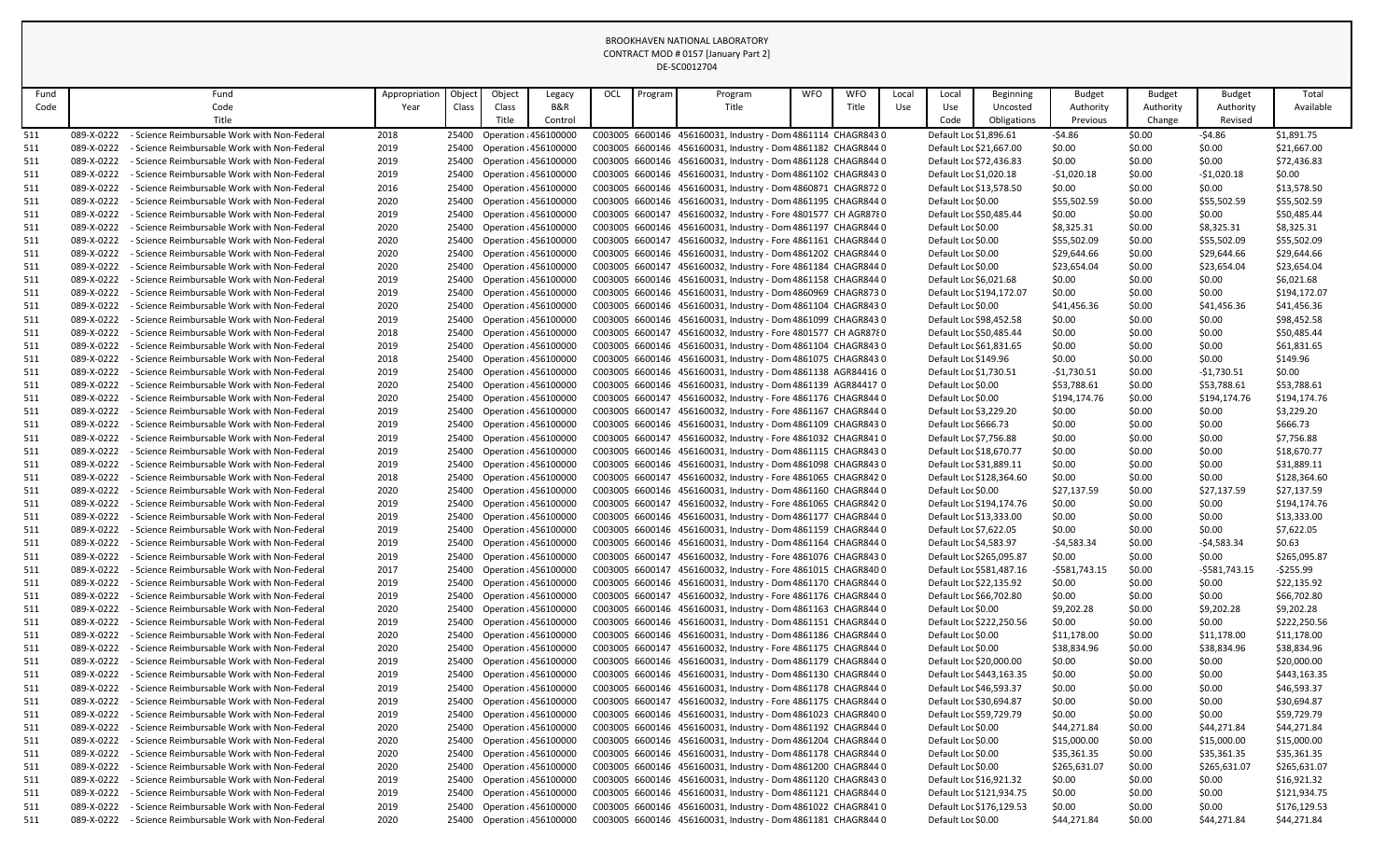| Fund       |                          | Fund                                                                                         | Appropriation | Object         | Object                                               | Legacy                      | OCL             | Program | Program                                                                                                                       | <b>WFO</b> | <b>WFO</b> | Local | Local                                              | <b>Beginning</b>         | <b>Budget</b>         | <b>Budget</b>    | <b>Budget</b>         | Total                       |
|------------|--------------------------|----------------------------------------------------------------------------------------------|---------------|----------------|------------------------------------------------------|-----------------------------|-----------------|---------|-------------------------------------------------------------------------------------------------------------------------------|------------|------------|-------|----------------------------------------------------|--------------------------|-----------------------|------------------|-----------------------|-----------------------------|
| Code       |                          | Code                                                                                         | Year          | Class          | Class                                                | <b>B&amp;R</b>              |                 |         | Title                                                                                                                         |            | Title      | Use   | Use                                                | Uncosted                 | Authority             | Authority        | Authority             | Available                   |
|            |                          | Title                                                                                        |               |                | Title I                                              | Control                     |                 |         |                                                                                                                               |            |            |       | Code                                               | Obligations              | Previous              | Change           | Revised               |                             |
| 511        | 089-X-0222               | - Science Reimbursable Work with Non-Federal                                                 | 2018          | 25400          | Operation : 456100000                                |                             |                 |         | C003005 6600146 456160031, Industry - Dom 4861114 CHAGR843 0                                                                  |            |            |       | Default Loc \$1,896.61                             |                          | $-54.86$              | \$0.00           | $-54.86$              | \$1,891.75                  |
| 511        | 089-X-0222               | - Science Reimbursable Work with Non-Federal                                                 | 2019          |                | 25400 Operation : 456100000                          |                             |                 |         | C003005 6600146 456160031, Industry - Dom 4861182 CHAGR844 0                                                                  |            |            |       | Default Loc \$21,667.00                            |                          | \$0.00                | \$0.00           | \$0.00                | \$21,667.00                 |
| 511        | 089-X-0222               | - Science Reimbursable Work with Non-Federal                                                 | 2019          | 25400          | Operation : 456100000                                |                             |                 |         | C003005 6600146 456160031, Industry - Dom 4861128 CHAGR844 0                                                                  |            |            |       | Default Loc \$72,436.83                            |                          | \$0.00                | \$0.00           | \$0.00                | \$72,436.83                 |
| 511        | 089-X-0222               | - Science Reimbursable Work with Non-Federal                                                 | 2019          | 25400          | <b>Operation : 456100000</b>                         |                             |                 |         | C003005 6600146 456160031, Industry - Dom 4861102 CHAGR8430                                                                   |            |            |       | Default Loc \$1,020.18                             |                          | $-$1,020.18$          | \$0.00           | $-51,020.18$          | \$0.00                      |
| 511        | 089-X-0222               | - Science Reimbursable Work with Non-Federal                                                 | 2016          |                | 25400 Operation : 456100000                          |                             |                 |         | C003005 6600146 456160031, Industry - Dom 4860871 CHAGR8720                                                                   |            |            |       | Default Loc \$13,578.50                            |                          | \$0.00                | \$0.00           | \$0.00                | \$13,578.50                 |
| 511        | 089-X-0222               | - Science Reimbursable Work with Non-Federal                                                 | 2020          |                | 25400 Operation : 456100000                          |                             |                 |         | C003005 6600146 456160031, Industry - Dom 4861195 CHAGR844 0                                                                  |            |            |       | Default Loc \$0.00                                 |                          | \$55,502.59           | \$0.00           | \$55,502.59           | \$55,502.59                 |
| 511        | 089-X-0222               | - Science Reimbursable Work with Non-Federal                                                 | 2019          | 25400          | Operation : 456100000                                |                             |                 |         | C003005 6600147 456160032, Industry - Fore 4801577 CH AGR8780                                                                 |            |            |       | Default Loc \$50,485.44                            |                          | \$0.00                | \$0.00           | \$0.00                | \$50,485.44                 |
| 511        | 089-X-0222               | - Science Reimbursable Work with Non-Federal                                                 | 2020          | 25400          | Operation : 456100000                                |                             |                 |         | C003005 6600146 456160031, Industry - Dom 4861197 CHAGR844 0                                                                  |            |            |       | Default Loc \$0.00                                 |                          | \$8,325.31            | \$0.00           | \$8,325.31            | \$8,325.31                  |
| 511        | 089-X-0222               | - Science Reimbursable Work with Non-Federal                                                 | 2020          | 25400          | Operation : 456100000                                |                             |                 |         | C003005 6600147 456160032, Industry - Fore 4861161 CHAGR844 0                                                                 |            |            |       | Default Loc \$0.00                                 |                          | \$55,502.09           | \$0.00           | \$55,502.09           | \$55,502.09                 |
| 511        | 089-X-0222               | - Science Reimbursable Work with Non-Federal                                                 | 2020          | 25400          | Operation : 456100000                                |                             |                 |         | C003005 6600146 456160031, Industry - Dom 4861202 CHAGR844 0                                                                  |            |            |       | Default Loc \$0.00                                 |                          | \$29,644.66           | \$0.00           | \$29,644.66           | \$29,644.66                 |
| 511        | 089-X-0222               | - Science Reimbursable Work with Non-Federal                                                 | 2020          | 25400          | Operation : 456100000                                |                             |                 |         | C003005 6600147 456160032, Industry - Fore 4861184 CHAGR844 0                                                                 |            |            |       | Default Loc \$0.00                                 |                          | \$23,654.04           | \$0.00           | \$23,654.04           | \$23,654.04                 |
| 511        | 089-X-0222<br>089-X-0222 | - Science Reimbursable Work with Non-Federal<br>- Science Reimbursable Work with Non-Federal | 2019          | 25400<br>25400 | Operation : 456100000                                |                             |                 |         | C003005 6600146 456160031, Industry - Dom 4861158 CHAGR844 0                                                                  |            |            |       | Default Loc \$6,021.68<br>Default Loc \$194,172.07 |                          | \$0.00                | \$0.00           | \$0.00<br>\$0.00      | \$6,021.68                  |
| 511        | 089-X-0222               | - Science Reimbursable Work with Non-Federal                                                 | 2019<br>2020  | 25400          | Operation : 456100000<br>Operation : 456100000       |                             |                 |         | C003005 6600146 456160031, Industry - Dom 4860969 CHAGR8730<br>C003005 6600146 456160031, Industry - Dom 4861104 CHAGR8430    |            |            |       | Default Loc \$0.00                                 |                          | \$0.00<br>\$41,456.36 | \$0.00<br>\$0.00 | \$41,456.36           | \$194,172.07<br>\$41,456.36 |
| 511<br>511 | 089-X-0222               | - Science Reimbursable Work with Non-Federal                                                 | 2019          | 25400          | Operation : 456100000                                |                             |                 |         | C003005 6600146 456160031, Industry - Dom 4861099 CHAGR8430                                                                   |            |            |       | Default Loc \$98,452.58                            |                          | \$0.00                | \$0.00           | \$0.00                | \$98,452.58                 |
| 511        | 089-X-0222               | - Science Reimbursable Work with Non-Federal                                                 | 2018          |                | 25400 Operation : 456100000                          |                             |                 |         | C003005 6600147 456160032, Industry - Fore 4801577 CH AGR8780                                                                 |            |            |       | Default Loc \$50,485.44                            |                          | \$0.00                | \$0.00           | \$0.00                | \$50,485.44                 |
| 511        | 089-X-0222               | - Science Reimbursable Work with Non-Federal                                                 | 2019          |                | 25400 Operation : 456100000                          |                             |                 |         | C003005 6600146 456160031, Industry - Dom 4861104 CHAGR8430                                                                   |            |            |       | Default Loc \$61,831.65                            |                          | \$0.00                | \$0.00           | \$0.00                | \$61,831.65                 |
| 511        | 089-X-0222               | - Science Reimbursable Work with Non-Federal                                                 | 2018          | 25400          | Operation : 456100000                                |                             |                 |         | C003005 6600146 456160031, Industry - Dom 4861075 CHAGR8430                                                                   |            |            |       | Default Loc \$149.96                               |                          | \$0.00                | \$0.00           | \$0.00                | \$149.96                    |
| 511        | 089-X-0222               | - Science Reimbursable Work with Non-Federal                                                 | 2019          | 25400          | Operation : 456100000                                |                             |                 |         | C003005 6600146 456160031, Industry - Dom 4861138 AGR84416 0                                                                  |            |            |       | Default Loc \$1,730.51                             |                          | $-$1,730.51$          | \$0.00           | $-51,730.51$          | \$0.00                      |
| 511        | 089-X-0222               | - Science Reimbursable Work with Non-Federal                                                 | 2020          | 25400          | Operation : 456100000                                |                             |                 |         | C003005 6600146 456160031, Industry - Dom 4861139 AGR84417 0                                                                  |            |            |       | Default Loc \$0.00                                 |                          | \$53,788.61           | \$0.00           | \$53,788.61           | \$53,788.61                 |
| 511        | 089-X-0222               | - Science Reimbursable Work with Non-Federal                                                 | 2020          | 25400          | <b>Operation : 456100000</b>                         |                             | C003005 6600147 |         | 456160032, Industry - Fore 4861176 CHAGR844 0                                                                                 |            |            |       | Default Loc \$0.00                                 |                          | \$194,174.76          | \$0.00           | \$194,174.76          | \$194,174.76                |
| 511        | 089-X-0222               | - Science Reimbursable Work with Non-Federal                                                 | 2019          | 25400          | Operation : 456100000                                |                             |                 |         | C003005 6600147 456160032, Industry - Fore 4861167 CHAGR844 0                                                                 |            |            |       | Default Loc \$3,229.20                             |                          | \$0.00                | \$0.00           | \$0.00                | \$3,229.20                  |
| 511        | 089-X-0222               | - Science Reimbursable Work with Non-Federal                                                 | 2019          | 25400          | <b>Operation : 456100000</b>                         |                             |                 |         | C003005 6600146 456160031, Industry - Dom 4861109 CHAGR8430                                                                   |            |            |       | Default Loc \$666.73                               |                          | \$0.00                | \$0.00           | \$0.00                | \$666.73                    |
| 511        | 089-X-0222               | - Science Reimbursable Work with Non-Federal                                                 | 2019          | 25400          | Operation : 456100000                                |                             | C003005 6600147 |         | 456160032, Industry - Fore 4861032 CHAGR8410                                                                                  |            |            |       | Default Loc \$7,756.88                             |                          | \$0.00                | \$0.00           | \$0.00                | \$7,756.88                  |
| 511        | 089-X-0222               | - Science Reimbursable Work with Non-Federal                                                 | 2019          |                | 25400 Operation : 456100000                          |                             |                 |         | C003005 6600146 456160031, Industry - Dom 4861115 CHAGR843 0                                                                  |            |            |       | Default Loc \$18,670.77                            |                          | \$0.00                | \$0.00           | \$0.00                | \$18,670.77                 |
| 511        | 089-X-0222               | - Science Reimbursable Work with Non-Federal                                                 | 2019          |                | 25400 Operation : 456100000                          |                             |                 |         | C003005 6600146 456160031, Industry - Dom 4861098 CHAGR8430                                                                   |            |            |       | Default Loc \$31,889.11                            |                          | \$0.00                | \$0.00           | \$0.00                | \$31,889.11                 |
| 511        |                          | 089-X-0222 - Science Reimbursable Work with Non-Federal                                      | 2018          |                | 25400 Operation : 456100000                          |                             |                 |         | C003005 6600147 456160032, Industry - Fore 4861065 CHAGR842 0                                                                 |            |            |       | Default Loc \$128,364.60                           |                          | \$0.00                | \$0.00           | \$0.00                | \$128,364.60                |
| 511        | 089-X-0222               | - Science Reimbursable Work with Non-Federal                                                 | 2020          | 25400          | Operation : 456100000                                |                             |                 |         | C003005 6600146 456160031, Industry - Dom 4861160 CHAGR844 0                                                                  |            |            |       | Default Loc \$0.00                                 |                          | \$27,137.59           | \$0.00           | \$27,137.59           | \$27,137.59                 |
| 511        | 089-X-0222               | - Science Reimbursable Work with Non-Federal                                                 | 2019          | 25400          | Operation : 456100000                                |                             |                 |         | C003005 6600147 456160032, Industry - Fore 4861065 CHAGR8420                                                                  |            |            |       | Default Loc \$194,174.76                           |                          | \$0.00                | \$0.00           | \$0.00                | \$194,174.76                |
| 511        | 089-X-0222               | - Science Reimbursable Work with Non-Federal                                                 | 2019          |                | 25400 Operation : 456100000                          |                             |                 |         | C003005 6600146 456160031, Industry - Dom 4861177 CHAGR844 0                                                                  |            |            |       | Default Loc \$13,333.00                            |                          | \$0.00                | \$0.00           | \$0.00                | \$13,333.00                 |
| 511        | 089-X-0222               | - Science Reimbursable Work with Non-Federal                                                 | 2019          |                | 25400 Operation : 456100000                          |                             |                 |         | C003005 6600146 456160031, Industry - Dom 4861159 CHAGR844 0                                                                  |            |            |       | Default Loc \$7,622.05                             |                          | \$0.00                | \$0.00           | \$0.00                | \$7,622.05                  |
| 511        | 089-X-0222               | - Science Reimbursable Work with Non-Federal                                                 | 2019          | 25400          | Operation : 456100000                                |                             |                 |         | C003005 6600146 456160031, Industry - Dom 4861164 CHAGR844 0                                                                  |            |            |       | Default Loc \$4,583.97                             |                          | -\$4,583.34           | \$0.00           | $-54,583.34$          | \$0.63                      |
| 511        | 089-X-0222               | - Science Reimbursable Work with Non-Federal                                                 | 2019          |                | 25400 Operation : 456100000                          |                             |                 |         | C003005 6600147 456160032, Industry - Fore 4861076 CHAGR8430                                                                  |            |            |       | Default Loc \$265,095.87                           |                          | \$0.00                | \$0.00           | \$0.00                | \$265,095.87                |
| 511        | 089-X-0222               | - Science Reimbursable Work with Non-Federal                                                 | 2017          |                | 25400 Operation : 456100000                          |                             |                 |         | C003005 6600147 456160032, Industry - Fore 4861015 CHAGR840 0                                                                 |            |            |       | Default Loc \$581,487.16                           |                          | $-5581,743.15$        | \$0.00           | -\$581,743.15         | $-5255.99$                  |
| 511        | 089-X-0222               | - Science Reimbursable Work with Non-Federal                                                 | 2019          | 25400          | Operation : 456100000                                |                             |                 |         | C003005 6600146 456160031, Industry - Dom 4861170 CHAGR844 0                                                                  |            |            |       | Default Loc \$22,135.92                            |                          | \$0.00                | \$0.00           | \$0.00                | \$22,135.92                 |
| 511        | 089-X-0222               | - Science Reimbursable Work with Non-Federal                                                 | 2019          |                | 25400 Operation : 456100000                          |                             |                 |         | C003005 6600147 456160032, Industry - Fore 4861176 CHAGR844 0                                                                 |            |            |       | Default Loc \$66,702.80                            |                          | \$0.00                | \$0.00           | \$0.00                | \$66,702.80                 |
| 511        | 089-X-0222               | - Science Reimbursable Work with Non-Federal                                                 | 2020          | 25400          | Operation : 456100000                                |                             |                 |         | C003005 6600146 456160031, Industry - Dom 4861163 CHAGR844 0                                                                  |            |            |       | Default Loc \$0.00                                 |                          | \$9,202.28            | \$0.00           | \$9,202.28            | \$9,202.28                  |
| 511        | 089-X-0222<br>089-X-0222 | - Science Reimbursable Work with Non-Federal<br>- Science Reimbursable Work with Non-Federal | 2019<br>2020  | 25400          | Operation : 456100000<br>25400 Operation : 456100000 |                             |                 |         | C003005 6600146 456160031, Industry - Dom 4861151 CHAGR844 0                                                                  |            |            |       | Default Loc \$0.00                                 | Default Loc \$222,250.56 | \$0.00<br>\$11,178.00 | \$0.00           | \$0.00<br>\$11,178.00 | \$222,250.56<br>\$11,178.00 |
| 511<br>511 | 089-X-0222               | - Science Reimbursable Work with Non-Federal                                                 | 2020          | 25400          | Operation : 456100000                                |                             |                 |         | C003005 6600146 456160031, Industry - Dom 4861186 CHAGR844 0<br>C003005 6600147 456160032, Industry - Fore 4861175 CHAGR844 0 |            |            |       | Default Loc \$0.00                                 |                          | \$38,834.96           | \$0.00<br>\$0.00 | \$38,834.96           | \$38,834.96                 |
| 511        | 089-X-0222               | - Science Reimbursable Work with Non-Federal                                                 | 2019          |                | 25400 Operation : 456100000                          |                             |                 |         | C003005 6600146 456160031, Industry - Dom 4861179 CHAGR844 0                                                                  |            |            |       | Default Loc \$20,000.00                            |                          | \$0.00                | \$0.00           | \$0.00                | \$20,000.00                 |
| 511        | 089-X-0222               | - Science Reimbursable Work with Non-Federal                                                 | 2019          |                | 25400 Operation : 456100000                          |                             |                 |         | C003005 6600146 456160031, Industry - Dom 4861130 CHAGR844 0                                                                  |            |            |       | Default Loc \$443,163.35                           |                          | \$0.00                | \$0.00           | \$0.00                | \$443,163.35                |
| 511        | 089-X-0222               | - Science Reimbursable Work with Non-Federal                                                 | 2019          | 25400          | Operation : 456100000                                |                             |                 |         | C003005 6600146 456160031, Industry - Dom 4861178 CHAGR844 0                                                                  |            |            |       | Default Loc \$46,593.37                            |                          | \$0.00                | \$0.00           | \$0.00                | \$46,593.37                 |
| 511        | 089-X-0222               | - Science Reimbursable Work with Non-Federal                                                 | 2019          |                | 25400 Operation : 456100000                          |                             |                 |         | C003005 6600147 456160032, Industry - Fore 4861175 CHAGR844 0                                                                 |            |            |       | Default Loc \$30,694.87                            |                          | \$0.00                | \$0.00           | \$0.00                | \$30,694.87                 |
| 511        | 089-X-0222               | - Science Reimbursable Work with Non-Federal                                                 | 2019          | 25400          | Operation : 456100000                                |                             |                 |         | C003005 6600146 456160031, Industry - Dom 4861023 CHAGR8400                                                                   |            |            |       | Default Loc \$59,729.79                            |                          | \$0.00                | \$0.00           | \$0.00                | \$59,729.79                 |
| 511        | 089-X-0222               | - Science Reimbursable Work with Non-Federal                                                 | 2020          | 25400          | Operation : 456100000                                |                             |                 |         | C003005 6600146 456160031, Industry - Dom 4861192 CHAGR844 0                                                                  |            |            |       | Default Loc \$0.00                                 |                          | \$44,271.84           | \$0.00           | \$44,271.84           | \$44,271.84                 |
| 511        | 089-X-0222               | - Science Reimbursable Work with Non-Federal                                                 | 2020          |                | 25400 Operation : 456100000                          |                             |                 |         | C003005 6600146 456160031, Industry - Dom 4861204 CHAGR844 0                                                                  |            |            |       | Default Loc \$0.00                                 |                          | \$15,000.00           | \$0.00           | \$15,000.00           | \$15,000.00                 |
| 511        | 089-X-0222               | - Science Reimbursable Work with Non-Federal                                                 | 2020          | 25400          | Operation : 456100000                                |                             |                 |         | C003005 6600146 456160031, Industry - Dom 4861178 CHAGR844 0                                                                  |            |            |       | Default Loc \$0.00                                 |                          | \$35,361.35           | \$0.00           | \$35,361.35           | \$35,361.35                 |
| 511        | 089-X-0222               | - Science Reimbursable Work with Non-Federal                                                 | 2020          | 25400          | <b>Operation : 456100000</b>                         |                             |                 |         | C003005 6600146 456160031, Industry - Dom 4861200 CHAGR844 0                                                                  |            |            |       | Default Loc \$0.00                                 |                          | \$265,631.07          | \$0.00           | \$265,631.07          | \$265,631.07                |
| 511        | 089-X-0222               | - Science Reimbursable Work with Non-Federal                                                 | 2019          |                | 25400 Operation : 456100000                          |                             |                 |         | C003005 6600146 456160031, Industry - Dom 4861120 CHAGR8430                                                                   |            |            |       | Default Loc \$16,921.32                            |                          | \$0.00                | \$0.00           | \$0.00                | \$16,921.32                 |
| 511        | 089-X-0222               | - Science Reimbursable Work with Non-Federal                                                 | 2019          |                | 25400 Operation : 456100000                          |                             |                 |         | C003005 6600146 456160031, Industry - Dom 4861121 CHAGR844 0                                                                  |            |            |       | Default Loc \$121,934.75                           |                          | \$0.00                | \$0.00           | \$0.00                | \$121,934.75                |
| 511        | 089-X-0222               | - Science Reimbursable Work with Non-Federal                                                 | 2019          |                | 25400 Operation : 456100000                          |                             |                 |         | C003005 6600146 456160031, Industry - Dom 4861022 CHAGR8410                                                                   |            |            |       | Default Loc \$176,129.53                           |                          | \$0.00                | \$0.00           | \$0.00                | \$176,129.53                |
| 511        | 089-X-0222               | - Science Reimbursable Work with Non-Federal                                                 | 2020          |                |                                                      | 25400 Operation : 456100000 |                 |         | C003005 6600146 456160031, Industry - Dom 4861181 CHAGR844 0                                                                  |            |            |       | Default Loc \$0.00                                 |                          | \$44,271.84           | \$0.00           | \$44,271.84           | \$44,271.84                 |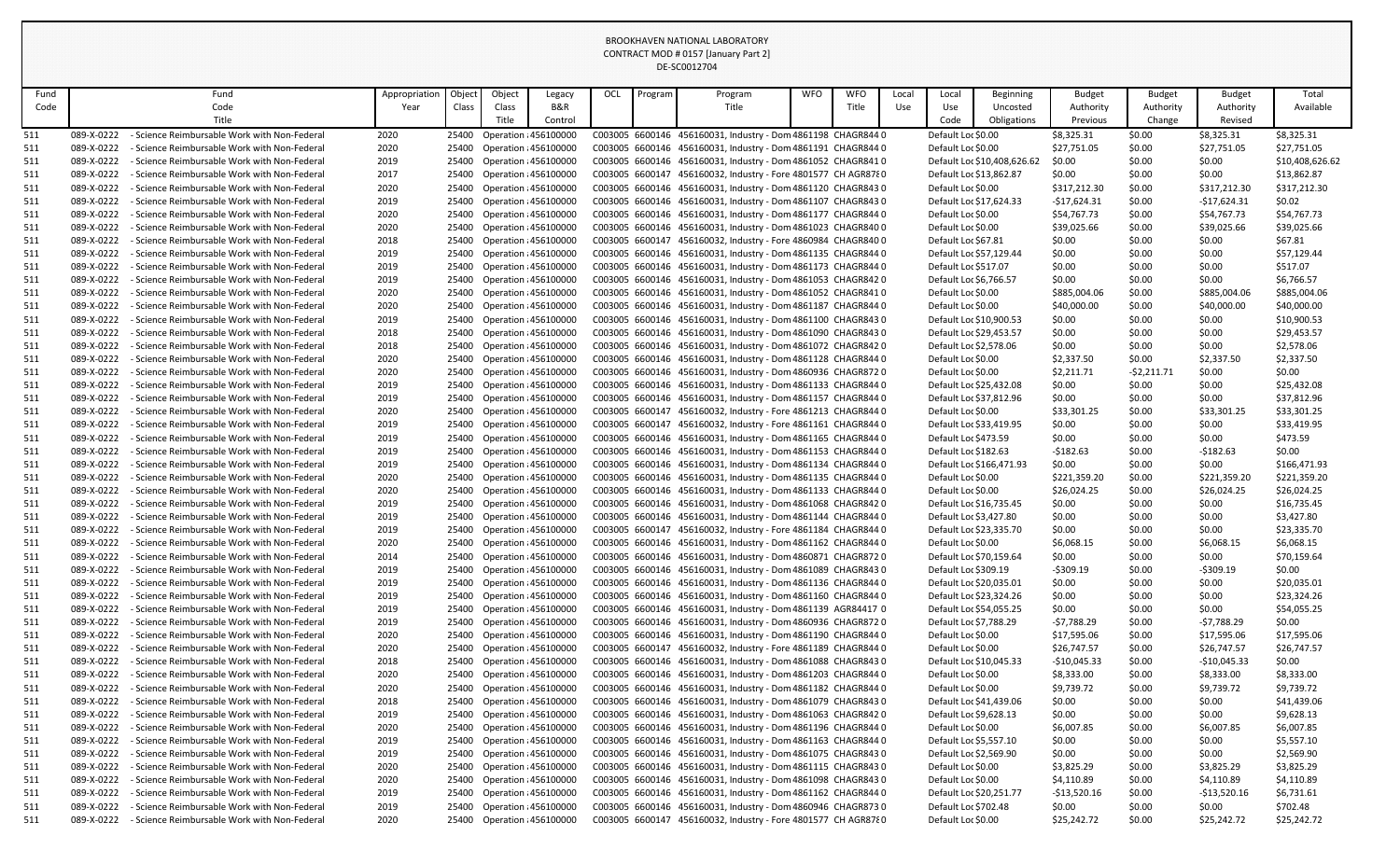| Fund       |                          | Fund                                                                                         | Appropriation | Object | Object                                                      | Legacy  | OCL | Program | Program                                                                                                                      | <b>WFO</b> | <b>WFO</b> | Local | Local                                             | <b>Beginning</b>            | <b>Budget</b>          | <b>Budget</b>    | <b>Budget</b>         | Total                      |
|------------|--------------------------|----------------------------------------------------------------------------------------------|---------------|--------|-------------------------------------------------------------|---------|-----|---------|------------------------------------------------------------------------------------------------------------------------------|------------|------------|-------|---------------------------------------------------|-----------------------------|------------------------|------------------|-----------------------|----------------------------|
| Code       |                          | Code                                                                                         | Year          | Class  | Class                                                       | B&R     |     |         | Title                                                                                                                        |            | Title      | Use   | Use                                               | Uncosted                    | Authority              | Authority        | Authority             | Available                  |
|            |                          | Title                                                                                        |               |        | Title                                                       | Control |     |         |                                                                                                                              |            |            |       | Code                                              | Obligations                 | Previous               | Change           | Revised               |                            |
| 511        | 089-X-0222               | - Science Reimbursable Work with Non-Federal                                                 | 2020          |        | 25400 Operation : 456100000                                 |         |     |         | C003005 6600146 456160031, Industry - Dom 4861198 CHAGR844 0                                                                 |            |            |       | Default Loc \$0.00                                |                             | \$8,325.31             | \$0.00           | \$8,325.31            | \$8,325.31                 |
| 511        | 089-X-0222               | - Science Reimbursable Work with Non-Federal                                                 | 2020          |        | 25400 Operation : 456100000                                 |         |     |         | C003005 6600146 456160031, Industry - Dom 4861191 CHAGR844 0                                                                 |            |            |       | Default Loc \$0.00                                |                             | \$27,751.05            | \$0.00           | \$27,751.05           | \$27,751.05                |
| 511        | 089-X-0222               | - Science Reimbursable Work with Non-Federal                                                 | 2019          |        | 25400 Operation : 456100000                                 |         |     |         | C003005 6600146 456160031, Industry - Dom 4861052 CHAGR8410                                                                  |            |            |       |                                                   | Default Loc \$10,408,626.62 | \$0.00                 | \$0.00           | \$0.00                | \$10,408,626.62            |
| 511        | 089-X-0222               | - Science Reimbursable Work with Non-Federal                                                 | 2017          | 25400  | Operation : 456100000                                       |         |     |         | C003005 6600147 456160032, Industry - Fore 4801577 CH AGR8780                                                                |            |            |       | Default Loc \$13,862.87                           |                             | \$0.00                 | \$0.00           | \$0.00                | \$13,862.87                |
| 511        | 089-X-0222               | - Science Reimbursable Work with Non-Federal                                                 | 2020          |        | 25400 Operation : 456100000                                 |         |     |         | C003005 6600146 456160031, Industry - Dom 4861120 CHAGR8430                                                                  |            |            |       | Default Loc \$0.00                                |                             | \$317,212.30           | \$0.00           | \$317,212.30          | \$317,212.30               |
| 511        | 089-X-0222               | - Science Reimbursable Work with Non-Federal                                                 | 2019          |        | 25400 Operation : 456100000                                 |         |     |         | C003005 6600146 456160031, Industry - Dom 4861107 CHAGR8430                                                                  |            |            |       | Default Loc \$17,624.33                           |                             | -\$17,624.31           | \$0.00           | -\$17,624.31          | \$0.02                     |
| 511        | 089-X-0222               | - Science Reimbursable Work with Non-Federal                                                 | 2020          |        | 25400 Operation : 456100000                                 |         |     |         | C003005 6600146 456160031, Industry - Dom 4861177 CHAGR844 0                                                                 |            |            |       | Default Loc \$0.00                                |                             | \$54,767.73            | \$0.00           | \$54,767.73           | \$54,767.73                |
| 511        | 089-X-0222               | - Science Reimbursable Work with Non-Federal                                                 | 2020          |        | 25400 Operation : 456100000                                 |         |     |         | C003005 6600146 456160031, Industry - Dom 4861023 CHAGR8400                                                                  |            |            |       | Default Loc \$0.00                                |                             | \$39,025.66            | \$0.00           | \$39,025.66           | \$39,025.66                |
| 511        | 089-X-0222               | - Science Reimbursable Work with Non-Federal                                                 | 2018          | 25400  | Operation : 456100000                                       |         |     |         | C003005 6600147 456160032, Industry - Fore 4860984 CHAGR840 0                                                                |            |            |       | Default Loc \$67.81                               |                             | \$0.00                 | \$0.00           | \$0.00                | \$67.81                    |
| 511        | 089-X-0222               | - Science Reimbursable Work with Non-Federal                                                 | 2019          | 25400  | Operation : 456100000                                       |         |     |         | C003005 6600146 456160031, Industry - Dom 4861135 CHAGR844 0                                                                 |            |            |       | Default Loc \$57,129.44                           |                             | \$0.00                 | \$0.00           | \$0.00                | \$57,129.44                |
| 511        | 089-X-0222<br>089-X-0222 | - Science Reimbursable Work with Non-Federal<br>- Science Reimbursable Work with Non-Federal | 2019          | 25400  | 25400 Operation : 456100000<br><b>Operation : 456100000</b> |         |     |         | C003005 6600146 456160031, Industry - Dom 4861173 CHAGR844 0<br>C003005 6600146 456160031, Industry - Dom 4861053 CHAGR842 0 |            |            |       | Default Loc \$517.07<br>Default Loc \$6,766.57    |                             | \$0.00                 | \$0.00           | \$0.00<br>\$0.00      | \$517.07<br>\$6,766.57     |
| 511<br>511 | 089-X-0222               | - Science Reimbursable Work with Non-Federal                                                 | 2019<br>2020  |        | 25400 Operation : 456100000                                 |         |     |         | C003005 6600146 456160031, Industry - Dom 4861052 CHAGR8410                                                                  |            |            |       | Default Loc \$0.00                                |                             | \$0.00<br>\$885,004.06 | \$0.00<br>\$0.00 | \$885,004.06          | \$885,004.06               |
| 511        | 089-X-0222               | - Science Reimbursable Work with Non-Federal                                                 | 2020          |        | 25400 Operation : 456100000                                 |         |     |         | C003005 6600146 456160031, Industry - Dom 4861187 CHAGR844 0                                                                 |            |            |       | Default Loc \$0.00                                |                             | \$40,000.00            | \$0.00           | \$40,000.00           | \$40,000.00                |
| 511        | 089-X-0222               | - Science Reimbursable Work with Non-Federal                                                 | 2019          |        | 25400 Operation : 456100000                                 |         |     |         | C003005 6600146 456160031, Industry - Dom 4861100 CHAGR8430                                                                  |            |            |       | Default Loc \$10,900.53                           |                             | \$0.00                 | \$0.00           | \$0.00                | \$10,900.53                |
| 511        | 089-X-0222               | - Science Reimbursable Work with Non-Federal                                                 | 2018          |        | 25400 Operation : 456100000                                 |         |     |         | C003005 6600146 456160031, Industry - Dom 4861090 CHAGR8430                                                                  |            |            |       | Default Loc \$29,453.57                           |                             | \$0.00                 | \$0.00           | \$0.00                | \$29,453.57                |
| 511        | 089-X-0222               | - Science Reimbursable Work with Non-Federal                                                 | 2018          |        | 25400 Operation : 456100000                                 |         |     |         | C003005 6600146 456160031, Industry - Dom 4861072 CHAGR8420                                                                  |            |            |       | Default Loc \$2,578.06                            |                             | \$0.00                 | \$0.00           | \$0.00                | \$2,578.06                 |
| 511        | 089-X-0222               | - Science Reimbursable Work with Non-Federal                                                 | 2020          | 25400  | Operation : 456100000                                       |         |     |         | C003005 6600146 456160031, Industry - Dom 4861128 CHAGR844 0                                                                 |            |            |       | Default Loc \$0.00                                |                             | \$2,337.50             | \$0.00           | \$2,337.50            | \$2,337.50                 |
| 511        | 089-X-0222               | - Science Reimbursable Work with Non-Federal                                                 | 2020          | 25400  | Operation : 456100000                                       |         |     |         | C003005 6600146 456160031, Industry - Dom 4860936 CHAGR8720                                                                  |            |            |       | Default Loc \$0.00                                |                             | \$2,211.71             | $-52,211.71$     | \$0.00                | \$0.00                     |
| 511        | 089-X-0222               | - Science Reimbursable Work with Non-Federal                                                 | 2019          | 25400  | Operation : 456100000                                       |         |     |         | C003005 6600146 456160031, Industry - Dom 4861133 CHAGR844 0                                                                 |            |            |       | Default Loc \$25,432.08                           |                             | \$0.00                 | \$0.00           | \$0.00                | \$25,432.08                |
| 511        | 089-X-0222               | - Science Reimbursable Work with Non-Federal                                                 | 2019          | 25400  | Operation : 456100000                                       |         |     |         | C003005 6600146 456160031, Industry - Dom 4861157 CHAGR844 0                                                                 |            |            |       | Default Loc \$37,812.96                           |                             | \$0.00                 | \$0.00           | \$0.00                | \$37,812.96                |
| 511        | 089-X-0222               | - Science Reimbursable Work with Non-Federal                                                 | 2020          |        | 25400 Operation : 456100000                                 |         |     |         | C003005 6600147 456160032, Industry - Fore 4861213 CHAGR844 0                                                                |            |            |       | Default Loc \$0.00                                |                             | \$33,301.25            | \$0.00           | \$33,301.25           | \$33,301.25                |
| 511        | 089-X-0222               | - Science Reimbursable Work with Non-Federal                                                 | 2019          | 25400  | Operation : 456100000                                       |         |     |         | C003005 6600147 456160032, Industry - Fore 4861161 CHAGR844 0                                                                |            |            |       | Default Loc \$33,419.95                           |                             | \$0.00                 | \$0.00           | \$0.00                | \$33,419.95                |
| 511        | 089-X-0222               | - Science Reimbursable Work with Non-Federal                                                 | 2019          |        | 25400 Operation : 456100000                                 |         |     |         | C003005 6600146 456160031, Industry - Dom 4861165 CHAGR844 0                                                                 |            |            |       | Default Loc \$473.59                              |                             | \$0.00                 | \$0.00           | \$0.00                | \$473.59                   |
| 511        | 089-X-0222               | - Science Reimbursable Work with Non-Federal                                                 | 2019          |        | 25400 Operation : 456100000                                 |         |     |         | C003005 6600146 456160031, Industry - Dom 4861153 CHAGR844 0                                                                 |            |            |       | Default Loc \$182.63                              |                             | -\$182.63              | \$0.00           | -\$182.63             | \$0.00                     |
| 511        | 089-X-0222               | - Science Reimbursable Work with Non-Federal                                                 | 2019          |        | 25400 Operation : 456100000                                 |         |     |         | C003005 6600146 456160031, Industry - Dom 4861134 CHAGR844 0                                                                 |            |            |       | Default Loc \$166,471.93                          |                             | \$0.00                 | \$0.00           | \$0.00                | \$166,471.93               |
| 511        |                          | 089-X-0222 - Science Reimbursable Work with Non-Federal                                      | 2020          |        | 25400 Operation : 456100000                                 |         |     |         | C003005 6600146 456160031, Industry - Dom 4861135 CHAGR844 0                                                                 |            |            |       | Default Loc \$0.00                                |                             | \$221,359.20           | \$0.00           | \$221,359.20          | \$221,359.20               |
| 511        | 089-X-0222               | - Science Reimbursable Work with Non-Federal                                                 | 2020          | 25400  | Operation : 456100000                                       |         |     |         | C003005 6600146 456160031, Industry - Dom 4861133 CHAGR844 0                                                                 |            |            |       | Default Loc \$0.00                                |                             | \$26,024.25            | \$0.00           | \$26,024.25           | \$26,024.25                |
| 511        | 089-X-0222               | - Science Reimbursable Work with Non-Federal                                                 | 2019          |        | 25400 Operation : 456100000                                 |         |     |         | C003005 6600146 456160031, Industry - Dom 4861068 CHAGR842 0                                                                 |            |            |       | Default Loc \$16,735.45                           |                             | \$0.00                 | \$0.00           | \$0.00                | \$16,735.45                |
| 511        | 089-X-0222               | - Science Reimbursable Work with Non-Federal                                                 | 2019          |        | 25400 Operation : 456100000                                 |         |     |         | C003005 6600146 456160031, Industry - Dom 4861144 CHAGR844 0                                                                 |            |            |       | Default Loc \$3,427.80                            |                             | \$0.00                 | \$0.00           | \$0.00                | \$3,427.80                 |
| 511        | 089-X-0222               | - Science Reimbursable Work with Non-Federal                                                 | 2019          |        | 25400 Operation : 456100000                                 |         |     |         | C003005 6600147 456160032, Industry - Fore 4861184 CHAGR844 0                                                                |            |            |       | Default Loc \$23,335.70                           |                             | \$0.00                 | \$0.00           | \$0.00                | \$23,335.70                |
| 511        | 089-X-0222               | - Science Reimbursable Work with Non-Federal                                                 | 2020          |        | 25400 Operation : 456100000                                 |         |     |         | C003005 6600146 456160031, Industry - Dom 4861162 CHAGR844 0                                                                 |            |            |       | Default Loc \$0.00                                |                             | \$6,068.15             | \$0.00           | \$6,068.15            | \$6,068.15                 |
| 511        | 089-X-0222               | - Science Reimbursable Work with Non-Federal                                                 | 2014          |        | 25400 Operation : 456100000                                 |         |     |         | C003005 6600146 456160031, Industry - Dom 4860871 CHAGR8720                                                                  |            |            |       | Default Loc \$70,159.64                           |                             | \$0.00                 | \$0.00           | \$0.00                | \$70,159.64                |
| 511        | 089-X-0222               | - Science Reimbursable Work with Non-Federal                                                 | 2019          |        | 25400 Operation : 456100000                                 |         |     |         | C003005 6600146 456160031, Industry - Dom 4861089 CHAGR8430                                                                  |            |            |       | Default Loc \$309.19                              |                             | -\$309.19              | \$0.00           | -\$309.19             | \$0.00                     |
| 511        | 089-X-0222               | - Science Reimbursable Work with Non-Federal                                                 | 2019          |        | 25400 Operation : 456100000                                 |         |     |         | C003005 6600146 456160031, Industry - Dom 4861136 CHAGR844 0                                                                 |            |            |       | Default Loc \$20,035.01                           |                             | \$0.00                 | \$0.00           | \$0.00                | \$20,035.01                |
| 511        | 089-X-0222<br>089-X-0222 | - Science Reimbursable Work with Non-Federal<br>- Science Reimbursable Work with Non-Federal | 2019<br>2019  | 25400  | 25400 Operation : 456100000<br><b>Operation : 456100000</b> |         |     |         | C003005 6600146 456160031, Industry - Dom 4861160 CHAGR844 0<br>C003005 6600146 456160031, Industry - Dom 4861139 AGR84417 0 |            |            |       | Default Loc \$23,324.26                           |                             | \$0.00                 | \$0.00           | \$0.00                | \$23,324.26<br>\$54,055.25 |
| 511        | 089-X-0222               | - Science Reimbursable Work with Non-Federal                                                 | 2019          | 25400  | Operation : 456100000                                       |         |     |         | C003005 6600146 456160031, Industry - Dom 4860936 CHAGR8720                                                                  |            |            |       | Default Loc \$54,055.25<br>Default Loc \$7,788.29 |                             | \$0.00<br>-\$7,788.29  | \$0.00<br>\$0.00 | \$0.00<br>-\$7,788.29 | \$0.00                     |
| 511<br>511 | 089-X-0222               | - Science Reimbursable Work with Non-Federal                                                 | 2020          |        | 25400 Operation : 456100000                                 |         |     |         | C003005 6600146 456160031, Industry - Dom 4861190 CHAGR844 0                                                                 |            |            |       | Default Loc \$0.00                                |                             | \$17,595.06            | \$0.00           | \$17,595.06           | \$17,595.06                |
| 511        | 089-X-0222               | - Science Reimbursable Work with Non-Federal                                                 | 2020          | 25400  | Operation : 456100000                                       |         |     |         | C003005 6600147 456160032, Industry - Fore 4861189 CHAGR844 0                                                                |            |            |       | Default Loc \$0.00                                |                             | \$26,747.57            | \$0.00           | \$26,747.57           | \$26,747.57                |
| 511        | 089-X-0222               | - Science Reimbursable Work with Non-Federal                                                 | 2018          |        | 25400 Operation : 456100000                                 |         |     |         | C003005 6600146 456160031, Industry - Dom 4861088 CHAGR843 0                                                                 |            |            |       | Default Loc \$10,045.33                           |                             | $-$10,045.33$          | \$0.00           | $-$10,045.33$         | \$0.00                     |
| 511        | 089-X-0222               | - Science Reimbursable Work with Non-Federal                                                 | 2020          |        | 25400 Operation : 456100000                                 |         |     |         | C003005 6600146 456160031, Industry - Dom 4861203 CHAGR844 0                                                                 |            |            |       | Default Loc \$0.00                                |                             | \$8,333.00             | \$0.00           | \$8,333.00            | \$8,333.00                 |
| 511        | 089-X-0222               | - Science Reimbursable Work with Non-Federal                                                 | 2020          | 25400  | Operation : 456100000                                       |         |     |         | C003005 6600146 456160031, Industry - Dom 4861182 CHAGR844 0                                                                 |            |            |       | Default Loc \$0.00                                |                             | \$9,739.72             | \$0.00           | \$9,739.72            | \$9,739.72                 |
| 511        | 089-X-0222               | - Science Reimbursable Work with Non-Federal                                                 | 2018          |        | 25400 Operation : 456100000                                 |         |     |         | C003005 6600146 456160031, Industry - Dom 4861079 CHAGR8430                                                                  |            |            |       | Default Loc \$41,439.06                           |                             | \$0.00                 | \$0.00           | \$0.00                | \$41,439.06                |
| 511        | 089-X-0222               | - Science Reimbursable Work with Non-Federal                                                 | 2019          | 25400  | Operation : 456100000                                       |         |     |         | C003005 6600146 456160031, Industry - Dom 4861063 CHAGR8420                                                                  |            |            |       | Default Loc \$9,628.13                            |                             | \$0.00                 | \$0.00           | \$0.00                | \$9,628.13                 |
| 511        | 089-X-0222               | - Science Reimbursable Work with Non-Federal                                                 | 2020          | 25400  | Operation : 456100000                                       |         |     |         | C003005 6600146 456160031, Industry - Dom 4861196 CHAGR844 0                                                                 |            |            |       | Default Loc \$0.00                                |                             | \$6,007.85             | \$0.00           | \$6,007.85            | \$6,007.85                 |
| 511        | 089-X-0222               | - Science Reimbursable Work with Non-Federal                                                 | 2019          |        | 25400 Operation : 456100000                                 |         |     |         | C003005 6600146 456160031, Industry - Dom 4861163 CHAGR844 0                                                                 |            |            |       | Default Loc \$5,557.10                            |                             | \$0.00                 | \$0.00           | \$0.00                | \$5,557.10                 |
| 511        | 089-X-0222               | - Science Reimbursable Work with Non-Federal                                                 | 2019          | 25400  | Operation : 456100000                                       |         |     |         | C003005 6600146 456160031, Industry - Dom 4861075 CHAGR843 0                                                                 |            |            |       | Default Loc \$2,569.90                            |                             | \$0.00                 | \$0.00           | \$0.00                | \$2,569.90                 |
| 511        | 089-X-0222               | - Science Reimbursable Work with Non-Federal                                                 | 2020          | 25400  | <b>Operation : 456100000</b>                                |         |     |         | C003005 6600146 456160031, Industry - Dom 4861115 CHAGR843 0                                                                 |            |            |       | Default Loc \$0.00                                |                             | \$3,825.29             | \$0.00           | \$3,825.29            | \$3,825.29                 |
| 511        | 089-X-0222               | - Science Reimbursable Work with Non-Federal                                                 | 2020          |        | 25400 Operation : 456100000                                 |         |     |         | C003005 6600146 456160031, Industry - Dom 4861098 CHAGR8430                                                                  |            |            |       | Default Loc \$0.00                                |                             | \$4,110.89             | \$0.00           | \$4,110.89            | \$4,110.89                 |
| 511        | 089-X-0222               | - Science Reimbursable Work with Non-Federal                                                 | 2019          |        | 25400 Operation : 456100000                                 |         |     |         | C003005 6600146 456160031, Industry - Dom 4861162 CHAGR844 0                                                                 |            |            |       | Default Loc \$20,251.77                           |                             | -\$13,520.16           | \$0.00           | $-$13,520.16$         | \$6,731.61                 |
| 511        | 089-X-0222               | - Science Reimbursable Work with Non-Federal                                                 | 2019          |        | 25400 Operation : 456100000                                 |         |     |         | C003005 6600146 456160031, Industry - Dom 4860946 CHAGR873 0                                                                 |            |            |       | Default Loc \$702.48                              |                             | \$0.00                 | \$0.00           | \$0.00                | \$702.48                   |
| 511        | 089-X-0222               | - Science Reimbursable Work with Non-Federal                                                 | 2020          |        | 25400 Operation : 456100000                                 |         |     |         | C003005 6600147 456160032, Industry - Fore 4801577 CH AGR8780                                                                |            |            |       | Default Loc \$0.00                                |                             | \$25,242.72            | \$0.00           | \$25,242.72           | \$25,242.72                |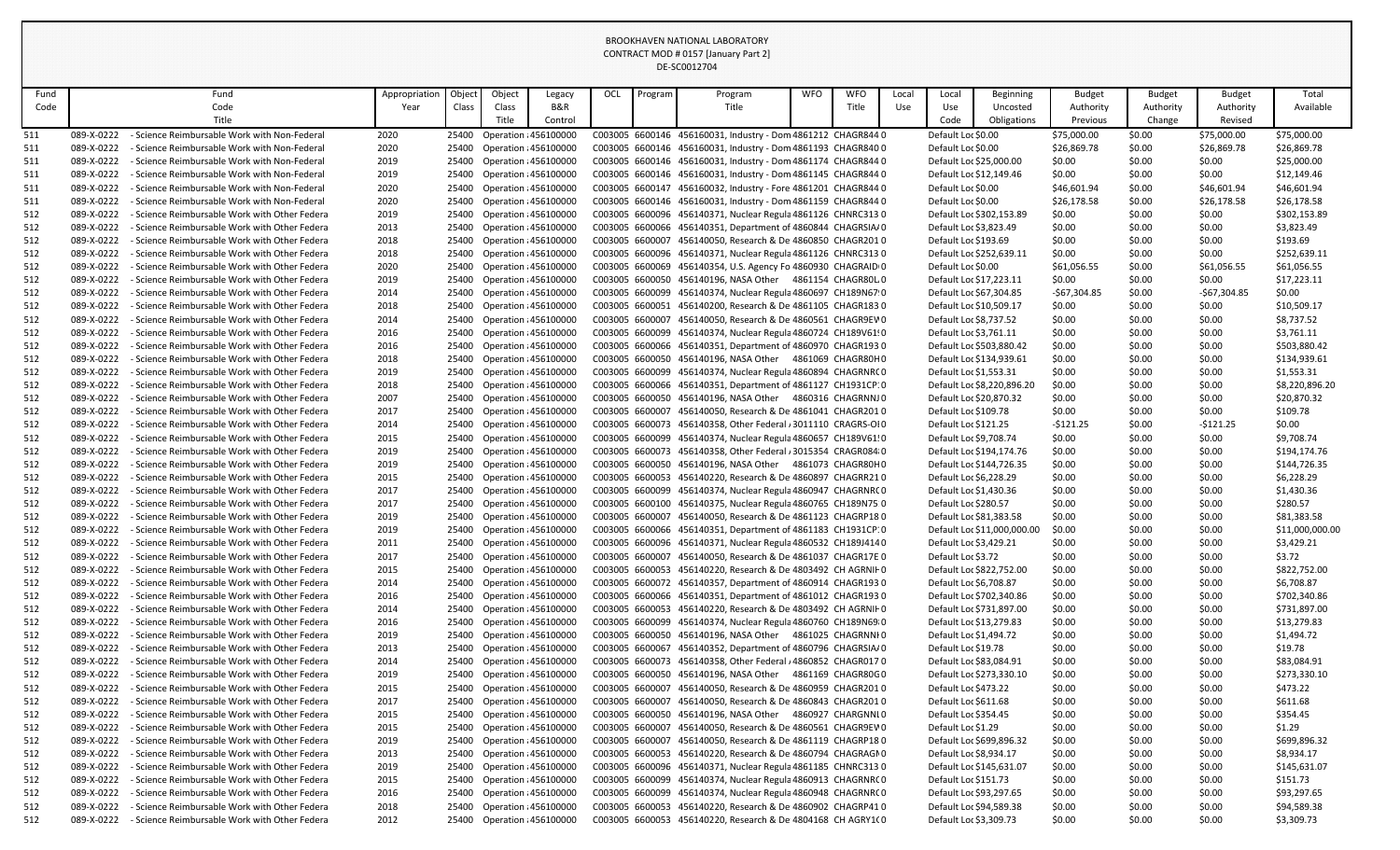| Fund       |                          | Fund                                                                                           | Appropriation | Object | Object                                                     | Legacy  | OCL             | Program | Program                                                                                                                     | <b>WFO</b> | <b>WFO</b> | Local | Local                    | <b>Beginning</b>            | <b>Budget</b>    | <b>Budget</b>    | <b>Budget</b>    | Total                          |
|------------|--------------------------|------------------------------------------------------------------------------------------------|---------------|--------|------------------------------------------------------------|---------|-----------------|---------|-----------------------------------------------------------------------------------------------------------------------------|------------|------------|-------|--------------------------|-----------------------------|------------------|------------------|------------------|--------------------------------|
| Code       |                          | Code                                                                                           | Year          | Class  | Class                                                      | B&R     |                 |         | Title                                                                                                                       |            | Title      | Use   | Use                      | Uncosted                    | Authority        | Authority        | Authority        | Available                      |
|            |                          | Title                                                                                          |               |        | Title                                                      | Control |                 |         |                                                                                                                             |            |            |       | Code                     | Obligations                 | Previous         | Change           | Revised          |                                |
| 511        | 089-X-0222               | - Science Reimbursable Work with Non-Federal                                                   | 2020          |        | 25400 Operation : 456100000                                |         |                 |         | C003005 6600146 456160031, Industry - Dom 4861212 CHAGR844 0                                                                |            |            |       | Default Loc \$0.00       |                             | \$75,000.00      | \$0.00           | \$75,000.00      | \$75,000.00                    |
| 511        | 089-X-0222               | - Science Reimbursable Work with Non-Federal                                                   | 2020          |        | 25400 Operation : 456100000                                |         |                 |         | C003005 6600146 456160031, Industry - Dom 4861193 CHAGR840 0                                                                |            |            |       | Default Loc \$0.00       |                             | \$26,869.78      | \$0.00           | \$26,869.78      | \$26,869.78                    |
| 511        | 089-X-0222               | - Science Reimbursable Work with Non-Federal                                                   | 2019          | 25400  | Operation : 456100000                                      |         |                 |         | C003005 6600146 456160031, Industry - Dom 4861174 CHAGR844 0                                                                |            |            |       | Default Loc \$25,000.00  |                             | \$0.00           | \$0.00           | \$0.00           | \$25,000.00                    |
| 511        | 089-X-0222               | - Science Reimbursable Work with Non-Federal                                                   | 2019          | 25400  | Operation : 456100000                                      |         |                 |         | C003005 6600146 456160031, Industry - Dom 4861145 CHAGR844 0                                                                |            |            |       | Default Loc \$12,149.46  |                             | \$0.00           | \$0.00           | \$0.00           | \$12,149.46                    |
| 511        | 089-X-0222               | - Science Reimbursable Work with Non-Federal                                                   | 2020          |        | 25400 Operation : 456100000                                |         |                 |         | C003005 6600147 456160032, Industry - Fore 4861201 CHAGR844 0                                                               |            |            |       | Default Loc \$0.00       |                             | \$46,601.94      | \$0.00           | \$46,601.94      | \$46,601.94                    |
| 511        | 089-X-0222               | - Science Reimbursable Work with Non-Federal                                                   | 2020          |        | 25400 Operation : 456100000                                |         |                 |         | C003005 6600146 456160031, Industry - Dom 4861159 CHAGR844 0                                                                |            |            |       | Default Loc \$0.00       |                             | \$26,178.58      | \$0.00           | \$26,178.58      | \$26,178.58                    |
| 512        | 089-X-0222               | - Science Reimbursable Work with Other Federa                                                  | 2019          | 25400  | Operation : 456100000                                      |         |                 |         | C003005 6600096 456140371, Nuclear Regula 4861126 CHNRC313 0                                                                |            |            |       | Default Loc \$302,153.89 |                             | \$0.00           | \$0.00           | \$0.00           | \$302,153.89                   |
| 512        | 089-X-0222               | - Science Reimbursable Work with Other Federa                                                  | 2013          |        | 25400 Operation : 456100000                                |         |                 |         | C003005 6600066 456140351, Department of 4860844 CHAGRSIA/0                                                                 |            |            |       | Default Loc \$3,823.49   |                             | \$0.00           | \$0.00           | \$0.00           | \$3,823.49                     |
| 512        | 089-X-0222               | - Science Reimbursable Work with Other Federa                                                  | 2018          | 25400  | Operation : 456100000                                      |         | C003005 6600007 |         | 456140050, Research & De 4860850 CHAGR2010                                                                                  |            |            |       | Default Loc \$193.69     |                             | \$0.00           | \$0.00           | \$0.00           | \$193.69                       |
| 512        | 089-X-0222               | - Science Reimbursable Work with Other Federa                                                  | 2018          | 25400  | Operation : 456100000                                      |         |                 |         | C003005 6600096 456140371, Nuclear Regula 4861126 CHNRC3130                                                                 |            |            |       | Default Loc \$252,639.11 |                             | \$0.00           | \$0.00           | \$0.00           | \$252,639.11                   |
| 512        | 089-X-0222               | - Science Reimbursable Work with Other Federa                                                  | 2020          |        | 25400 Operation : 456100000                                |         |                 |         | C003005 6600069 456140354, U.S. Agency Fo 4860930 CHAGRAID 0                                                                |            |            |       | Default Loc \$0.00       |                             | \$61,056.55      | \$0.00           | \$61,056.55      | \$61,056.55                    |
| 512        | 089-X-0222               | - Science Reimbursable Work with Other Federa                                                  | 2019          | 25400  | <b>Operation : 456100000</b>                               |         |                 |         | C003005 6600050 456140196, NASA Other 4861154 CHAGR80L 0                                                                    |            |            |       | Default Loc \$17,223.11  |                             | \$0.00           | \$0.00           | \$0.00           | \$17,223.11                    |
| 512        | 089-X-0222               | - Science Reimbursable Work with Other Federa                                                  | 2014          | 25400  | Operation : 456100000                                      |         |                 |         | C003005 6600099 456140374, Nuclear Regula 4860697 CH189N67 0                                                                |            |            |       | Default Loc \$67,304.85  |                             | $-$67,304.85$    | \$0.00           | -\$67,304.85     | \$0.00                         |
| 512        | 089-X-0222               | - Science Reimbursable Work with Other Federa                                                  | 2018          |        | 25400 Operation : 456100000                                |         |                 |         | C003005 6600051 456140200, Research & De 4861105 CHAGR1830                                                                  |            |            |       | Default Loc \$10,509.17  |                             | \$0.00           | \$0.00           | \$0.00           | \$10,509.17                    |
| 512        | 089-X-0222               | - Science Reimbursable Work with Other Federa                                                  | 2014          | 25400  | Operation : 456100000                                      |         | C003005 6600007 |         | 456140050, Research & De 4860561 CHAGR9EV 0                                                                                 |            |            |       | Default Loc \$8,737.52   |                             | \$0.00           | \$0.00           | \$0.00           | \$8,737.52                     |
| 512        | 089-X-0222               | - Science Reimbursable Work with Other Federa                                                  | 2016          |        | 25400 Operation : 456100000                                |         |                 |         | C003005 6600099 456140374, Nuclear Regula 4860724 CH189V61!0                                                                |            |            |       | Default Loc \$3,761.11   |                             | \$0.00           | \$0.00           | \$0.00           | \$3,761.11                     |
| 512        | 089-X-0222               | - Science Reimbursable Work with Other Federa                                                  | 2016          |        | 25400 Operation : 456100000                                |         |                 |         | C003005 6600066 456140351, Department of 4860970 CHAGR1930                                                                  |            |            |       | Default Loc \$503,880.42 |                             | \$0.00           | \$0.00           | \$0.00           | \$503,880.42                   |
| 512        | 089-X-0222               | - Science Reimbursable Work with Other Federa                                                  | 2018          | 25400  | Operation : 456100000                                      |         |                 |         | C003005 6600050 456140196, NASA Other 4861069 CHAGR80H0                                                                     |            |            |       | Default Loc \$134,939.61 |                             | \$0.00           | \$0.00           | \$0.00           | \$134,939.61                   |
| 512        | 089-X-0222               | - Science Reimbursable Work with Other Federa                                                  | 2019          | 25400  | Operation : 456100000                                      |         |                 |         | C003005 6600099 456140374, Nuclear Regula 4860894 CHAGRNRCO                                                                 |            |            |       | Default Loc \$1,553.31   |                             | \$0.00           | \$0.00           | \$0.00           | \$1,553.31                     |
| 512        | 089-X-0222               | - Science Reimbursable Work with Other Federa                                                  | 2018          | 25400  | Operation : 456100000                                      |         |                 |         | C003005 6600066 456140351, Department of 4861127 CH1931CP:0                                                                 |            |            |       |                          | Default Loc \$8,220,896.20  | \$0.00           | \$0.00           | \$0.00           | \$8,220,896.20                 |
| 512        | 089-X-0222               | - Science Reimbursable Work with Other Federa                                                  | 2007          | 25400  | Operation : 456100000                                      |         |                 |         | C003005 6600050 456140196, NASA Other 4860316 CHAGRNNJ0                                                                     |            |            |       | Default Loc \$20,870.32  |                             | \$0.00           | \$0.00           | \$0.00           | \$20,870.32                    |
| 512        | 089-X-0222               | - Science Reimbursable Work with Other Federa                                                  | 2017          |        | 25400 Operation : 456100000                                |         |                 |         | C003005 6600007 456140050, Research & De 4861041 CHAGR2010                                                                  |            |            |       | Default Loc \$109.78     |                             | \$0.00           | \$0.00           | \$0.00           | \$109.78                       |
| 512        | 089-X-0222               | - Science Reimbursable Work with Other Federa                                                  | 2014          | 25400  | Operation : 456100000                                      |         |                 |         | C003005 6600073 456140358, Other Federal / 3011110 CRAGRS-OI0                                                               |            |            |       | Default Loc \$121.25     |                             | -\$121.25        | \$0.00           | $-5121.25$       | \$0.00                         |
| 512        | 089-X-0222               | - Science Reimbursable Work with Other Federa                                                  | 2015          | 25400  | Operation : 456100000                                      |         |                 |         | C003005 6600099 456140374, Nuclear Regula 4860657 CH189V61!0                                                                |            |            |       | Default Loc \$9,708.74   |                             | \$0.00           | \$0.00           | \$0.00           | \$9,708.74                     |
| 512        | 089-X-0222               | - Science Reimbursable Work with Other Federa                                                  | 2019          |        | 25400 Operation : 456100000                                |         |                 |         | C003005 6600073 456140358, Other Federal / 3015354 CRAGR084 0                                                               |            |            |       | Default Loc \$194,174.76 |                             | \$0.00           | \$0.00           | \$0.00           | \$194,174.76                   |
| 512        | 089-X-0222               | - Science Reimbursable Work with Other Federa                                                  | 2019          |        | 25400 Operation : 456100000                                |         |                 |         | C003005 6600050 456140196, NASA Other 4861073 CHAGR80H0                                                                     |            |            |       | Default Loc \$144,726.35 |                             | \$0.00           | \$0.00           | \$0.00           | \$144,726.35                   |
| 512        |                          | 089-X-0222 - Science Reimbursable Work with Other Federa                                       | 2015          |        | 25400 Operation : 456100000                                |         |                 |         | C003005 6600053 456140220, Research & De 4860897 CHAGRR210                                                                  |            |            |       | Default Loc \$6,228.29   |                             | \$0.00           | \$0.00           | \$0.00           | \$6,228.29                     |
| 512        | 089-X-0222               | - Science Reimbursable Work with Other Federa<br>- Science Reimbursable Work with Other Federa | 2017          | 25400  | <b>Operation : 456100000</b>                               |         |                 |         | C003005 6600099 456140374, Nuclear Regula 4860947 CHAGRNRCO<br>C003005 6600100 456140375, Nuclear Regula 4860765 CH189N75 0 |            |            |       | Default Loc \$1,430.36   |                             | \$0.00           | \$0.00           | \$0.00           | \$1,430.36                     |
| 512        | 089-X-0222<br>089-X-0222 |                                                                                                | 2017          |        | 25400 Operation : 456100000                                |         |                 |         |                                                                                                                             |            |            |       | Default Loc \$280.57     |                             | \$0.00           | \$0.00           | \$0.00           | \$280.57                       |
| 512        | 089-X-0222               | - Science Reimbursable Work with Other Federa<br>- Science Reimbursable Work with Other Federa | 2019<br>2019  |        | 25400 Operation : 456100000<br>25400 Operation : 456100000 |         |                 |         | C003005 6600007 456140050, Research & De 4861123 CHAGRP180<br>C003005 6600066 456140351, Department of 4861183 CH1931CP:0   |            |            |       | Default Loc \$81,383.58  | Default Loc \$11,000,000.00 | \$0.00<br>\$0.00 | \$0.00<br>\$0.00 | \$0.00<br>\$0.00 | \$81,383.58<br>\$11,000,000.00 |
| 512<br>512 | 089-X-0222               | - Science Reimbursable Work with Other Federa                                                  | 2011          | 25400  | Operation : 456100000                                      |         |                 |         | C003005 6600096 456140371, Nuclear Regula 4860532 CH189J4140                                                                |            |            |       | Default Loc \$3,429.21   |                             | \$0.00           | \$0.00           | \$0.00           | \$3,429.21                     |
| 512        | 089-X-0222               | - Science Reimbursable Work with Other Federa                                                  | 2017          |        | 25400 Operation : 456100000                                |         |                 |         | C003005 6600007 456140050, Research & De 4861037 CHAGR17E 0                                                                 |            |            |       | Default Loc \$3.72       |                             | \$0.00           | \$0.00           | \$0.00           | \$3.72                         |
| 512        | 089-X-0222               | - Science Reimbursable Work with Other Federa                                                  | 2015          | 25400  | Operation : 456100000                                      |         |                 |         | C003005 6600053 456140220, Research & De 4803492 CH AGRNIF 0                                                                |            |            |       | Default Loc \$822,752.00 |                             | \$0.00           | \$0.00           | \$0.00           | \$822,752.00                   |
| 512        | 089-X-0222               | - Science Reimbursable Work with Other Federa                                                  | 2014          |        | 25400 Operation : 456100000                                |         |                 |         | C003005 6600072 456140357, Department of 4860914 CHAGR193 0                                                                 |            |            |       | Default Loc \$6,708.87   |                             | \$0.00           | \$0.00           | \$0.00           | \$6,708.87                     |
| 512        | 089-X-0222               | - Science Reimbursable Work with Other Federa                                                  | 2016          |        | 25400 Operation : 456100000                                |         |                 |         | C003005 6600066 456140351, Department of 4861012 CHAGR193 0                                                                 |            |            |       | Default Loc \$702,340.86 |                             | \$0.00           | \$0.00           | \$0.00           | \$702,340.86                   |
| 512        | 089-X-0222               | - Science Reimbursable Work with Other Federa                                                  | 2014          | 25400  | <b>Operation : 456100000</b>                               |         |                 |         | C003005 6600053 456140220, Research & De 4803492 CH AGRNIF 0                                                                |            |            |       | Default Loc \$731,897.00 |                             | \$0.00           | \$0.00           | \$0.00           | \$731,897.00                   |
| 512        | 089-X-0222               | - Science Reimbursable Work with Other Federa                                                  | 2016          | 25400  | Operation : 456100000                                      |         |                 |         | C003005 6600099 456140374, Nuclear Regula 4860760 CH189N69 0                                                                |            |            |       | Default Loc \$13,279.83  |                             | \$0.00           | \$0.00           | \$0.00           | \$13,279.83                    |
| 512        | 089-X-0222               | - Science Reimbursable Work with Other Federa                                                  | 2019          |        | 25400 Operation : 456100000                                |         |                 |         | C003005 6600050 456140196, NASA Other 4861025 CHAGRNNI0                                                                     |            |            |       | Default Loc \$1,494.72   |                             | \$0.00           | \$0.00           | \$0.00           | \$1,494.72                     |
| 512        | 089-X-0222               | - Science Reimbursable Work with Other Federa                                                  | 2013          | 25400  | Operation : 456100000                                      |         | C003005 6600067 |         | 456140352, Department of 4860796 CHAGRSIA/0                                                                                 |            |            |       | Default Loc \$19.78      |                             | \$0.00           | \$0.00           | \$0.00           | \$19.78                        |
| 512        | 089-X-0222               | - Science Reimbursable Work with Other Federa                                                  | 2014          |        | 25400 Operation : 456100000                                |         |                 |         | C003005 6600073 456140358, Other Federal / 4860852 CHAGR017 0                                                               |            |            |       | Default Loc \$83,084.91  |                             | \$0.00           | \$0.00           | \$0.00           | \$83,084.91                    |
| 512        | 089-X-0222               | - Science Reimbursable Work with Other Federa                                                  | 2019          |        | 25400 Operation : 456100000                                |         |                 |         | C003005 6600050 456140196, NASA Other 4861169 CHAGR80G0                                                                     |            |            |       | Default Loc \$273,330.10 |                             | \$0.00           | \$0.00           | \$0.00           | \$273,330.10                   |
| 512        | 089-X-0222               | - Science Reimbursable Work with Other Federa                                                  | 2015          | 25400  | Operation : 456100000                                      |         |                 |         | C003005 6600007 456140050, Research & De 4860959 CHAGR2010                                                                  |            |            |       | Default Loc \$473.22     |                             | \$0.00           | \$0.00           | \$0.00           | \$473.22                       |
| 512        | 089-X-0222               | - Science Reimbursable Work with Other Federa                                                  | 2017          |        | 25400 Operation : 456100000                                |         | C003005 6600007 |         | 456140050, Research & De 4860843 CHAGR2010                                                                                  |            |            |       | Default Loc \$611.68     |                             | \$0.00           | \$0.00           | \$0.00           | \$611.68                       |
| 512        | 089-X-0222               | - Science Reimbursable Work with Other Federa                                                  | 2015          | 25400  | Operation : 456100000                                      |         |                 |         | C003005 6600050 456140196, NASA Other 4860927 CHARGNNI0                                                                     |            |            |       | Default Loc \$354.45     |                             | \$0.00           | \$0.00           | \$0.00           | \$354.45                       |
| 512        | 089-X-0222               | - Science Reimbursable Work with Other Federa                                                  | 2015          | 25400  | Operation : 456100000                                      |         | C003005 6600007 |         | 456140050, Research & De 4860561 CHAGR9EV 0                                                                                 |            |            |       | Default Loc \$1.29       |                             | \$0.00           | \$0.00           | \$0.00           | \$1.29                         |
| 512        | 089-X-0222               | - Science Reimbursable Work with Other Federa                                                  | 2019          |        | 25400 Operation : 456100000                                |         | C003005 6600007 |         | 456140050, Research & De 4861119 CHAGRP180                                                                                  |            |            |       | Default Loc \$699,896.32 |                             | \$0.00           | \$0.00           | \$0.00           | \$699,896.32                   |
| 512        | 089-X-0222               | - Science Reimbursable Work with Other Federa                                                  | 2013          | 25400  | Operation : 456100000                                      |         |                 |         | C003005 6600053 456140220, Research & De 4860794 CHAGRAGN0                                                                  |            |            |       | Default Loc \$8,934.17   |                             | \$0.00           | \$0.00           | \$0.00           | \$8,934.17                     |
| 512        | 089-X-0222               | - Science Reimbursable Work with Other Federa                                                  | 2019          | 25400  | <b>Operation : 456100000</b>                               |         |                 |         | C003005 6600096 456140371, Nuclear Regula 4861185 CHNRC3130                                                                 |            |            |       | Default Loc \$145,631.07 |                             | \$0.00           | \$0.00           | \$0.00           | \$145,631.07                   |
| 512        | 089-X-0222               | - Science Reimbursable Work with Other Federa                                                  | 2015          |        | 25400 Operation : 456100000                                |         |                 |         | C003005 6600099 456140374, Nuclear Regula 4860913 CHAGRNRCO                                                                 |            |            |       | Default Loc \$151.73     |                             | \$0.00           | \$0.00           | \$0.00           | \$151.73                       |
| 512        | 089-X-0222               | - Science Reimbursable Work with Other Federa                                                  | 2016          |        | 25400 Operation : 456100000                                |         |                 |         | C003005 6600099 456140374, Nuclear Regula 4860948 CHAGRNRCO                                                                 |            |            |       | Default Loc \$93,297.65  |                             | \$0.00           | \$0.00           | \$0.00           | \$93,297.65                    |
| 512        | 089-X-0222               | - Science Reimbursable Work with Other Federa                                                  | 2018          |        | 25400 Operation : 456100000                                |         |                 |         | C003005 6600053 456140220, Research & De 4860902 CHAGRP410                                                                  |            |            |       | Default Loc \$94,589.38  |                             | \$0.00           | \$0.00           | \$0.00           | \$94,589.38                    |
| 512        | 089-X-0222               | - Science Reimbursable Work with Other Federa                                                  | 2012          |        | 25400 Operation : 456100000                                |         |                 |         | C003005 6600053 456140220, Research & De 4804168 CH AGRY1(0                                                                 |            |            |       | Default Loc \$3,309.73   |                             | \$0.00           | \$0.00           | \$0.00           | \$3,309.73                     |
|            |                          |                                                                                                |               |        |                                                            |         |                 |         |                                                                                                                             |            |            |       |                          |                             |                  |                  |                  |                                |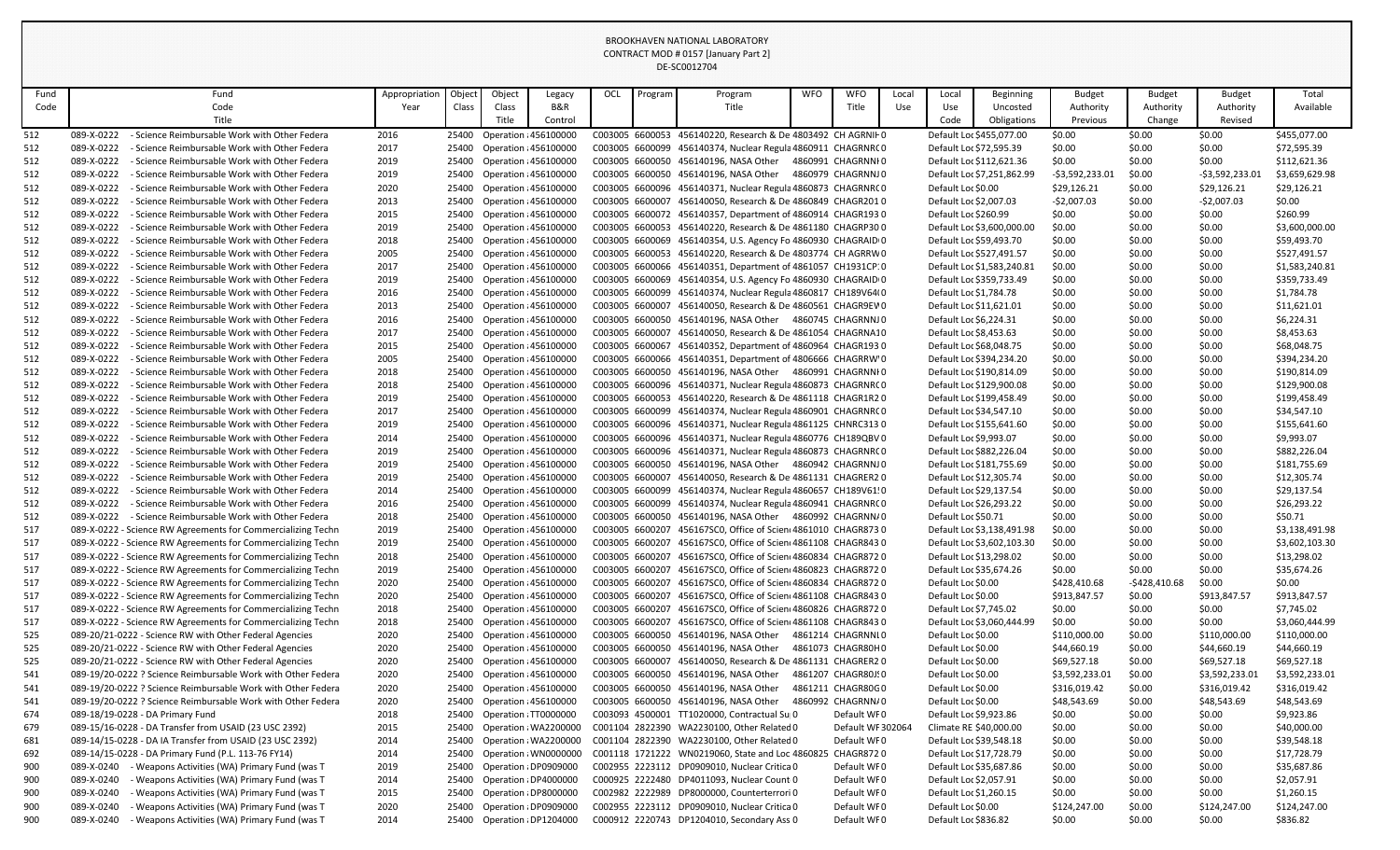| Fund       | Fund                                                                                                                         | Appropriation | Object         | Object                                                | Legacy  | OCL                                | Program | Program                                                                                      | <b>WFO</b> | <b>WFO</b>         | Local | Local                                              | <b>Beginning</b>           | <b>Budget</b>    | <b>Budget</b>    | <b>Budget</b>    | Total                      |
|------------|------------------------------------------------------------------------------------------------------------------------------|---------------|----------------|-------------------------------------------------------|---------|------------------------------------|---------|----------------------------------------------------------------------------------------------|------------|--------------------|-------|----------------------------------------------------|----------------------------|------------------|------------------|------------------|----------------------------|
| Code       | Code                                                                                                                         | Year          | Class          | Class                                                 | B&R     |                                    |         | Title                                                                                        |            | Title              | Use   | Use                                                | Uncosted                   | Authority        | Authority        | Authority        | Available                  |
|            | Title                                                                                                                        |               |                | Title                                                 | Control |                                    |         |                                                                                              |            |                    |       | Code                                               | Obligations                | Previous         | Change           | Revised          |                            |
| 512        | - Science Reimbursable Work with Other Federa<br>089-X-0222                                                                  | 2016          |                | 25400 Operation : 456100000                           |         |                                    |         | C003005 6600053 456140220, Research & De 4803492 CH AGRNIF 0                                 |            |                    |       | Default Loc \$455,077.00                           |                            | \$0.00           | \$0.00           | \$0.00           | \$455,077.00               |
| 512        | - Science Reimbursable Work with Other Federa<br>089-X-0222                                                                  | 2017          |                | 25400 Operation : 456100000                           |         |                                    |         | C003005 6600099 456140374, Nuclear Regula 4860911 CHAGRNRCO                                  |            |                    |       | Default Loc \$72,595.39                            |                            | \$0.00           | \$0.00           | \$0.00           | \$72,595.39                |
| 512        | 089-X-0222<br>- Science Reimbursable Work with Other Federa                                                                  | 2019          | 25400          | Operation : 456100000                                 |         |                                    |         | C003005 6600050 456140196, NASA Other 4860991 CHAGRNNI0                                      |            |                    |       | Default Loc \$112,621.36                           |                            | \$0.00           | \$0.00           | \$0.00           | \$112,621.36               |
| 512        | 089-X-0222<br>- Science Reimbursable Work with Other Federa                                                                  | 2019          | 25400          | <b>Operation : 456100000</b>                          |         |                                    |         | C003005 6600050 456140196, NASA Other                                                        |            | 4860979 CHAGRNNJ0  |       |                                                    | Default Loc \$7,251,862.99 | -\$3,592,233.01  | \$0.00           | -\$3,592,233.01  | \$3,659,629.98             |
| 512        | 089-X-0222<br>- Science Reimbursable Work with Other Federa                                                                  | 2020          |                | 25400 Operation : 456100000                           |         |                                    |         | C003005 6600096 456140371, Nuclear Regula 4860873 CHAGRNRCO                                  |            |                    |       | Default Loc \$0.00                                 |                            | \$29,126.21      | \$0.00           | \$29,126.21      | \$29,126.21                |
| 512        | 089-X-0222<br>- Science Reimbursable Work with Other Federa                                                                  | 2013          | 25400          | <b>Operation : 456100000</b>                          |         | C003005 6600007                    |         | 456140050, Research & De 4860849 CHAGR2010                                                   |            |                    |       | Default Loc \$2,007.03                             |                            | $-52,007.03$     | \$0.00           | $-52,007.03$     | \$0.00                     |
| 512        | 089-X-0222<br>- Science Reimbursable Work with Other Federa                                                                  | 2015          | 25400          | <b>Operation : 456100000</b>                          |         |                                    |         | C003005 6600072 456140357, Department of 4860914 CHAGR1930                                   |            |                    |       | Default Loc \$260.99                               |                            | \$0.00           | \$0.00           | \$0.00           | \$260.99                   |
| 512        | 089-X-0222<br>- Science Reimbursable Work with Other Federa                                                                  | 2019          |                | 25400 Operation : 456100000                           |         |                                    |         | C003005 6600053 456140220, Research & De 4861180 CHAGRP300                                   |            |                    |       |                                                    | Default Loc \$3,600,000.00 | \$0.00           | \$0.00           | \$0.00           | \$3,600,000.00             |
| 512        | - Science Reimbursable Work with Other Federa<br>089-X-0222                                                                  | 2018          | 25400          | <b>Operation : 456100000</b>                          |         | C003005 6600069                    |         | 456140354, U.S. Agency Fo 4860930 CHAGRAID 0                                                 |            |                    |       | Default Loc \$59,493.70                            |                            | \$0.00           | \$0.00           | \$0.00           | \$59,493.70                |
| 512        | 089-X-0222<br>- Science Reimbursable Work with Other Federa                                                                  | 2005          |                | 25400 Operation : 456100000                           |         |                                    |         | C003005 6600053 456140220, Research & De 4803774 CH AGRRW0                                   |            |                    |       | Default Loc \$527,491.57                           |                            | \$0.00           | \$0.00           | \$0.00           | \$527,491.57               |
| 512        | 089-X-0222<br>- Science Reimbursable Work with Other Federa                                                                  | 2017          |                | 25400 Operation : 456100000                           |         |                                    |         | C003005 6600066 456140351, Department of 4861057 CH1931CP:0                                  |            |                    |       |                                                    | Default Loc \$1,583,240.81 | \$0.00           | \$0.00           | \$0.00           | \$1,583,240.81             |
| 512        | 089-X-0222<br>- Science Reimbursable Work with Other Federa                                                                  | 2019          | 25400          | Operation : 456100000                                 |         |                                    |         | C003005 6600069 456140354, U.S. Agency Fo 4860930 CHAGRAID 0                                 |            |                    |       | Default Loc \$359,733.49                           |                            | \$0.00           | \$0.00           | \$0.00           | \$359,733.49               |
| 512        | 089-X-0222<br>- Science Reimbursable Work with Other Federa                                                                  | 2016          | 25400          | Operation : 456100000                                 |         | C003005 6600099                    |         | 456140374, Nuclear Regula 4860817 CH189V64(0                                                 |            |                    |       | Default Loc \$1,784.78                             |                            | \$0.00           | \$0.00           | \$0.00           | \$1,784.78                 |
| 512        | 089-X-0222<br>- Science Reimbursable Work with Other Federa                                                                  | 2013          | 25400          | Operation : 456100000                                 |         | C003005 6600007                    |         | 456140050, Research & De 4860561 CHAGR9EV 0                                                  |            |                    |       | Default Loc \$11,621.01                            |                            | \$0.00           | \$0.00           | \$0.00           | \$11,621.01                |
| 512        | 089-X-0222<br>- Science Reimbursable Work with Other Federa                                                                  | 2016          | 25400          | Operation : 456100000                                 |         |                                    |         | C003005 6600050 456140196, NASA Other 4860745 CHAGRNNJ0                                      |            |                    |       | Default Loc \$6,224.31                             |                            | \$0.00           | \$0.00           | \$0.00           | \$6,224.31                 |
| 512        | 089-X-0222<br>- Science Reimbursable Work with Other Federa                                                                  | 2017          |                | 25400 Operation : 456100000                           |         | C003005 6600007                    |         | 456140050, Research & De 4861054 CHAGRNA10                                                   |            |                    |       | Default Loc \$8,453.63                             |                            | \$0.00           | \$0.00           | \$0.00           | \$8,453.63                 |
| 512        | 089-X-0222<br>- Science Reimbursable Work with Other Federa                                                                  | 2015          | 25400          | Operation : 456100000                                 |         |                                    |         | C003005 6600067 456140352, Department of 4860964 CHAGR193 0                                  |            |                    |       | Default Loc \$68,048.75                            |                            | \$0.00           | \$0.00           | \$0.00           | \$68,048.75                |
| 512        | 089-X-0222<br>- Science Reimbursable Work with Other Federa                                                                  | 2005          | 25400          | Operation : 456100000                                 |         |                                    |         | C003005 6600066 456140351, Department of 4806666 CHAGRRW'0                                   |            |                    |       | Default Loc \$394,234.20                           |                            | \$0.00           | \$0.00           | \$0.00           | \$394,234.20               |
| 512        | 089-X-0222<br>- Science Reimbursable Work with Other Federa                                                                  | 2018          |                | 25400 Operation : 456100000                           |         |                                    |         | C003005 6600050 456140196, NASA Other 4860991 CHAGRNNI0                                      |            |                    |       | Default Loc \$190,814.09                           |                            | \$0.00           | \$0.00           | \$0.00           | \$190,814.09               |
| 512        | 089-X-0222<br>- Science Reimbursable Work with Other Federa                                                                  | 2018          | 25400          | <b>Operation : 456100000</b>                          |         |                                    |         | C003005 6600096 456140371, Nuclear Regula 4860873 CHAGRNRCO                                  |            |                    |       | Default Loc \$129,900.08                           |                            | \$0.00           | \$0.00           | \$0.00           | \$129,900.08               |
| 512        | 089-X-0222<br>- Science Reimbursable Work with Other Federa                                                                  | 2019          | 25400          | Operation : 456100000                                 |         |                                    |         | C003005 6600053 456140220, Research & De 4861118 CHAGR1R20                                   |            |                    |       | Default Loc \$199,458.49                           |                            | \$0.00           | \$0.00           | \$0.00           | \$199,458.49               |
| 512        | 089-X-0222<br>- Science Reimbursable Work with Other Federa                                                                  | 2017          |                | 25400 Operation : 456100000                           |         |                                    |         | C003005 6600099 456140374, Nuclear Regula 4860901 CHAGRNRCO                                  |            |                    |       | Default Loc \$34,547.10                            |                            | \$0.00           | \$0.00           | \$0.00           | \$34,547.10                |
| 512        | 089-X-0222<br>- Science Reimbursable Work with Other Federa                                                                  | 2019          | 25400          | <b>Operation : 456100000</b>                          |         |                                    |         | C003005 6600096 456140371, Nuclear Regula 4861125 CHNRC313 0                                 |            |                    |       | Default Loc \$155,641.60                           |                            | \$0.00           | \$0.00           | \$0.00           | \$155,641.60               |
| 512        | 089-X-0222<br>- Science Reimbursable Work with Other Federa                                                                  | 2014          | 25400          | Operation : 456100000                                 |         | C003005 6600096                    |         | 456140371, Nuclear Regula 4860776 CH189QBV 0                                                 |            |                    |       | Default Loc \$9,993.07                             |                            | \$0.00           | \$0.00           | \$0.00           | \$9,993.07                 |
| 512        | 089-X-0222<br>- Science Reimbursable Work with Other Federa                                                                  | 2019          |                | 25400 Operation : 456100000                           |         |                                    |         | C003005 6600096 456140371, Nuclear Regula 4860873 CHAGRNRCO                                  |            |                    |       | Default Loc \$882,226.04                           |                            | \$0.00           | \$0.00           | \$0.00           | \$882,226.04               |
| 512        | 089-X-0222<br>- Science Reimbursable Work with Other Federa                                                                  | 2019          |                | 25400 Operation : 456100000                           |         |                                    |         | C003005 6600050 456140196, NASA Other 4860942 CHAGRNNJ0                                      |            |                    |       | Default Loc \$181,755.69                           |                            | \$0.00           | \$0.00           | \$0.00           | \$181,755.69               |
| 512        | 089-X-0222<br>- Science Reimbursable Work with Other Federa                                                                  | 2019          |                | 25400 Operation : 456100000                           |         |                                    |         | C003005 6600007 456140050, Research & De 4861131 CHAGRER20                                   |            |                    |       | Default Loc \$12,305.74                            |                            | \$0.00           | \$0.00           | \$0.00           | \$12,305.74                |
| 512        | 089-X-0222<br>- Science Reimbursable Work with Other Federa                                                                  | 2014          | 25400          | Operation : 456100000                                 |         |                                    |         | C003005 6600099 456140374, Nuclear Regula 4860657 CH189V61!0                                 |            |                    |       | Default Loc \$29,137.54                            |                            | \$0.00           | \$0.00           | \$0.00           | \$29,137.54                |
| 512        | - Science Reimbursable Work with Other Federa<br>089-X-0222                                                                  | 2016          |                | 25400 Operation : 456100000                           |         |                                    |         | C003005 6600099 456140374, Nuclear Regula 4860941 CHAGRNRCO                                  |            |                    |       | Default Loc \$26,293.22                            |                            | \$0.00           | \$0.00           | \$0.00           | \$26,293.22                |
| 512        | 089-X-0222 - Science Reimbursable Work with Other Federa                                                                     | 2018          |                | 25400 Operation : 456100000                           |         | C003005 6600207                    |         | C003005 6600050 456140196, NASA Other 4860992 CHAGRNN/0                                      |            |                    |       | Default Loc \$50.71                                |                            | \$0.00           | \$0.00           | \$0.00           | \$50.71                    |
| 517        | 089-X-0222 - Science RW Agreements for Commercializing Techn<br>089-X-0222 - Science RW Agreements for Commercializing Techn | 2019          | 25400          | Operation : 456100000                                 |         |                                    |         | 456167SC0, Office of Scien 4861010 CHAGR8730                                                 |            |                    |       |                                                    | Default Loc \$3,138,491.98 | \$0.00           | \$0.00           | \$0.00           | \$3,138,491.98             |
| 517        |                                                                                                                              | 2019          | 25400          | Operation : 456100000                                 |         | C003005 6600207                    |         | 456167SC0, Office of Scien 4861108 CHAGR8430                                                 |            |                    |       |                                                    | Default Loc \$3,602,103.30 | \$0.00           | \$0.00           | \$0.00           | \$3,602,103.30             |
| 517        | 089-X-0222 - Science RW Agreements for Commercializing Techn<br>089-X-0222 - Science RW Agreements for Commercializing Techn | 2018          | 25400          | Operation : 456100000<br><b>Operation : 456100000</b> |         | C003005 6600207<br>C003005 6600207 |         | 456167SC0, Office of Scien 4860834 CHAGR8720<br>456167SC0, Office of Scien 4860823 CHAGR8720 |            |                    |       | Default Loc \$13,298.02<br>Default Loc \$35,674.26 |                            | \$0.00<br>\$0.00 | \$0.00<br>\$0.00 | \$0.00           | \$13,298.02<br>\$35,674.26 |
| 517<br>517 | 089-X-0222 - Science RW Agreements for Commercializing Techn                                                                 | 2019<br>2020  | 25400<br>25400 | Operation : 456100000                                 |         | C003005 6600207                    |         | 456167SC0, Office of Scien 4860834 CHAGR8720                                                 |            |                    |       | Default Loc \$0.00                                 |                            | \$428,410.68     | $-$428,410.68$   | \$0.00<br>\$0.00 | \$0.00                     |
| 517        | 089-X-0222 - Science RW Agreements for Commercializing Techn                                                                 | 2020          |                | 25400 Operation : 456100000                           |         | C003005 6600207                    |         | 456167SC0, Office of Scien 4861108 CHAGR8430                                                 |            |                    |       | Default Loc \$0.00                                 |                            | \$913,847.57     | \$0.00           | \$913,847.57     | \$913,847.57               |
| 517        | 089-X-0222 - Science RW Agreements for Commercializing Techn                                                                 | 2018          | 25400          | <b>Operation : 456100000</b>                          |         | C003005 6600207                    |         | 456167SC0, Office of Scien 4860826 CHAGR8720                                                 |            |                    |       | Default Loc \$7,745.02                             |                            | \$0.00           | \$0.00           | \$0.00           | \$7,745.02                 |
| 517        | 089-X-0222 - Science RW Agreements for Commercializing Techn                                                                 | 2018          | 25400          | Operation : 456100000                                 |         | C003005 6600207                    |         | 456167SC0, Office of Scien 4861108 CHAGR8430                                                 |            |                    |       |                                                    | Default Loc \$3,060,444.99 | \$0.00           | \$0.00           | \$0.00           | \$3,060,444.99             |
| 525        | 089-20/21-0222 - Science RW with Other Federal Agencies                                                                      | 2020          |                | 25400 Operation : 456100000                           |         |                                    |         | C003005 6600050 456140196, NASA Other                                                        |            | 4861214 CHAGRNNI 0 |       | Default Loc \$0.00                                 |                            | \$110,000.00     | \$0.00           | \$110,000.00     | \$110,000.00               |
| 525        | 089-20/21-0222 - Science RW with Other Federal Agencies                                                                      | 2020          | 25400          | <b>Operation : 456100000</b>                          |         |                                    |         | C003005 6600050 456140196, NASA Other                                                        |            | 4861073 CHAGR80H0  |       | Default Loc \$0.00                                 |                            | \$44,660.19      | \$0.00           | \$44,660.19      | \$44,660.19                |
| 525        | 089-20/21-0222 - Science RW with Other Federal Agencies                                                                      | 2020          | 25400          | Operation : 456100000                                 |         | C003005 6600007                    |         | 456140050, Research & De 4861131 CHAGRER2 0                                                  |            |                    |       | Default Loc \$0.00                                 |                            | \$69,527.18      | \$0.00           | \$69,527.18      | \$69,527.18                |
| 541        | 089-19/20-0222 ? Science Reimbursable Work with Other Federa                                                                 | 2020          | 25400          | <b>Operation : 456100000</b>                          |         |                                    |         | C003005 6600050 456140196, NASA Other                                                        |            | 4861207 CHAGR80J!0 |       | Default Loc \$0.00                                 |                            | \$3,592,233.01   | \$0.00           | \$3,592,233.01   | \$3,592,233.01             |
| 541        | 089-19/20-0222 ? Science Reimbursable Work with Other Federa                                                                 | 2020          | 25400          | <b>Operation : 456100000</b>                          |         |                                    |         | C003005 6600050 456140196, NASA Other                                                        |            | 4861211 CHAGR80G0  |       | Default Loc \$0.00                                 |                            | \$316,019.42     | \$0.00           | \$316,019.42     | \$316,019.42               |
| 541        | 089-19/20-0222 ? Science Reimbursable Work with Other Federa                                                                 | 2020          | 25400          | Operation : 456100000                                 |         |                                    |         | C003005 6600050 456140196, NASA Other                                                        |            | 4860992 CHAGRNN/0  |       | Default Loc \$0.00                                 |                            | \$48,543.69      | \$0.00           | \$48,543.69      | \$48,543.69                |
| 674        | 089-18/19-0228 - DA Primary Fund                                                                                             | 2018          | 25400          | Operation : TT0000000                                 |         |                                    |         | C003093 4500001 TT1020000, Contractual Sup0                                                  |            | Default WF0        |       | Default Loc \$9,923.86                             |                            | \$0.00           | \$0.00           | \$0.00           | \$9,923.86                 |
| 679        | 089-15/16-0228 - DA Transfer from USAID (23 USC 2392)                                                                        | 2015          | 25400          | Operation : WA2200000                                 |         |                                    |         | C001104 2822390 WA2230100, Other Related 0                                                   |            | Default WF 302064  |       | Climate RE \$40,000.00                             |                            | \$0.00           | \$0.00           | \$0.00           | \$40,000.00                |
| 681        | 089-14/15-0228 - DA IA Transfer from USAID (23 USC 2392)                                                                     | 2014          |                | 25400 Operation : WA2200000                           |         |                                    |         | C001104 2822390 WA2230100, Other Related 0                                                   |            | Default WF0        |       | Default Loc \$39,548.18                            |                            | \$0.00           | \$0.00           | \$0.00           | \$39,548.18                |
| 692        | 089-14/15-0228 - DA Primary Fund (P.L. 113-76 FY14)                                                                          | 2014          | 25400          | Operation : WN0000000                                 |         |                                    |         | C001118 1721222 WN0219060, State and Loc 4860825                                             |            | CHAGR8720          |       | Default Loc \$17,728.79                            |                            | \$0.00           | \$0.00           | \$0.00           | \$17,728.79                |
| 900        | 089-X-0240<br>- Weapons Activities (WA) Primary Fund (was T                                                                  | 2019          | 25400          | Operation : DP0909000                                 |         |                                    |         | C002955 2223112 DP0909010, Nuclear Critica 0                                                 |            | Default WF0        |       | Default Loc \$35,687.86                            |                            | \$0.00           | \$0.00           | \$0.00           | \$35,687.86                |
| 900        | 089-X-0240<br>Weapons Activities (WA) Primary Fund (was T                                                                    | 2014          | 25400          | Operation : DP4000000                                 |         |                                    |         | C000925 2222480 DP4011093, Nuclear Count 0                                                   |            | Default WF0        |       | Default Loc \$2,057.91                             |                            | \$0.00           | \$0.00           | \$0.00           | \$2,057.91                 |
| 900        | 089-X-0240<br>- Weapons Activities (WA) Primary Fund (was T                                                                  | 2015          | 25400          | Operation : DP8000000                                 |         |                                    |         | C002982 2222989 DP8000000, Counterterrori 0                                                  |            | Default WF0        |       | Default Loc \$1,260.15                             |                            | \$0.00           | \$0.00           | \$0.00           | \$1,260.15                 |
| 900        | 089-X-0240<br>- Weapons Activities (WA) Primary Fund (was T                                                                  | 2020          |                | 25400 Operation : DP0909000                           |         |                                    |         | C002955 2223112 DP0909010, Nuclear Critica 0                                                 |            | Default WF0        |       | Default Loc \$0.00                                 |                            | \$124,247.00     | \$0.00           | \$124,247.00     | \$124,247.00               |
| 900        | 089-X-0240<br>Weapons Activities (WA) Primary Fund (was T                                                                    | 2014          | 25400          | Operation : DP1204000                                 |         |                                    |         | C000912 2220743 DP1204010, Secondary Ass 0                                                   |            | Default WF0        |       | Default Loc \$836.82                               |                            | \$0.00           | \$0.00           | \$0.00           | \$836.82                   |
|            |                                                                                                                              |               |                |                                                       |         |                                    |         |                                                                                              |            |                    |       |                                                    |                            |                  |                  |                  |                            |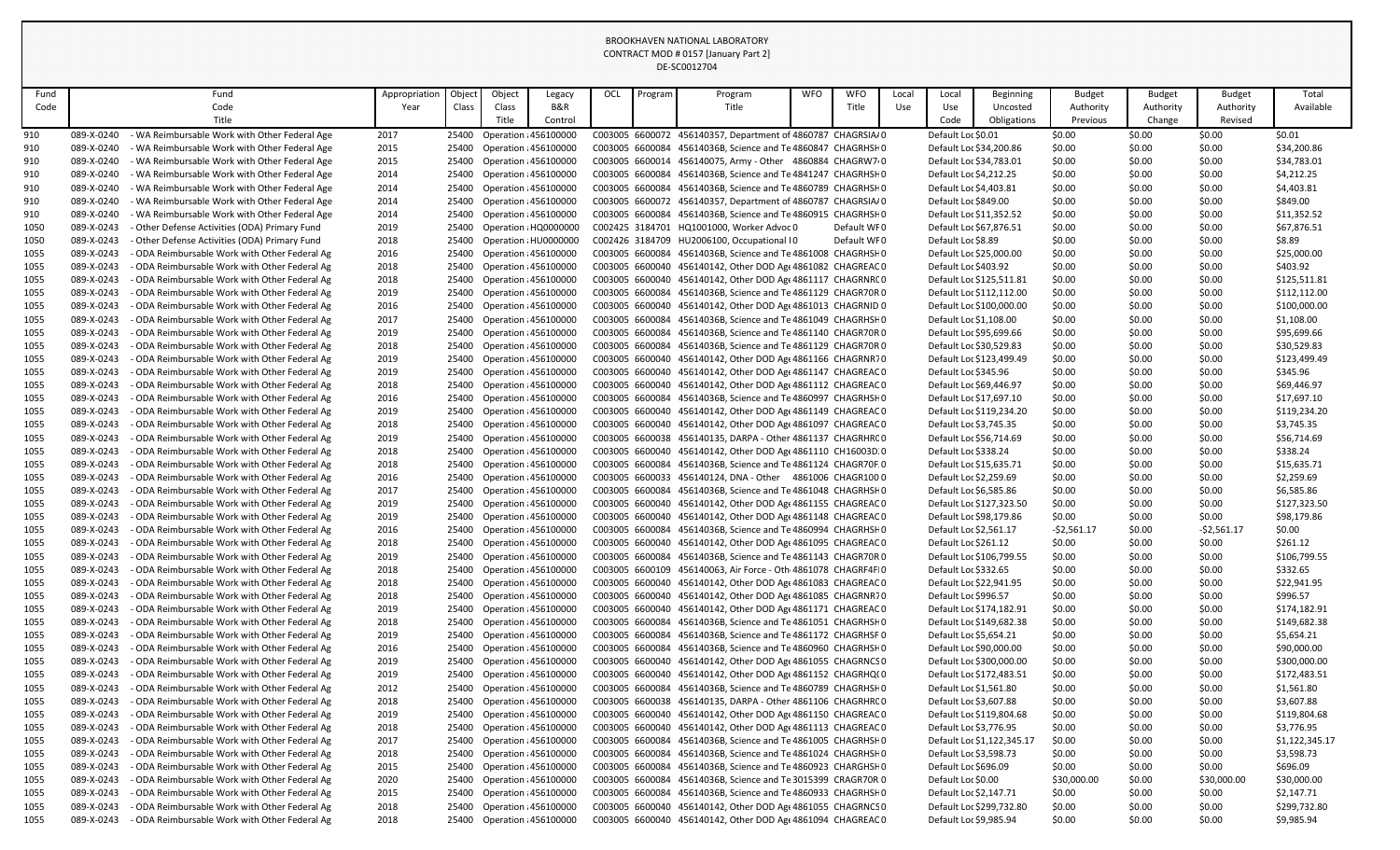| Fund         |                          | Fund                                                                                         | Appropriation | Objec          | Object                                                       | Legacy                | OCL             | Program | Program                                                                                                                    | <b>WFO</b> | <b>WFO</b>  | Local | Local                    | <b>Beginning</b>           | <b>Budget</b>    | <b>Budget</b>    | <b>Budget</b>    | Total                    |
|--------------|--------------------------|----------------------------------------------------------------------------------------------|---------------|----------------|--------------------------------------------------------------|-----------------------|-----------------|---------|----------------------------------------------------------------------------------------------------------------------------|------------|-------------|-------|--------------------------|----------------------------|------------------|------------------|------------------|--------------------------|
| Code         |                          | Code                                                                                         | Year          | Class          | Class                                                        | <b>B&amp;R</b>        |                 |         | Title                                                                                                                      |            | Title       | Use   | Use                      | Uncosted                   | Authority        | Authority        | Authority        | Available                |
|              |                          | Title                                                                                        |               |                | Title                                                        | Control               |                 |         |                                                                                                                            |            |             |       | Code                     | Obligations                | Previous         | Change           | Revised          |                          |
| 910          | 089-X-0240               | - WA Reimbursable Work with Other Federal Age                                                | 2017          | 25400          | Operation : 456100000                                        |                       |                 |         | C003005 6600072 456140357, Department of 4860787 CHAGRSIA/0                                                                |            |             |       | Default Loc \$0.01       |                            | \$0.00           | \$0.00           | \$0.00           | \$0.01                   |
| 910          | 089-X-0240               | - WA Reimbursable Work with Other Federal Age                                                | 2015          |                | 25400 Operation : 456100000                                  |                       |                 |         | C003005 6600084 45614036B, Science and Te 4860847 CHAGRHSF0                                                                |            |             |       | Default Loc \$34,200.86  |                            | \$0.00           | \$0.00           | \$0.00           | \$34,200.86              |
| 910.         | 089-X-0240               | - WA Reimbursable Work with Other Federal Age                                                | 2015          | 25400          | Operation : 456100000                                        |                       |                 |         | C003005 6600014 456140075, Army - Other 4860884 CHAGRW7.0                                                                  |            |             |       | Default Loc \$34,783.01  |                            | \$0.00           | \$0.00           | \$0.00           | \$34,783.01              |
| 910.         | 089-X-0240               | - WA Reimbursable Work with Other Federal Age                                                | 2014          | 25400          | Operation : 456100000                                        |                       |                 |         | C003005 6600084 45614036B, Science and Te 4841247 CHAGRHSF 0                                                               |            |             |       | Default Loc \$4,212.25   |                            | \$0.00           | \$0.00           | \$0.00           | \$4,212.25               |
| 910.         | 089-X-0240               | - WA Reimbursable Work with Other Federal Age                                                | 2014          | 25400          | Operation : 456100000                                        |                       |                 |         | C003005 6600084 45614036B, Science and Te 4860789 CHAGRHSHO                                                                |            |             |       | Default Loc \$4,403.81   |                            | \$0.00           | \$0.00           | \$0.00           | \$4,403.81               |
| 910.         | 089-X-0240               | - WA Reimbursable Work with Other Federal Age                                                | 2014          | 25400          | <b>Operation : 456100000</b>                                 |                       |                 |         | C003005 6600072 456140357, Department of 4860787 CHAGRSIA/0                                                                |            |             |       | Default Loc \$849.00     |                            | \$0.00           | \$0.00           | \$0.00           | \$849.00                 |
| 910.         | 089-X-0240               | - WA Reimbursable Work with Other Federal Age                                                | 2014          | 25400          | Operation : 456100000                                        |                       |                 |         | C003005 6600084 45614036B, Science and Te 4860915 CHAGRHSF 0                                                               |            |             |       | Default Loc \$11,352.52  |                            | \$0.00           | \$0.00           | \$0.00           | \$11,352.52              |
| 1050         | 089-X-0243               | Other Defense Activities (ODA) Primary Fund                                                  | 2019          | 25400          |                                                              | Operation : HQ0000000 |                 |         | C002425 3184701 HQ1001000, Worker Advoc 0                                                                                  |            | Default WF0 |       | Default Loc \$67,876.51  |                            | \$0.00           | \$0.00           | \$0.00           | \$67,876.51              |
| 1050         | 089-X-0243               | - Other Defense Activities (ODA) Primary Fund                                                | 2018          | 25400          | Operation : HU0000000                                        |                       |                 |         | C002426 3184709 HU2006100, Occupational IO                                                                                 |            | Default WF0 |       | Default Loc \$8.89       |                            | \$0.00           | \$0.00           | \$0.00           | \$8.89                   |
| 1055         | 089-X-0243               | - ODA Reimbursable Work with Other Federal Ag                                                | 2016          | 25400          | Operation : 456100000                                        |                       |                 |         | C003005 6600084 45614036B, Science and Te 4861008 CHAGRHSF 0                                                               |            |             |       | Default Loc \$25,000.00  |                            | \$0.00           | \$0.00           | \$0.00           | \$25,000.00              |
| 1055         | 089-X-0243               | ODA Reimbursable Work with Other Federal Ag                                                  | 2018          | 25400          | Operation : 456100000                                        |                       |                 |         | C003005 6600040 456140142, Other DOD Age 4861082 CHAGREAC 0                                                                |            |             |       | Default Loc \$403.92     |                            | \$0.00           | \$0.00           | \$0.00           | \$403.92                 |
| 1055         | 089-X-0243               | - ODA Reimbursable Work with Other Federal Ag                                                | 2018          | 25400          | Operation : 456100000                                        |                       |                 |         | C003005 6600040 456140142, Other DOD Age 4861117 CHAGRNRCO                                                                 |            |             |       | Default Loc \$125,511.81 |                            | \$0.00           | \$0.00           | \$0.00           | \$125,511.81             |
| 1055         | 089-X-0243               | - ODA Reimbursable Work with Other Federal Ag                                                | 2019          | 25400          | Operation : 456100000                                        |                       |                 |         | C003005 6600084 45614036B, Science and Te 4861129 CHAGR70R 0                                                               |            |             |       | Default Loc \$112,112.00 |                            | \$0.00           | \$0.00           | \$0.00           | \$112,112.00             |
| 1055         | 089-X-0243               | - ODA Reimbursable Work with Other Federal Ag                                                | 2016          | 25400          | Operation : 456100000                                        |                       |                 |         | C003005 6600040 456140142, Other DOD Age 4861013 CHAGRNID 0                                                                |            |             |       |                          | Default Loc \$100,000.00   | \$0.00           | \$0.00           | \$0.00           | \$100,000.00             |
| 1055         | 089-X-0243               | - ODA Reimbursable Work with Other Federal Ag                                                | 2017          | 25400          | Operation : 456100000                                        |                       |                 |         | C003005 6600084 45614036B, Science and Te 4861049 CHAGRHSHO                                                                |            |             |       | Default Loc \$1,108.00   |                            | \$0.00           | \$0.00           | \$0.00           | \$1,108.00               |
| 1055         | 089-X-0243               | - ODA Reimbursable Work with Other Federal Ag                                                | 2019          | 25400          | Operation : 456100000                                        |                       |                 |         | C003005 6600084 45614036B, Science and Te 4861140 CHAGR70R 0                                                               |            |             |       | Default Loc \$95,699.66  |                            | \$0.00           | \$0.00           | \$0.00           | \$95,699.66              |
| 1055         | 089-X-0243<br>089-X-0243 | - ODA Reimbursable Work with Other Federal Ag<br>ODA Reimbursable Work with Other Federal Ag | 2018          | 25400<br>25400 | <b>Operation : 456100000</b><br><b>Operation : 456100000</b> |                       |                 |         | C003005 6600084 45614036B, Science and Te 4861129 CHAGR70R 0<br>C003005 6600040 456140142, Other DOD Age 4861166 CHAGRNR70 |            |             |       | Default Loc \$30,529.83  | Default Loc \$123,499.49   | \$0.00           | \$0.00           | \$0.00           | \$30,529.83              |
| 1055<br>1055 | 089-X-0243               | - ODA Reimbursable Work with Other Federal Ag                                                | 2019<br>2019  | 25400          | Operation : 456100000                                        |                       |                 |         | C003005 6600040 456140142, Other DOD Age 4861147 CHAGREAC 0                                                                |            |             |       | Default Loc \$345.96     |                            | \$0.00<br>\$0.00 | \$0.00<br>\$0.00 | \$0.00<br>\$0.00 | \$123,499.49<br>\$345.96 |
| 1055         | 089-X-0243               | - ODA Reimbursable Work with Other Federal Ag                                                | 2018          | 25400          | Operation : 456100000                                        |                       | C003005 6600040 |         | 456140142, Other DOD Age 4861112 CHAGREAC 0                                                                                |            |             |       | Default Loc \$69,446.97  |                            | \$0.00           | \$0.00           | \$0.00           | \$69,446.97              |
| 1055         | 089-X-0243               | - ODA Reimbursable Work with Other Federal Ag                                                | 2016          | 25400          | Operation : 456100000                                        |                       |                 |         | C003005 6600084 45614036B, Science and Te 4860997 CHAGRHSHO                                                                |            |             |       | Default Loc \$17,697.10  |                            | \$0.00           | \$0.00           | \$0.00           | \$17,697.10              |
| 1055         | 089-X-0243               | - ODA Reimbursable Work with Other Federal Ag                                                | 2019          | 25400          | Operation : 456100000                                        |                       |                 |         | C003005 6600040 456140142, Other DOD Age 4861149 CHAGREAC 0                                                                |            |             |       |                          | Default Loc \$119,234.20   | \$0.00           | \$0.00           | \$0.00           | \$119,234.20             |
| 1055         | 089-X-0243               | - ODA Reimbursable Work with Other Federal Ag                                                | 2018          | 25400          | <b>Operation : 456100000</b>                                 |                       |                 |         | C003005 6600040 456140142, Other DOD Age 4861097 CHAGREAC 0                                                                |            |             |       | Default Loc \$3,745.35   |                            | \$0.00           | \$0.00           | \$0.00           | \$3,745.35               |
| 1055         | 089-X-0243               | - ODA Reimbursable Work with Other Federal Ag                                                | 2019          | 25400          | Operation : 456100000                                        |                       |                 |         | C003005 6600038 456140135, DARPA - Other 4861137 CHAGRHRCO                                                                 |            |             |       | Default Loc \$56,714.69  |                            | \$0.00           | \$0.00           | \$0.00           | \$56,714.69              |
| 1055         | 089-X-0243               | ODA Reimbursable Work with Other Federal Ag                                                  | 2018          | 25400          | Operation : 456100000                                        |                       |                 |         | C003005 6600040 456140142, Other DOD Age 4861110 CH16003D 0                                                                |            |             |       | Default Loc \$338.24     |                            | \$0.00           | \$0.00           | \$0.00           | \$338.24                 |
| 1055         | 089-X-0243               | - ODA Reimbursable Work with Other Federal Ag                                                | 2018          | 25400          | Operation : 456100000                                        |                       |                 |         | C003005 6600084 45614036B, Science and Te 4861124 CHAGR70F.0                                                               |            |             |       | Default Loc \$15,635.71  |                            | \$0.00           | \$0.00           | \$0.00           | \$15,635.71              |
| 1055         | 089-X-0243               | - ODA Reimbursable Work with Other Federal Ag                                                | 2016          |                | 25400 Operation : 456100000                                  |                       |                 |         | C003005 6600033 456140124, DNA - Other 4861006 CHAGR100 0                                                                  |            |             |       | Default Loc \$2,259.69   |                            | \$0.00           | \$0.00           | \$0.00           | \$2,259.69               |
| 1055         | 089-X-0243               | - ODA Reimbursable Work with Other Federal Ag                                                | 2017          | 25400          | Operation : 456100000                                        |                       |                 |         | C003005 6600084 45614036B, Science and Te 4861048 CHAGRHSF 0                                                               |            |             |       | Default Loc \$6,585.86   |                            | \$0.00           | \$0.00           | \$0.00           | \$6,585.86               |
| 1055         | 089-X-0243               | - ODA Reimbursable Work with Other Federal Ag                                                | 2019          |                | 25400 Operation : 456100000                                  |                       |                 |         | C003005 6600040 456140142, Other DOD Age 4861155 CHAGREAC 0                                                                |            |             |       |                          | Default Loc \$127,323.50   | \$0.00           | \$0.00           | \$0.00           | \$127,323.50             |
| 1055         | 089-X-0243               | - ODA Reimbursable Work with Other Federal Ag                                                | 2019          |                | 25400 Operation : 456100000                                  |                       |                 |         | C003005 6600040 456140142, Other DOD Age 4861148 CHAGREAC 0                                                                |            |             |       | Default Loc \$98,179.86  |                            | \$0.00           | \$0.00           | \$0.00           | \$98,179.86              |
| 1055         | 089-X-0243               | - ODA Reimbursable Work with Other Federal Ag                                                | 2016          | 25400          | Operation : 456100000                                        |                       |                 |         | C003005 6600084 45614036B, Science and Te 4860994 CHAGRHSF 0                                                               |            |             |       | Default Loc \$2,561.17   |                            | -\$2,561.17      | \$0.00           | $-52,561.17$     | \$0.00                   |
| 1055         | 089-X-0243               | ODA Reimbursable Work with Other Federal Ag                                                  | 2018          | 25400          | Operation : 456100000                                        |                       |                 |         | C003005 6600040 456140142, Other DOD Age 4861095 CHAGREAC 0                                                                |            |             |       | Default Loc \$261.12     |                            | \$0.00           | \$0.00           | \$0.00           | \$261.12                 |
| 1055         | 089-X-0243               | - ODA Reimbursable Work with Other Federal Ag                                                | 2019          | 25400          | Operation : 456100000                                        |                       |                 |         | C003005 6600084 45614036B, Science and Te 4861143 CHAGR70R 0                                                               |            |             |       |                          | Default Loc \$106,799.55   | \$0.00           | \$0.00           | \$0.00           | \$106,799.55             |
| 1055         | 089-X-0243               | - ODA Reimbursable Work with Other Federal Ag                                                | 2018          | 25400          | <b>Operation : 456100000</b>                                 |                       |                 |         | C003005 6600109 456140063, Air Force - Oth 4861078 CHAGRF4FI0                                                              |            |             |       | Default Loc \$332.65     |                            | \$0.00           | \$0.00           | \$0.00           | \$332.65                 |
| 1055         | 089-X-0243               | - ODA Reimbursable Work with Other Federal Ag                                                | 2018          |                | 25400 Operation : 456100000                                  |                       |                 |         | C003005 6600040 456140142, Other DOD Age 4861083 CHAGREAC 0                                                                |            |             |       | Default Loc \$22,941.95  |                            | \$0.00           | \$0.00           | \$0.00           | \$22,941.95              |
| 1055         | 089-X-0243               | - ODA Reimbursable Work with Other Federal Ag                                                | 2018          | 25400          | Operation : 456100000                                        |                       |                 |         | C003005 6600040 456140142, Other DOD Age 4861085 CHAGRNR70                                                                 |            |             |       | Default Loc \$996.57     |                            | \$0.00           | \$0.00           | \$0.00           | \$996.57                 |
| 1055         | 089-X-0243               | - ODA Reimbursable Work with Other Federal Ag                                                | 2019          | 25400          | Operation : 456100000                                        |                       |                 |         | C003005 6600040 456140142, Other DOD Age 4861171 CHAGREAC 0                                                                |            |             |       | Default Loc \$174,182.91 |                            | \$0.00           | \$0.00           | \$0.00           | \$174,182.91             |
| 1055         | 089-X-0243               | - ODA Reimbursable Work with Other Federal Ag                                                | 2018          | 25400          | Operation : 456100000                                        |                       |                 |         | C003005 6600084 45614036B, Science and Te 4861051 CHAGRHSF0                                                                |            |             |       |                          | Default Loc \$149,682.38   | \$0.00           | \$0.00           | \$0.00           | \$149,682.38             |
| 1055         | 089-X-0243               | - ODA Reimbursable Work with Other Federal Ag                                                | 2019          | 25400          | Operation : 456100000                                        |                       |                 |         | C003005 6600084 45614036B, Science and Te 4861172 CHAGRHSF 0                                                               |            |             |       | Default Loc \$5,654.21   |                            | \$0.00           | \$0.00           | \$0.00           | \$5,654.21               |
| 1055         | 089-X-0243               | - ODA Reimbursable Work with Other Federal Ag                                                | 2016          | 25400          | Operation : 456100000                                        |                       |                 |         | C003005 6600084 45614036B, Science and Te 4860960 CHAGRHSHO                                                                |            |             |       | Default Loc \$90,000.00  |                            | \$0.00           | \$0.00           | \$0.00           | \$90,000.00              |
| 1055         | 089-X-0243               | - ODA Reimbursable Work with Other Federal Ag                                                | 2019          |                | 25400 Operation : 456100000                                  |                       |                 |         | C003005 6600040 456140142, Other DOD Age 4861055 CHAGRNCS0                                                                 |            |             |       | Default Loc \$300,000.00 |                            | \$0.00           | \$0.00           | \$0.00           | \$300,000.00             |
| 1055         | 089-X-0243               | - ODA Reimbursable Work with Other Federal Ag                                                | 2019          | 25400          | Operation : 456100000                                        |                       |                 |         | C003005 6600040 456140142, Other DOD Age 4861152 CHAGRHQ(0                                                                 |            |             |       | Default Loc \$172,483.51 |                            | \$0.00           | \$0.00           | \$0.00           | \$172,483.51             |
| 1055         | 089-X-0243               | ODA Reimbursable Work with Other Federal Ag                                                  | 2012          | 25400          | Operation : 456100000                                        |                       |                 |         | C003005 6600084 45614036B, Science and Te 4860789 CHAGRHSF 0                                                               |            |             |       | Default Loc \$1,561.80   |                            | \$0.00           | \$0.00           | \$0.00           | \$1,561.80               |
| 1055         | 089-X-0243               | - ODA Reimbursable Work with Other Federal Ag                                                | 2018          | 25400          | Operation : 456100000                                        |                       |                 |         | C003005 6600038 456140135, DARPA - Other 4861106 CHAGRHRCO                                                                 |            |             |       | Default Loc \$3,607.88   |                            | \$0.00           | \$0.00           | \$0.00           | \$3,607.88               |
| 1055         | 089-X-0243               | - ODA Reimbursable Work with Other Federal Ag                                                | 2019          | 25400          | <b>Operation : 456100000</b>                                 |                       | C003005 6600040 |         | 456140142, Other DOD Age 4861150 CHAGREAC 0                                                                                |            |             |       |                          | Default Loc \$119,804.68   | \$0.00           | \$0.00           | \$0.00           | \$119,804.68             |
| 1055         | 089-X-0243               | - ODA Reimbursable Work with Other Federal Ag                                                | 2018          | 25400          | Operation : 456100000                                        |                       |                 |         | C003005 6600040 456140142, Other DOD Age 4861113 CHAGREAC 0                                                                |            |             |       | Default Loc \$3,776.95   |                            | \$0.00           | \$0.00           | \$0.00           | \$3,776.95               |
| 1055         | 089-X-0243               | - ODA Reimbursable Work with Other Federal Ag                                                | 2017          |                | 25400 Operation : 456100000                                  |                       |                 |         | C003005 6600084 45614036B, Science and Te 4861005 CHAGRHSHO                                                                |            |             |       |                          | Default Loc \$1,122,345.17 | \$0.00           | \$0.00           | \$0.00           | \$1,122,345.17           |
| 1055         | 089-X-0243               | - ODA Reimbursable Work with Other Federal Ag                                                | 2018          | 25400          | Operation : 456100000                                        |                       |                 |         | C003005 6600084 45614036B, Science and Te 4861024 CHAGRHSHO                                                                |            |             |       | Default Loc \$3,598.73   |                            | \$0.00           | \$0.00           | \$0.00           | \$3,598.73               |
| 1055         | 089-X-0243               | - ODA Reimbursable Work with Other Federal Ag                                                | 2015          | 25400          | Operation : 456100000                                        |                       |                 |         | C003005 6600084 45614036B, Science and Te 4860923 CHARGHSF 0                                                               |            |             |       | Default Loc \$696.09     |                            | \$0.00           | \$0.00           | \$0.00           | \$696.09                 |
| 1055         | 089-X-0243               | ODA Reimbursable Work with Other Federal Ag                                                  | 2020          | 25400          | Operation : 456100000                                        |                       |                 |         | C003005 6600084 45614036B, Science and Te 3015399 CRAGR70R 0                                                               |            |             |       | Default Loc \$0.00       |                            | \$30,000.00      | \$0.00           | \$30,000.00      | \$30,000.00              |
| 1055         | 089-X-0243               | - ODA Reimbursable Work with Other Federal Ag                                                | 2015          | 25400          | Operation : 456100000                                        |                       |                 |         | C003005 6600084 45614036B, Science and Te 4860933 CHAGRHSHO                                                                |            |             |       | Default Loc \$2,147.71   |                            | \$0.00           | \$0.00           | \$0.00           | \$2,147.71               |
| 1055         | 089-X-0243               | - ODA Reimbursable Work with Other Federal Ag                                                | 2018          |                | 25400 Operation : 456100000                                  |                       |                 |         | C003005 6600040 456140142, Other DOD Age 4861055 CHAGRNCS 0                                                                |            |             |       |                          | Default Loc \$299,732.80   | \$0.00           | \$0.00           | \$0.00           | \$299,732.80             |
| 1055         | 089-X-0243               | - ODA Reimbursable Work with Other Federal Ag                                                | 2018          | 25400          | Operation : 456100000                                        |                       |                 |         | C003005 6600040 456140142, Other DOD Age 4861094 CHAGREAC 0                                                                |            |             |       | Default Loc \$9,985.94   |                            | \$0.00           | \$0.00           | \$0.00           | \$9,985.94               |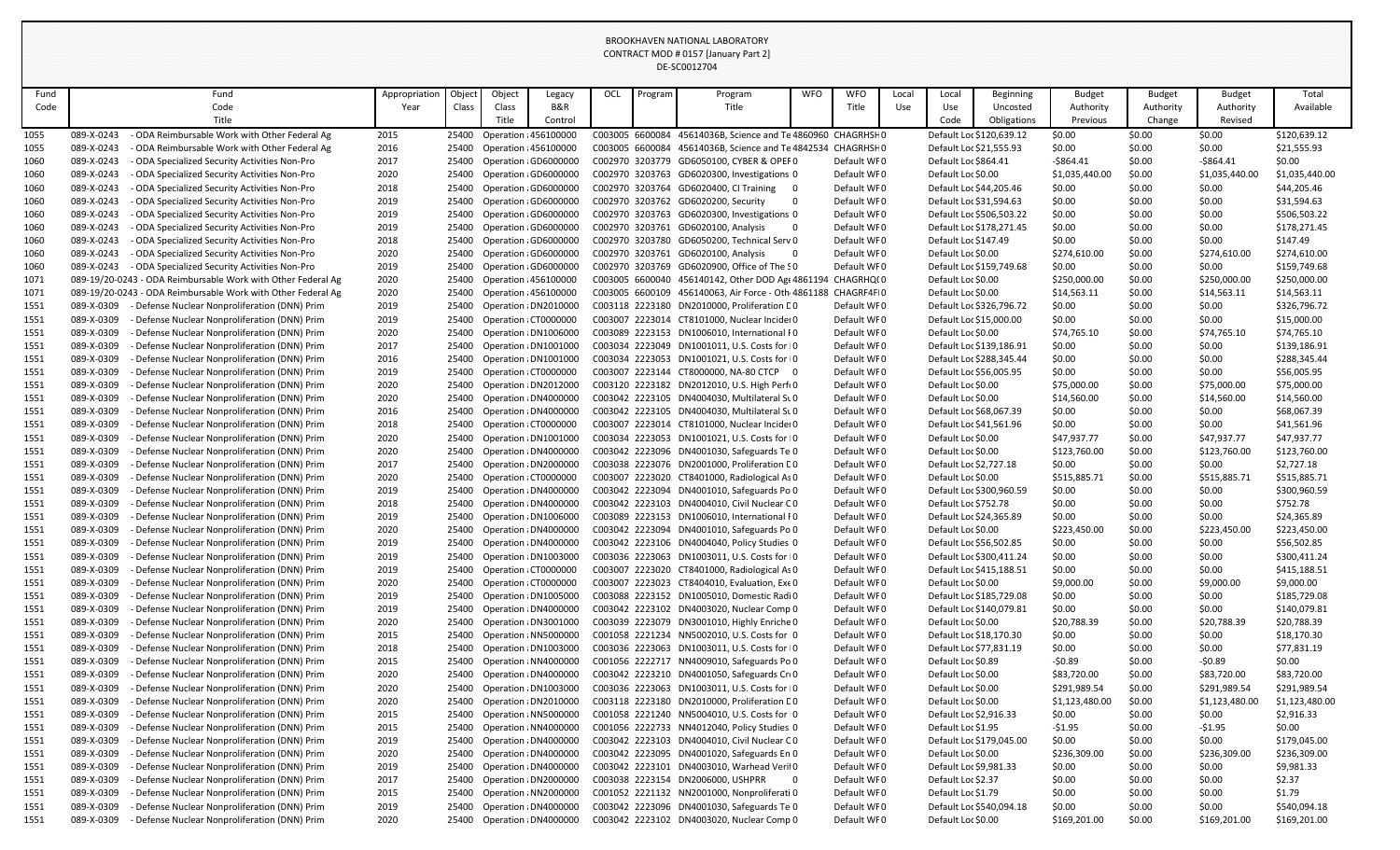| Fund         | Fund                                                                                                                     | Appropriation | Object         | Object                       | Legacy                | OCL             | Program | Program                                                                                      | <b>WFO</b> | <b>WFO</b>                 | Local | Local                                                | <b>Beginning</b>         | <b>Budget</b>          | <b>Budget</b>    | <b>Budget</b>          | Total                        |
|--------------|--------------------------------------------------------------------------------------------------------------------------|---------------|----------------|------------------------------|-----------------------|-----------------|---------|----------------------------------------------------------------------------------------------|------------|----------------------------|-------|------------------------------------------------------|--------------------------|------------------------|------------------|------------------------|------------------------------|
| Code         | Code                                                                                                                     | Year          | Class          | Class                        | <b>B&amp;R</b>        |                 |         | Title                                                                                        |            | Title                      | Use   | Use                                                  | Uncosted                 | Authority              | Authority        | Authority              | Available                    |
|              | Title                                                                                                                    |               |                | Title                        | Control               |                 |         |                                                                                              |            |                            |       | Code                                                 | Obligations              | Previous               | Change           | Revised                |                              |
| 1055         | 089-X-0243<br>- ODA Reimbursable Work with Other Federal Ag                                                              | 2015          |                | 25400 Operation : 456100000  |                       |                 |         | C003005 6600084 45614036B, Science and Te 4860960 CHAGRHSF 0                                 |            |                            |       | Default Loc \$120,639.12                             |                          | \$0.00                 | \$0.00           | \$0.00                 | \$120,639.12                 |
| 1055         | 089-X-0243<br>ODA Reimbursable Work with Other Federal Ag                                                                | 2016          | 25400          | Operation : 456100000        |                       | C003005 6600084 |         | 45614036B, Science and Te 4842534 CHAGRHSHO                                                  |            |                            |       | Default Loc \$21,555.93                              |                          | \$0.00                 | \$0.00           | \$0.00                 | \$21,555.93                  |
| 1060         | 089-X-0243<br>ODA Specialized Security Activities Non-Pro                                                                | 2017          | 25400          | Operation : GD6000000        |                       |                 |         | C002970 3203779 GD6050100, CYBER & OPEF0                                                     |            | Default WF0                |       | Default Loc \$864.41                                 |                          | $-5864.41$             | \$0.00           | $-$ \$864.41           | \$0.00                       |
| 1060         | 089-X-0243<br>- ODA Specialized Security Activities Non-Pro                                                              | 2020          | 25400          |                              | Operation (GD6000000  |                 |         | C002970 3203763 GD6020300, Investigations 0                                                  |            | Default WF0                |       | Default Loc \$0.00                                   |                          | \$1,035,440.00         | \$0.00           | \$1,035,440.00         | \$1,035,440.00               |
| 1060         | 089-X-0243<br>ODA Specialized Security Activities Non-Pro                                                                | 2018          | 25400          |                              | Operation : GD6000000 |                 |         | C002970 3203764 GD6020400, CI Training                                                       |            | Default WF0                |       | Default Loc \$44,205.46                              |                          | \$0.00                 | \$0.00           | \$0.00                 | \$44,205.46                  |
| 1060         | 089-X-0243<br>ODA Specialized Security Activities Non-Pro                                                                | 2019          | 25400          |                              | Operation (GD6000000  |                 |         | C002970 3203762 GD6020200, Security                                                          |            | Default WF0                |       | Default Loc \$31,594.63                              |                          | \$0.00                 | \$0.00           | \$0.00                 | \$31,594.63                  |
| 1060         | 089-X-0243<br>ODA Specialized Security Activities Non-Pro                                                                | 2019          | 25400          |                              | Operation (GD6000000  |                 |         | C002970 3203763 GD6020300, Investigations 0                                                  |            | Default WF0                |       | Default Loc \$506,503.22                             |                          | \$0.00                 | \$0.00           | \$0.00                 | \$506,503.22                 |
| 1060         | 089-X-0243<br>ODA Specialized Security Activities Non-Pro                                                                | 2019          | 25400          | Operation : GD6000000        |                       |                 |         | C002970 3203761 GD6020100, Analysis                                                          | 0          | Default WF0                |       |                                                      | Default Loc \$178,271.45 | \$0.00                 | \$0.00           | \$0.00                 | \$178,271.45                 |
| 1060         | 089-X-0243<br>ODA Specialized Security Activities Non-Pro                                                                | 2018          | 25400          |                              | Operation (GD6000000  | C002970 3203761 |         | C002970 3203780 GD6050200, Technical Serv 0<br>GD6020100, Analysis                           | - 0        | Default WF0                |       | Default Loc \$147.49                                 |                          | \$0.00                 | \$0.00           | \$0.00                 | \$147.49                     |
| 1060<br>1060 | 089-X-0243<br>ODA Specialized Security Activities Non-Pro<br>089-X-0243<br>- ODA Specialized Security Activities Non-Pro | 2020          | 25400<br>25400 | Operation : GD6000000        | Operation (GD6000000  |                 |         | C002970 3203769 GD6020900, Office of The SO                                                  |            | Default WF0<br>Default WF0 |       | Default Loc \$0.00                                   | Default Loc \$159,749.68 | \$274,610.00<br>\$0.00 | \$0.00<br>\$0.00 | \$274,610.00<br>\$0.00 | \$274,610.00<br>\$159,749.68 |
| 1071         | 089-19/20-0243 - ODA Reimbursable Work with Other Federal Ag                                                             | 2019<br>2020  | 25400          | <b>Operation : 456100000</b> |                       |                 |         | C003005 6600040 456140142, Other DOD Age 4861194 CHAGRHQ(0                                   |            |                            |       | Default Loc \$0.00                                   |                          | \$250,000.00           | \$0.00           | \$250,000.00           | \$250,000.00                 |
| 1071         | 089-19/20-0243 - ODA Reimbursable Work with Other Federal Ag                                                             | 2020          | 25400          | Operation : 456100000        |                       |                 |         | C003005 6600109 456140063, Air Force - Oth 4861188 CHAGRF4FI0                                |            |                            |       | Default Loc \$0.00                                   |                          | \$14,563.11            | \$0.00           | \$14,563.11            | \$14,563.11                  |
| 1551         | 089-X-0309<br>Defense Nuclear Nonproliferation (DNN) Prim                                                                | 2019          | 25400          |                              | Operation : DN2010000 |                 |         | C003118 2223180 DN2010000, Proliferation CO                                                  |            | Default WF0                |       |                                                      | Default Loc \$326,796.72 | \$0.00                 | \$0.00           | \$0.00                 | \$326,796.72                 |
| 1551         | Defense Nuclear Nonproliferation (DNN) Prim<br>089-X-0309                                                                | 2019          | 25400          | Operation : CT0000000        |                       |                 |         | C003007 2223014 CT8101000, Nuclear Incider 0                                                 |            | Default WF0                |       | Default Loc \$15,000.00                              |                          | \$0.00                 | \$0.00           | \$0.00                 | \$15,000.00                  |
| 1551         | 089-X-0309<br>Defense Nuclear Nonproliferation (DNN) Prim                                                                | 2020          | 25400          |                              | Operation : DN1006000 |                 |         | C003089 2223153 DN1006010, International F0                                                  |            | Default WF0                |       | Default Loc \$0.00                                   |                          | \$74,765.10            | \$0.00           | \$74,765.10            | \$74,765.10                  |
| 1551         | 089-X-0309<br>Defense Nuclear Nonproliferation (DNN) Prim                                                                | 2017          | 25400          |                              | Operation : DN1001000 |                 |         | C003034 2223049 DN1001011, U.S. Costs for 10                                                 |            | Default WF0                |       | Default Loc \$139,186.91                             |                          | \$0.00                 | \$0.00           | \$0.00                 | \$139,186.91                 |
| 1551         | 089-X-0309<br>Defense Nuclear Nonproliferation (DNN) Prim                                                                | 2016          | 25400          |                              | Operation : DN1001000 |                 |         | C003034 2223053 DN1001021, U.S. Costs for 10                                                 |            | Default WF0                |       | Default Loc \$288,345.44                             |                          | \$0.00                 | \$0.00           | \$0.00                 | \$288,345.44                 |
| 1551         | 089-X-0309<br>Defense Nuclear Nonproliferation (DNN) Prim                                                                | 2019          | 25400          | Operation ¿CT0000000         |                       |                 |         | C003007 2223144 CT8000000, NA-80 CTCP 0                                                      |            | Default WF0                |       | Default Loc \$56,005.95                              |                          | \$0.00                 | \$0.00           | \$0.00                 | \$56,005.95                  |
| 1551         | 089-X-0309<br>Defense Nuclear Nonproliferation (DNN) Prim                                                                | 2020          | 25400          |                              | Operation : DN2012000 |                 |         | C003120 2223182 DN2012010, U.S. High Perf(0                                                  |            | Default WF0                |       | Default Loc \$0.00                                   |                          | \$75,000.00            | \$0.00           | \$75,000.00            | \$75,000.00                  |
| 1551         | 089-X-0309<br>Defense Nuclear Nonproliferation (DNN) Prim                                                                | 2020          | 25400          |                              | Operation : DN4000000 |                 |         | C003042 2223105 DN4004030, Multilateral Su0                                                  |            | Default WF0                |       | Default Loc \$0.00                                   |                          | \$14,560.00            | \$0.00           | \$14,560.00            | \$14,560.00                  |
| 1551         | 089-X-0309<br>Defense Nuclear Nonproliferation (DNN) Prim                                                                | 2016          | 25400          |                              | Operation : DN4000000 |                 |         | C003042 2223105 DN4004030, Multilateral Su0                                                  |            | Default WF0                |       | Default Loc \$68,067.39                              |                          | \$0.00                 | \$0.00           | \$0.00                 | \$68,067.39                  |
| 1551         | 089-X-0309<br>Defense Nuclear Nonproliferation (DNN) Prim                                                                | 2018          | 25400          | Operation : CT0000000        |                       |                 |         | C003007 2223014 CT8101000, Nuclear Incider 0                                                 |            | Default WF0                |       | Default Loc \$41,561.96                              |                          | \$0.00                 | \$0.00           | \$0.00                 | \$41,561.96                  |
| 1551         | 089-X-0309<br>Defense Nuclear Nonproliferation (DNN) Prim                                                                | 2020          | 25400          |                              | Operation : DN1001000 |                 |         | C003034 2223053 DN1001021, U.S. Costs for IO                                                 |            | Default WF0                |       | Default Loc \$0.00                                   |                          | \$47,937.77            | \$0.00           | \$47,937.77            | \$47,937.77                  |
| 1551         | 089-X-0309<br>Defense Nuclear Nonproliferation (DNN) Prim                                                                | 2020          | 25400          |                              | Operation : DN4000000 |                 |         | C003042 2223096 DN4001030, Safeguards Te <sub>1</sub> 0                                      |            | Default WF0                |       | Default Loc \$0.00                                   |                          | \$123,760.00           | \$0.00           | \$123,760.00           | \$123,760.00                 |
| 1551         | Defense Nuclear Nonproliferation (DNN) Prim<br>089-X-0309                                                                | 2017          | 25400          | Operation : DN2000000        |                       |                 |         | C003038 2223076 DN2001000, Proliferation CO                                                  |            | Default WF0                |       | Default Loc \$2,727.18                               |                          | \$0.00                 | \$0.00           | \$0.00                 | \$2,727.18                   |
| 1551         | 089-X-0309<br>- Defense Nuclear Nonproliferation (DNN) Prim                                                              | 2020          |                | 25400 Operation ¿CT0000000   |                       |                 |         | C003007 2223020 CT8401000, Radiological As 0                                                 |            | Default WF0                |       | Default Loc \$0.00                                   |                          | \$515,885.71           | \$0.00           | \$515,885.71           | \$515,885.71                 |
| 1551         | 089-X-0309<br>Defense Nuclear Nonproliferation (DNN) Prim                                                                | 2019          | 25400          |                              | Operation : DN4000000 |                 |         | C003042 2223094 DN4001010, Safeguards Po 0                                                   |            | Default WF0                |       | Default Loc \$300,960.59                             |                          | \$0.00                 | \$0.00           | \$0.00                 | \$300,960.59                 |
| 1551         | 089-X-0309<br>Defense Nuclear Nonproliferation (DNN) Prim                                                                | 2018          | 25400          |                              | Operation : DN4000000 |                 |         | C003042 2223103 DN4004010, Civil Nuclear CO                                                  |            | Default WF0                |       | Default Loc \$752.78                                 |                          | \$0.00                 | \$0.00           | \$0.00                 | \$752.78                     |
| 1551         | 089-X-0309<br>Defense Nuclear Nonproliferation (DNN) Prim                                                                | 2019          | 25400          |                              | Operation : DN1006000 |                 |         | C003089 2223153 DN1006010, International F0                                                  |            | Default WF0                |       | Default Loc \$24,365.89                              |                          | \$0.00                 | \$0.00           | \$0.00                 | \$24,365.89                  |
| 1551         | 089-X-0309<br>Defense Nuclear Nonproliferation (DNN) Prim                                                                | 2020          | 25400          |                              | Operation : DN4000000 |                 |         | C003042 2223094 DN4001010, Safeguards Po 0                                                   |            | Default WF0                |       | Default Loc \$0.00                                   |                          | \$223,450.00           | \$0.00           | \$223,450.00           | \$223,450.00                 |
| 1551         | 089-X-0309<br>Defense Nuclear Nonproliferation (DNN) Prim                                                                | 2019          | 25400          |                              | Operation : DN4000000 |                 |         | C003042 2223106 DN4004040, Policy Studies 0                                                  |            | Default WF0                |       | Default Loc \$56,502.85                              |                          | \$0.00                 | \$0.00           | \$0.00                 | \$56,502.85                  |
| 1551<br>1551 | 089-X-0309<br>Defense Nuclear Nonproliferation (DNN) Prim<br>089-X-0309<br>Defense Nuclear Nonproliferation (DNN) Prim   | 2019<br>2019  | 25400<br>25400 | Operation : CT0000000        | Operation : DN1003000 |                 |         | C003036 2223063 DN1003011, U.S. Costs for 10<br>C003007 2223020 CT8401000, Radiological As 0 |            | Default WF0<br>Default WF0 |       | Default Loc \$300,411.24<br>Default Loc \$415,188.51 |                          | \$0.00<br>\$0.00       | \$0.00<br>\$0.00 | \$0.00<br>\$0.00       | \$300,411.24<br>\$415,188.51 |
| 1551         | 089-X-0309<br>Defense Nuclear Nonproliferation (DNN) Prim                                                                | 2020          | 25400          | Operation : CT0000000        |                       |                 |         | C003007 2223023 CT8404010, Evaluation, Exe 0                                                 |            | Default WF0                |       | Default Loc \$0.00                                   |                          | \$9,000.00             | \$0.00           | \$9,000.00             | \$9,000.00                   |
| 1551         | 089-X-0309<br>Defense Nuclear Nonproliferation (DNN) Prim                                                                | 2019          | 25400          |                              | Operation : DN1005000 |                 |         | C003088 2223152 DN1005010, Domestic Radi 0                                                   |            | Default WF0                |       |                                                      | Default Loc \$185,729.08 | \$0.00                 | \$0.00           | \$0.00                 | \$185,729.08                 |
| 1551         | 089-X-0309<br>Defense Nuclear Nonproliferation (DNN) Prim                                                                | 2019          | 25400          |                              | Operation : DN4000000 |                 |         | C003042 2223102 DN4003020, Nuclear Comp 0                                                    |            | Default WF0                |       | Default Loc \$140,079.81                             |                          | \$0.00                 | \$0.00           | \$0.00                 | \$140,079.81                 |
| 1551         | 089-X-0309<br>Defense Nuclear Nonproliferation (DNN) Prim                                                                | 2020          | 25400          |                              | Operation : DN3001000 |                 |         | C003039 2223079 DN3001010, Highly Enriche 0                                                  |            | Default WF0                |       | Default Loc \$0.00                                   |                          | \$20,788.39            | \$0.00           | \$20,788.39            | \$20,788.39                  |
| 1551         | 089-X-0309<br>Defense Nuclear Nonproliferation (DNN) Prim                                                                | 2015          | 25400          |                              | Operation : NN5000000 |                 |         | C001058 2221234 NN5002010, U.S. Costs for 10                                                 |            | Default WF0                |       | Default Loc \$18,170.30                              |                          | \$0.00                 | \$0.00           | \$0.00                 | \$18,170.30                  |
| 1551         | 089-X-0309<br>Defense Nuclear Nonproliferation (DNN) Prim                                                                | 2018          | 25400          |                              | Operation : DN1003000 |                 |         | C003036 2223063 DN1003011, U.S. Costs for 10                                                 |            | Default WF0                |       | Default Loc \$77,831.19                              |                          | \$0.00                 | \$0.00           | \$0.00                 | \$77,831.19                  |
| 1551         | 089-X-0309<br>Defense Nuclear Nonproliferation (DNN) Prim                                                                | 2015          | 25400          |                              | Operation : NN4000000 |                 |         | C001056 2222717 NN4009010, Safeguards Po 0                                                   |            | Default WF0                |       | Default Loc \$0.89                                   |                          | $-50.89$               | \$0.00           | $-50.89$               | \$0.00                       |
| 1551         | Defense Nuclear Nonproliferation (DNN) Prim<br>089-X-0309                                                                | 2020          | 25400          |                              | Operation : DN4000000 |                 |         | C003042 2223210 DN4001050, Safeguards Cro                                                    |            | Default WF0                |       | Default Loc \$0.00                                   |                          | \$83,720.00            | \$0.00           | \$83,720.00            | \$83,720.00                  |
| 1551         | 089-X-0309<br>Defense Nuclear Nonproliferation (DNN) Prim                                                                | 2020          | 25400          |                              | Operation : DN1003000 |                 |         | C003036 2223063 DN1003011, U.S. Costs for 10                                                 |            | Default WF0                |       | Default Loc \$0.00                                   |                          | \$291,989.54           | \$0.00           | \$291,989.54           | \$291,989.54                 |
| 1551         | 089-X-0309<br>Defense Nuclear Nonproliferation (DNN) Prim                                                                | 2020          | 25400          |                              | Operation : DN2010000 |                 |         | C003118 2223180 DN2010000, Proliferation CO                                                  |            | Default WF0                |       | Default Loc \$0.00                                   |                          | \$1,123,480.00         | \$0.00           | \$1,123,480.00         | \$1,123,480.00               |
| 1551         | 089-X-0309<br>Defense Nuclear Nonproliferation (DNN) Prim                                                                | 2015          | 25400          |                              | Operation : NN5000000 |                 |         | C001058 2221240 NN5004010, U.S. Costs for 10                                                 |            | Default WF0                |       | Default Loc \$2,916.33                               |                          | \$0.00                 | \$0.00           | \$0.00                 | \$2,916.33                   |
| 1551         | 089-X-0309<br>Defense Nuclear Nonproliferation (DNN) Prim                                                                | 2015          | 25400          |                              | Operation : NN4000000 |                 |         | C001056 2222733 NN4012040, Policy Studies 0                                                  |            | Default WF0                |       | Default Loc \$1.95                                   |                          | $-51.95$               | \$0.00           | $-51.95$               | \$0.00                       |
| 1551         | 089-X-0309<br>Defense Nuclear Nonproliferation (DNN) Prim                                                                | 2019          | 25400          |                              | Operation : DN4000000 |                 |         | C003042 2223103 DN4004010, Civil Nuclear CO                                                  |            | Default WF0                |       |                                                      | Default Loc \$179,045.00 | \$0.00                 | \$0.00           | \$0.00                 | \$179,045.00                 |
| 1551         | 089-X-0309<br>Defense Nuclear Nonproliferation (DNN) Prim                                                                | 2020          | 25400          |                              | Operation : DN4000000 |                 |         | C003042 2223095 DN4001020, Safeguards En 0                                                   |            | Default WF0                |       | Default Loc \$0.00                                   |                          | \$236,309.00           | \$0.00           | \$236,309.00           | \$236,309.00                 |
| 1551         | Defense Nuclear Nonproliferation (DNN) Prim<br>089-X-0309                                                                | 2019          | 25400          |                              | Operation : DN4000000 |                 |         | C003042 2223101 DN4003010, Warhead Veril0                                                    |            | Default WF0                |       | Default Loc \$9,981.33                               |                          | \$0.00                 | \$0.00           | \$0.00                 | \$9,981.33                   |
| 1551         | 089-X-0309<br>Defense Nuclear Nonproliferation (DNN) Prim                                                                | 2017          | 25400          |                              | Operation : DN2000000 |                 |         | C003038 2223154 DN2006000, USHPRR                                                            | - 0        | Default WF0                |       | Default Loc \$2.37                                   |                          | \$0.00                 | \$0.00           | \$0.00                 | \$2.37                       |
| 1551         | 089-X-0309<br>- Defense Nuclear Nonproliferation (DNN) Prim                                                              | 2015          | 25400          |                              | Operation : NN2000000 |                 |         | C001052 2221132 NN2001000, Nonproliferati 0                                                  |            | Default WF0                |       | Default Loc \$1.79                                   |                          | \$0.00                 | \$0.00           | \$0.00                 | \$1.79                       |
| 1551         | 089-X-0309<br>Defense Nuclear Nonproliferation (DNN) Prim                                                                | 2019          | 25400          |                              | Operation : DN4000000 |                 |         | C003042 2223096 DN4001030, Safeguards Te 0                                                   |            | Default WF0                |       |                                                      | Default Loc \$540,094.18 | \$0.00                 | \$0.00           | \$0.00                 | \$540,094.18                 |
| 1551         | 089-X-0309<br>- Defense Nuclear Nonproliferation (DNN) Prim                                                              | 2020          | 25400          |                              | Operation : DN4000000 |                 |         | C003042 2223102 DN4003020, Nuclear Comp 0                                                    |            | Default WF0                |       | Default Loc \$0.00                                   |                          | \$169,201.00           | \$0.00           | \$169,201.00           | \$169,201.00                 |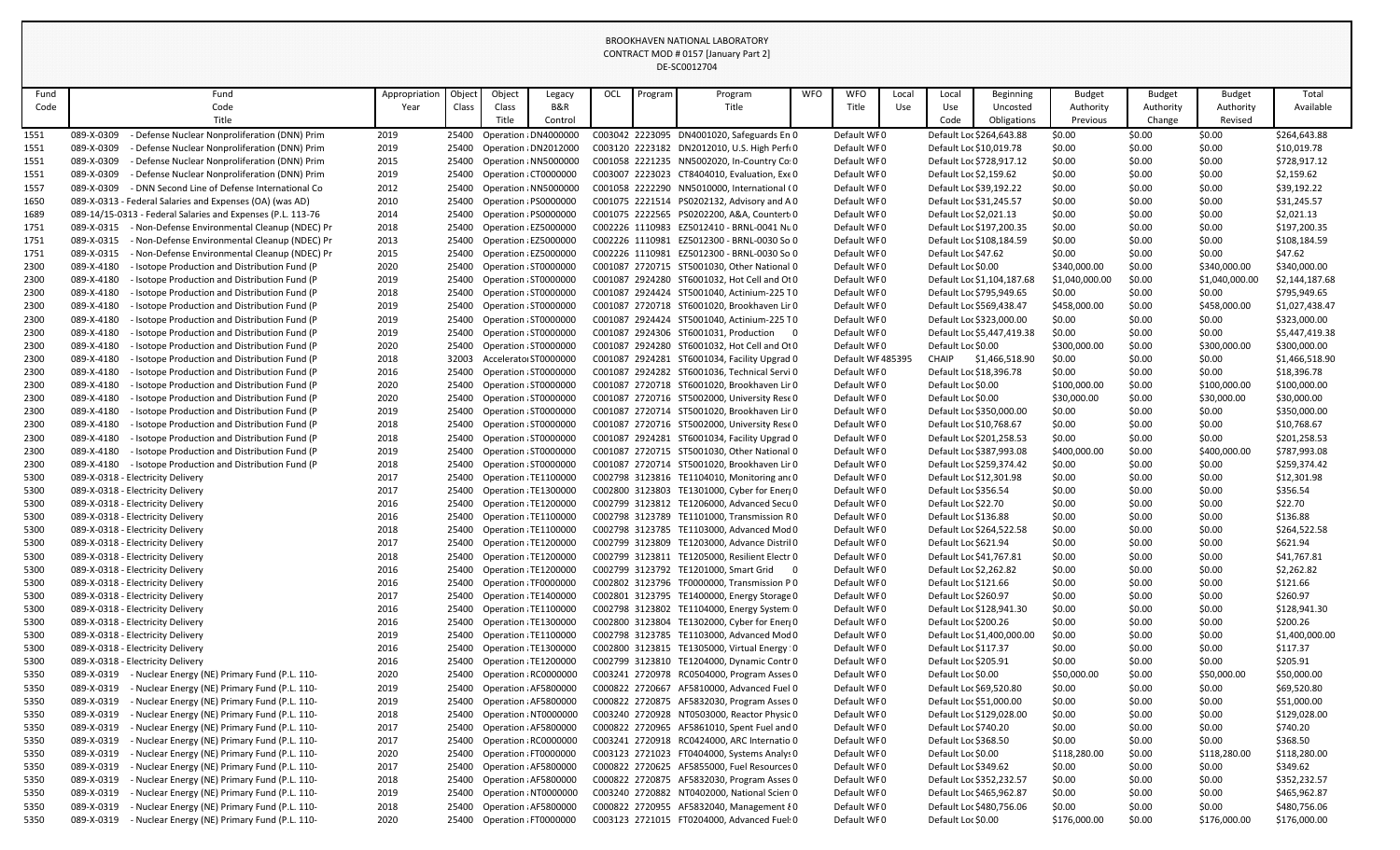| Fund         | Fund                                                                   | Appropriation | Object | Object                                                   | Legacy                | OCL | Program | Program                                                                                    | WFO | <b>WFO</b>                 | Local | Local                                           | <b>Beginning</b>           | <b>Budget</b>    | <b>Budget</b>    | <b>Budget</b>    | Total                   |
|--------------|------------------------------------------------------------------------|---------------|--------|----------------------------------------------------------|-----------------------|-----|---------|--------------------------------------------------------------------------------------------|-----|----------------------------|-------|-------------------------------------------------|----------------------------|------------------|------------------|------------------|-------------------------|
| Code         | Code                                                                   | Year          | Class  | Class                                                    | <b>B&amp;R</b>        |     |         | Title                                                                                      |     | Title                      | Use   | Use                                             | Uncosted                   | Authority        | Authority        | Authority        | Available               |
|              | Title                                                                  |               |        | Title                                                    | Control               |     |         |                                                                                            |     |                            |       | Code                                            | Obligations                | Previous         | Change           | Revised          |                         |
| 1551         | Defense Nuclear Nonproliferation (DNN) Prim<br>089-X-0309              | 2019          |        | 25400 Operation : DN4000000                              |                       |     |         | C003042 2223095 DN4001020, Safeguards En 0                                                 |     | Default WF0                |       |                                                 | Default Loc \$264,643.88   | \$0.00           | \$0.00           | \$0.00           | \$264,643.88            |
| 1551         | 089-X-0309<br>Defense Nuclear Nonproliferation (DNN) Prim              | 2019          | 25400  |                                                          | Operation : DN2012000 |     |         | C003120 2223182 DN2012010, U.S. High Perf(0                                                |     | Default WF0                |       | Default Loc \$10,019.78                         |                            | \$0.00           | \$0.00           | \$0.00           | \$10,019.78             |
| 1551         | 089-X-0309<br>Defense Nuclear Nonproliferation (DNN) Prim              | 2015          | 25400  |                                                          | Operation : NN5000000 |     |         | C001058 2221235 NN5002020, In-Country Co: 0                                                |     | Default WF0                |       |                                                 | Default Loc \$728,917.12   | \$0.00           | \$0.00           | \$0.00           | \$728,917.12            |
| 1551         | Defense Nuclear Nonproliferation (DNN) Prim<br>089-X-0309              | 2019          | 25400  | Operation : CT0000000                                    |                       |     |         | C003007 2223023 CT8404010, Evaluation, Exe 0                                               |     | Default WF0                |       | Default Loc \$2,159.62                          |                            | \$0.00           | \$0.00           | \$0.00           | \$2,159.62              |
| 1557         | 089-X-0309<br>- DNN Second Line of Defense International Co            | 2012          | 25400  |                                                          | Operation : NN5000000 |     |         | C001058 2222290 NN5010000, International (0                                                |     | Default WF0                |       | Default Loc \$39,192.22                         |                            | \$0.00           | \$0.00           | \$0.00           | \$39,192.22             |
| 1650         | 089-X-0313 - Federal Salaries and Expenses (OA) (was AD)               | 2010          | 25400  | Operation : PS0000000                                    |                       |     |         | C001075 2221514 PS0202132, Advisory and A0                                                 |     | Default WF0                |       | Default Loc \$31,245.57                         |                            | \$0.00           | \$0.00           | \$0.00           | \$31,245.57             |
| 1689         | 089-14/15-0313 - Federal Salaries and Expenses (P.L. 113-76            | 2014          | 25400  | Operation : PS0000000                                    |                       |     |         | C001075 2222565 PS0202200, A&A, Countert 0                                                 |     | Default WF0                |       | Default Loc \$2,021.13                          |                            | \$0.00           | \$0.00           | \$0.00           | \$2,021.13              |
| 1751         | Non-Defense Environmental Cleanup (NDEC) Pr<br>089-X-0315              | 2018          | 25400  | Operation ¿EZ5000000                                     |                       |     |         | C002226 1110983 EZ5012410 - BRNL-0041 Nu0                                                  |     | Default WF0                |       |                                                 | Default Loc \$197,200.35   | \$0.00           | \$0.00           | \$0.00           | \$197,200.35            |
| 1751         | 089-X-0315<br>Non-Defense Environmental Cleanup (NDEC) Pr              | 2013          | 25400  | Operation : EZ5000000                                    |                       |     |         | C002226 1110981 EZ5012300 - BRNL-0030 So 0                                                 |     | Default WF0                |       |                                                 | Default Loc \$108,184.59   | \$0.00           | \$0.00           | \$0.00           | \$108,184.59            |
| 1751         | Non-Defense Environmental Cleanup (NDEC) Pr<br>089-X-0315              | 2015          | 25400  | Operation : EZ5000000                                    |                       |     |         | C002226 1110981 EZ5012300 - BRNL-0030 So 0                                                 |     | Default WF0                |       | Default Loc \$47.62                             |                            | \$0.00           | \$0.00           | \$0.00           | \$47.62                 |
| 2300         | 089-X-4180<br>Isotope Production and Distribution Fund (P              | 2020          |        | 25400 Operation : ST0000000                              |                       |     |         | C001087 2720715 ST5001030, Other National 0                                                |     | Default WF0                |       | Default Loc \$0.00                              |                            | \$340,000.00     | \$0.00           | \$340,000.00     | \$340,000.00            |
| 2300         | 089-X-4180<br>Isotope Production and Distribution Fund (P              | 2019          | 25400  | Operation : ST0000000                                    |                       |     |         | C001087 2924280 ST6001032, Hot Cell and Ot 0                                               |     | Default WF0                |       |                                                 | Default Loc \$1,104,187.68 | \$1,040,000.00   | \$0.00           | \$1,040,000.00   | \$2,144,187.68          |
| 2300         | 089-X-4180<br>Isotope Production and Distribution Fund (P              | 2018          | 25400  | Operation : ST0000000                                    |                       |     |         | C001087 2924424 ST5001040, Actinium-225 T0                                                 |     | Default WF0                |       |                                                 | Default Loc \$795,949.65   | \$0.00           | \$0.00           | \$0.00           | \$795,949.65            |
| 2300         | 089-X-4180<br>Isotope Production and Distribution Fund (P              | 2019          | 25400  | Operation : ST0000000                                    |                       |     |         | C001087 2720718 ST6001020, Brookhaven Lir 0                                                |     | Default WF0                |       | Default Loc \$569,438.47                        |                            | \$458,000.00     | \$0.00           | \$458,000.00     | \$1,027,438.47          |
| 2300         | 089-X-4180<br>Isotope Production and Distribution Fund (P              | 2019          | 25400  | Operation ¿ST0000000                                     |                       |     |         | C001087 2924424 ST5001040, Actinium-225 T0                                                 |     | Default WF0                |       |                                                 | Default Loc \$323,000.00   | \$0.00           | \$0.00           | \$0.00           | \$323,000.00            |
| 2300         | 089-X-4180<br>Isotope Production and Distribution Fund (P              | 2019          | 25400  | Operation : ST0000000                                    |                       |     |         | C001087 2924306 ST6001031, Production 0                                                    |     | Default WF0                |       |                                                 | Default Loc \$5,447,419.38 | \$0.00           | \$0.00           | \$0.00           | \$5,447,419.38          |
| 2300         | 089-X-4180<br>Isotope Production and Distribution Fund (P)             | 2020          |        | 25400 Operation : ST0000000                              |                       |     |         | C001087 2924280 ST6001032, Hot Cell and Ot 0                                               |     | Default WF0                |       | Default Loc \$0.00                              |                            | \$300,000.00     | \$0.00           | \$300,000.00     | \$300,000.00            |
| 2300         | 089-X-4180<br>Isotope Production and Distribution Fund (P              | 2018          | 32003  | Accelerator ST0000000                                    |                       |     |         | C001087 2924281 ST6001034, Facility Upgrad 0                                               |     | Default WF485395           |       | CHAIP                                           | \$1,466,518.90             | \$0.00           | \$0.00           | \$0.00           | \$1,466,518.90          |
| 2300         | 089-X-4180<br>Isotope Production and Distribution Fund (P              | 2016          | 25400  | Operation : ST0000000                                    |                       |     |         | C001087 2924282 ST6001036, Technical Servi 0                                               |     | Default WF0                |       | Default Loc \$18,396.78                         |                            | \$0.00           | \$0.00           | \$0.00           | \$18,396.78             |
| 2300         | 089-X-4180<br>Isotope Production and Distribution Fund (P)             | 2020          | 25400  | Operation : ST0000000                                    |                       |     |         | C001087 2720718 ST6001020, Brookhaven Lir 0                                                |     | Default WF0                |       | Default Loc \$0.00                              |                            | \$100,000.00     | \$0.00           | \$100,000.00     | \$100,000.00            |
| 2300         | Isotope Production and Distribution Fund (P<br>089-X-4180              | 2020          | 25400  | Operation : ST0000000                                    |                       |     |         | C001087 2720716 ST5002000, University Rese 0                                               |     | Default WF0                |       | Default Loc \$0.00                              |                            | \$30,000.00      | \$0.00           | \$30,000.00      | \$30,000.00             |
| 2300         | 089-X-4180<br>Isotope Production and Distribution Fund (P              | 2019          |        | 25400 Operation : ST0000000                              |                       |     |         | C001087 2720714 ST5001020, Brookhaven Lir 0                                                |     | Default WF0                |       |                                                 | Default Loc \$350,000.00   | \$0.00           | \$0.00           | \$0.00           | \$350,000.00            |
| 2300         | 089-X-4180<br>Isotope Production and Distribution Fund (P              | 2018          | 25400  | Operation : ST0000000                                    |                       |     |         | C001087 2720716 ST5002000, University Rese 0                                               |     | Default WF0                |       | Default Loc \$10,768.67                         |                            | \$0.00           | \$0.00           | \$0.00           | \$10,768.67             |
| 2300         | 089-X-4180<br>Isotope Production and Distribution Fund (P              | 2018          | 25400  | Operation : ST0000000                                    |                       |     |         | C001087 2924281 ST6001034, Facility Upgrad 0                                               |     | Default WF0                |       |                                                 | Default Loc \$201,258.53   | \$0.00           | \$0.00           | \$0.00           | \$201,258.53            |
| 2300         | 089-X-4180<br>Isotope Production and Distribution Fund (P)             | 2019          | 25400  | Operation : ST0000000                                    |                       |     |         | C001087 2720715 ST5001030, Other National 0                                                |     | Default WF0                |       |                                                 | Default Loc \$387,993.08   | \$400,000.00     | \$0.00           | \$400,000.00     | \$787,993.08            |
| 2300         | 089-X-4180<br>Isotope Production and Distribution Fund (P              | 2018          | 25400  | Operation : ST0000000                                    |                       |     |         | C001087 2720714 ST5001020, Brookhaven Lir 0                                                |     | Default WF0                |       |                                                 | Default Loc \$259,374.42   | \$0.00           | \$0.00           | \$0.00           | \$259,374.42            |
| 5300<br>5300 | 089-X-0318 - Electricity Delivery                                      | 2017<br>2017  |        | 25400 Operation ¿TE1100000<br>25400 Operation ¿TE1300000 |                       |     |         | C002798 3123816 TE1104010, Monitoring and 0<br>C002800 3123803 TE1301000, Cyber for Energ0 |     | Default WF0<br>Default WF0 |       | Default Loc \$12,301.98<br>Default Loc \$356.54 |                            | \$0.00<br>\$0.00 | \$0.00<br>\$0.00 | \$0.00<br>\$0.00 | \$12,301.98<br>\$356.54 |
| 5300         | 089-X-0318 - Electricity Delivery<br>089-X-0318 - Electricity Delivery | 2016          |        | 25400 Operation : TE1200000                              |                       |     |         | C002799 3123812 TE1206000, Advanced Secu0                                                  |     | Default WF0                |       | Default Loc \$22.70                             |                            | \$0.00           | \$0.00           | \$0.00           | \$22.70                 |
| 5300         | 089-X-0318 - Electricity Delivery                                      | 2016          |        | 25400 Operation : TE1100000                              |                       |     |         | C002798 3123789 TE1101000, Transmission R0                                                 |     | Default WF0                |       | Default Loc \$136.88                            |                            | \$0.00           | \$0.00           | \$0.00           | \$136.88                |
| 5300         | 089-X-0318 - Electricity Delivery                                      | 2018          |        | 25400 Operation : TE1100000                              |                       |     |         | C002798 3123785 TE1103000, Advanced Mod0                                                   |     | Default WF0                |       |                                                 | Default Loc \$264,522.58   | \$0.00           | \$0.00           | \$0.00           | \$264,522.58            |
| 5300         | 089-X-0318 - Electricity Delivery                                      | 2017          |        | 25400 Operation : TE1200000                              |                       |     |         | C002799 3123809 TE1203000, Advance Distril 0                                               |     | Default WF0                |       | Default Loc \$621.94                            |                            | \$0.00           | \$0.00           | \$0.00           | \$621.94                |
| 5300         | 089-X-0318 - Electricity Delivery                                      | 2018          | 25400  | Operation (TE1200000                                     |                       |     |         | C002799 3123811 TE1205000, Resilient Electr 0                                              |     | Default WF0                |       | Default Loc \$41,767.81                         |                            | \$0.00           | \$0.00           | \$0.00           | \$41,767.81             |
| 5300         | 089-X-0318 - Electricity Delivery                                      | 2016          |        | 25400 Operation : TE1200000                              |                       |     |         | C002799 3123792 TE1201000, Smart Grid                                                      |     | Default WF0                |       | Default Loc \$2,262.82                          |                            | \$0.00           | \$0.00           | \$0.00           | \$2,262.82              |
| 5300         | 089-X-0318 - Electricity Delivery                                      | 2016          |        | 25400 Operation : TF0000000                              |                       |     |         | C002802 3123796 TF0000000, Transmission P 0                                                |     | Default WF0                |       | Default Loc \$121.66                            |                            | \$0.00           | \$0.00           | \$0.00           | \$121.66                |
| 5300         | 089-X-0318 - Electricity Delivery                                      | 2017          |        | 25400 Operation : TE1400000                              |                       |     |         | C002801 3123795 TE1400000, Energy Storage 0                                                |     | Default WF0                |       | Default Loc \$260.97                            |                            | \$0.00           | \$0.00           | \$0.00           | \$260.97                |
| 5300         | 089-X-0318 - Electricity Delivery                                      | 2016          |        | 25400 Operation : TE1100000                              |                       |     |         | C002798 3123802 TE1104000, Energy System: 0                                                |     | Default WF0                |       |                                                 | Default Loc \$128,941.30   | \$0.00           | \$0.00           | \$0.00           | \$128,941.30            |
| 5300         | 089-X-0318 - Electricity Delivery                                      | 2016          |        | 25400 Operation : TE1300000                              |                       |     |         | C002800 3123804 TE1302000, Cyber for EnergO                                                |     | Default WF0                |       | Default Loc \$200.26                            |                            | \$0.00           | \$0.00           | \$0.00           | \$200.26                |
| 5300         | 089-X-0318 - Electricity Delivery                                      | 2019          |        | 25400 Operation : TE1100000                              |                       |     |         | C002798 3123785 TE1103000, Advanced Mod0                                                   |     | Default WF0                |       |                                                 | Default Loc \$1,400,000.00 | \$0.00           | \$0.00           | \$0.00           | \$1,400,000.00          |
| 5300         | 089-X-0318 - Electricity Delivery                                      | 2016          |        | 25400 Operation : TE1300000                              |                       |     |         | C002800 3123815 TE1305000, Virtual Energy 10                                               |     | Default WF0                |       | Default Loc \$117.37                            |                            | \$0.00           | \$0.00           | \$0.00           | \$117.37                |
| 5300         | 089-X-0318 - Electricity Delivery                                      | 2016          | 25400  | Operation (TE1200000                                     |                       |     |         | C002799 3123810 TE1204000, Dynamic Contr 0                                                 |     | Default WF0                |       | Default Loc \$205.91                            |                            | \$0.00           | \$0.00           | \$0.00           | \$205.91                |
| 5350         | 089-X-0319<br>- Nuclear Energy (NE) Primary Fund (P.L. 110-            | 2020          |        | 25400 Operation : RC0000000                              |                       |     |         | C003241 2720978 RC0504000, Program Asses 0                                                 |     | Default WF0                |       | Default Loc \$0.00                              |                            | \$50,000.00      | \$0.00           | \$50,000.00      | \$50,000.00             |
| 5350         | 089-X-0319<br>- Nuclear Energy (NE) Primary Fund (P.L. 110-            | 2019          |        | 25400 Operation : AF5800000                              |                       |     |         | C000822 2720667 AF5810000, Advanced Fuel 0                                                 |     | Default WF0                |       | Default Loc \$69,520.80                         |                            | \$0.00           | \$0.00           | \$0.00           | \$69,520.80             |
| 5350         | 089-X-0319<br>- Nuclear Energy (NE) Primary Fund (P.L. 110-            | 2019          | 25400  | Operation : AF5800000                                    |                       |     |         | C000822 2720875 AF5832030, Program Asses 0                                                 |     | Default WF0                |       | Default Loc \$51,000.00                         |                            | \$0.00           | \$0.00           | \$0.00           | \$51,000.00             |
| 5350         | 089-X-0319<br>Nuclear Energy (NE) Primary Fund (P.L. 110-              | 2018          |        | 25400 Operation : NT0000000                              |                       |     |         | C003240 2720928 NT0503000, Reactor Physic 0                                                |     | Default WF0                |       |                                                 | Default Loc \$129,028.00   | \$0.00           | \$0.00           | \$0.00           | \$129,028.00            |
| 5350         | 089-X-0319<br>Nuclear Energy (NE) Primary Fund (P.L. 110-              | 2017          |        | 25400 Operation : AF5800000                              |                       |     |         | C000822 2720965 AF5861010, Spent Fuel and 0                                                |     | Default WF0                |       | Default Loc \$740.20                            |                            | \$0.00           | \$0.00           | \$0.00           | \$740.20                |
| 5350         | 089-X-0319<br>- Nuclear Energy (NE) Primary Fund (P.L. 110-            | 2017          |        | 25400 Operation : RC0000000                              |                       |     |         | C003241 2720918 RC0424000, ARC Internatio 0                                                |     | Default WF0                |       | Default Loc \$368.50                            |                            | \$0.00           | \$0.00           | \$0.00           | \$368.50                |
| 5350         | 089-X-0319<br>Nuclear Energy (NE) Primary Fund (P.L. 110-              | 2020          |        | 25400 Operation : FT0000000                              |                       |     |         | C003123 2721023 FT0404000, Systems Analys 0                                                |     | Default WF0                |       | Default Loc \$0.00                              |                            | \$118,280.00     | \$0.00           | \$118,280.00     | \$118,280.00            |
| 5350         | 089-X-0319<br>- Nuclear Energy (NE) Primary Fund (P.L. 110-            | 2017          | 25400  | Operation : AF5800000                                    |                       |     |         | C000822 2720625 AF5855000, Fuel Resources 0                                                |     | Default WF0                |       | Default Loc \$349.62                            |                            | \$0.00           | \$0.00           | \$0.00           | \$349.62                |
| 5350         | 089-X-0319<br>Nuclear Energy (NE) Primary Fund (P.L. 110-              | 2018          | 25400  | Operation : AF5800000                                    |                       |     |         | C000822 2720875 AF5832030, Program Asses 0                                                 |     | Default WF0                |       | Default Loc \$352,232.57                        |                            | \$0.00           | \$0.00           | \$0.00           | \$352,232.57            |
| 5350         | 089-X-0319<br>Nuclear Energy (NE) Primary Fund (P.L. 110-              | 2019          | 25400  | Operation : NT0000000                                    |                       |     |         | C003240 2720882 NT0402000, National Scient0                                                |     | Default WF0                |       | Default Loc \$465,962.87                        |                            | \$0.00           | \$0.00           | \$0.00           | \$465,962.87            |
| 5350         | 089-X-0319<br>- Nuclear Energy (NE) Primary Fund (P.L. 110-            | 2018          | 25400  | Operation : AF5800000                                    |                       |     |         | C000822 2720955 AF5832040, Management {0                                                   |     | Default WF0                |       |                                                 | Default Loc \$480,756.06   | \$0.00           | \$0.00           | \$0.00           | \$480,756.06            |
| 5350         | 089-X-0319<br>- Nuclear Energy (NE) Primary Fund (P.L. 110-            | 2020          |        | 25400 Operation : FT0000000                              |                       |     |         | C003123 2721015 FT0204000, Advanced Fuel: 0                                                |     | Default WF0                |       | Default Loc \$0.00                              |                            | \$176,000.00     | \$0.00           | \$176,000.00     | \$176,000.00            |
|              |                                                                        |               |        |                                                          |                       |     |         |                                                                                            |     |                            |       |                                                 |                            |                  |                  |                  |                         |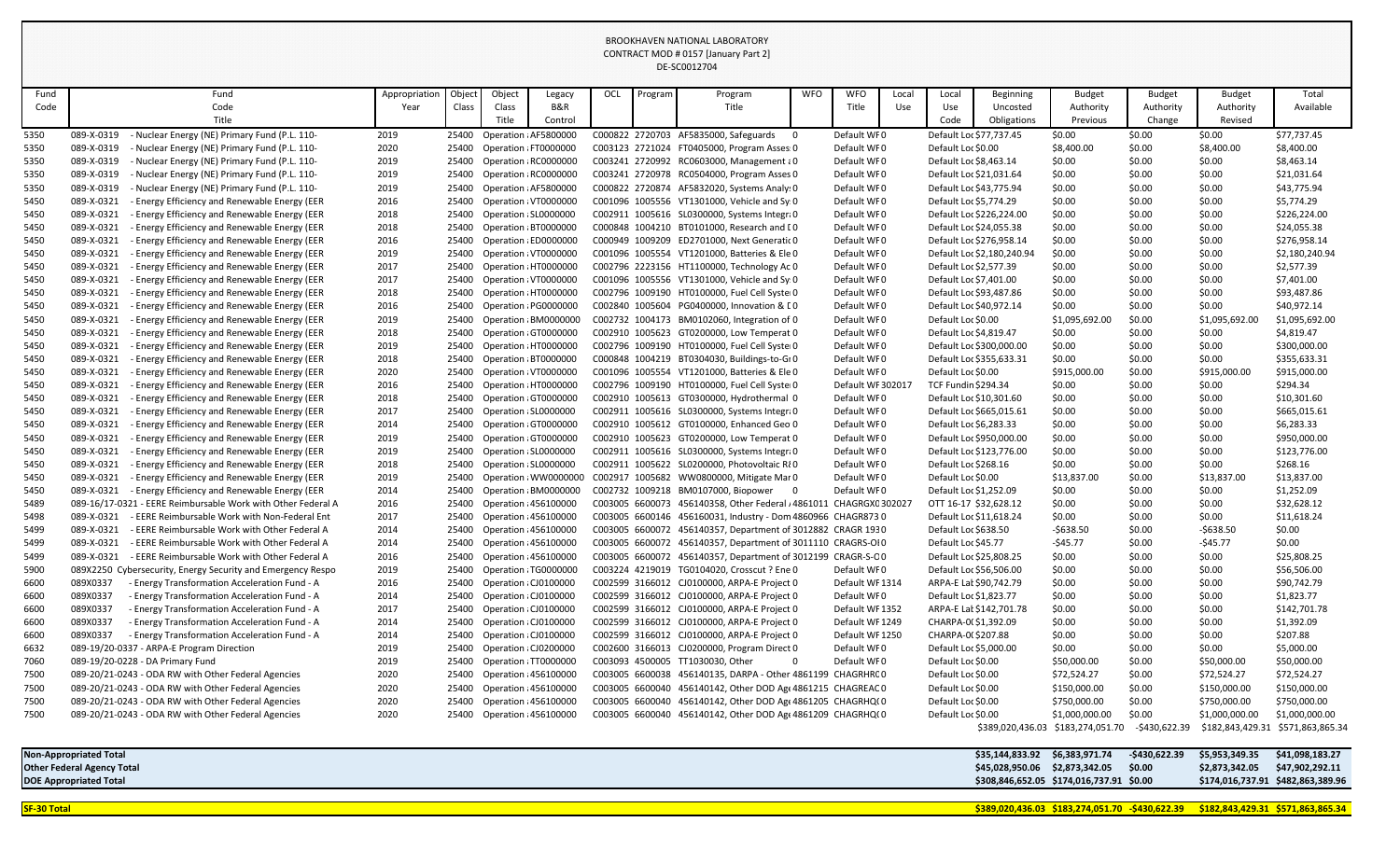| Fund         | Fund                                                                                                                            | Appropriation | Object         | Object                                         | Legacy                     | OCL | Program | Program                                                                                                                   | <b>WFO</b> | <b>WFO</b>                 | Local | Local                                              | <b>Beginning</b>               | <b>Budget</b>                                       | <b>Budget</b>           | Budget                                              | Total                         |
|--------------|---------------------------------------------------------------------------------------------------------------------------------|---------------|----------------|------------------------------------------------|----------------------------|-----|---------|---------------------------------------------------------------------------------------------------------------------------|------------|----------------------------|-------|----------------------------------------------------|--------------------------------|-----------------------------------------------------|-------------------------|-----------------------------------------------------|-------------------------------|
| Code         | Code                                                                                                                            | Year          | Class          | Class                                          | B&R                        |     |         | Title                                                                                                                     |            | Title                      | Use   | Use                                                | Uncosted                       | Authority                                           | Authority               | Authority                                           | Available                     |
|              | Title                                                                                                                           |               |                | Title                                          | Control                    |     |         |                                                                                                                           |            |                            |       | Code                                               | Obligations                    | Previous                                            | Change                  | Revised                                             |                               |
| 5350         | - Nuclear Energy (NE) Primary Fund (P.L. 110-<br>089-X-0319                                                                     | 2019          | 25400          | Operation : AF5800000                          |                            |     |         | C000822 2720703 AF5835000, Safeguards                                                                                     |            | Default WF0                |       | Default Loc \$77,737.45                            |                                | \$0.00                                              | \$0.00                  | \$0.00                                              | \$77,737.45                   |
| 5350         | 089-X-0319<br>- Nuclear Energy (NE) Primary Fund (P.L. 110-                                                                     | 2020          | 25400          | Operation : FT0000000                          |                            |     |         | C003123 2721024 FT0405000, Program Asses: 0                                                                               |            | Default WF0                |       | Default Loc \$0.00                                 |                                | \$8,400.00                                          | \$0.00                  | \$8,400.00                                          | \$8,400.00                    |
| 5350         | 089-X-0319<br>Nuclear Energy (NE) Primary Fund (P.L. 110-                                                                       | 2019          | 25400          | Operation : RC0000000                          |                            |     |         | C003241 2720992 RC0603000, Management a0                                                                                  |            | Default WF0                |       | Default Loc \$8,463.14                             |                                | \$0.00                                              | \$0.00                  | \$0.00                                              | \$8,463.14                    |
| 5350         | 089-X-0319<br>Nuclear Energy (NE) Primary Fund (P.L. 110-                                                                       | 2019          | 25400          | Operation : RC0000000                          |                            |     |         | C003241 2720978 RC0504000, Program Asses 0                                                                                |            | Default WFO                |       | Default Loc \$21,031.64                            |                                | \$0.00                                              | \$0.00                  | \$0.00                                              | \$21,031.64                   |
| 5350         | 089-X-0319<br>Nuclear Energy (NE) Primary Fund (P.L. 110-                                                                       | 2019          | 25400          | Operation : AF5800000                          |                            |     |         | C000822 2720874 AF5832020, Systems Analy: 0                                                                               |            | Default WF0                |       | Default Loc \$43,775.94                            |                                | \$0.00                                              | \$0.00                  | \$0.00                                              | \$43,775.94                   |
| 5450         | 089-X-0321<br>- Energy Efficiency and Renewable Energy (EER                                                                     | 2016          | 25400          | Operation : VT0000000                          |                            |     |         | C001096 1005556 VT1301000, Vehicle and Sy 0                                                                               |            | Default WF0                |       | Default Loc \$5,774.29                             |                                | \$0.00                                              | \$0.00                  | \$0.00                                              | \$5,774.29                    |
| 5450         | 089-X-0321<br>- Energy Efficiency and Renewable Energy (EER                                                                     | 2018          | 25400          | Operation ¿SL0000000                           |                            |     |         | C002911 1005616 SL0300000, Systems Integra0                                                                               |            | Default WF0                |       | Default Loc \$226,224.00                           |                                | \$0.00                                              | \$0.00                  | \$0.00                                              | \$226,224.00                  |
| 5450         | 089-X-0321<br>- Energy Efficiency and Renewable Energy (EER                                                                     | 2018          | 25400          | Operation : BT0000000                          |                            |     |         | C000848 1004210 BT0101000, Research and IO                                                                                |            | Default WF0                |       | Default Loc \$24,055.38                            |                                | \$0.00                                              | \$0.00                  | \$0.00                                              | \$24,055.38                   |
| 5450         | 089-X-0321<br>- Energy Efficiency and Renewable Energy (EER                                                                     | 2016          | 25400          | Operation : ED0000000                          |                            |     |         | C000949 1009209 ED2701000, Next Generatic 0                                                                               |            | Default WFO                |       | Default Loc \$276,958.14                           |                                | \$0.00                                              | \$0.00                  | \$0.00                                              | \$276,958.14                  |
| 5450         | 089-X-0321<br>- Energy Efficiency and Renewable Energy (EER                                                                     | 2019          | 25400          | Operation : VT0000000                          |                            |     |         | C001096 1005554 VT1201000, Batteries & Ele 0                                                                              |            | Default WF0                |       |                                                    | Default Loc \$2,180,240.94     | \$0.00                                              | \$0.00                  | \$0.00                                              | \$2,180,240.94                |
| 5450         | 089-X-0321<br>- Energy Efficiency and Renewable Energy (EER                                                                     | 2017          | 25400          | Operation : HT0000000                          |                            |     |         | C002796 2223156 HT1100000, Technology Ac 0                                                                                |            | Default WF0                |       | Default Loc \$2,577.39                             |                                | \$0.00                                              | \$0.00                  | \$0.00                                              | \$2,577.39                    |
| 5450         | 089-X-0321<br><b>Energy Efficiency and Renewable Energy (EER</b>                                                                | 2017          | 25400          | Operation : VT0000000<br>Operation : HT0000000 |                            |     |         | C001096 1005556 VT1301000, Vehicle and Sy 0                                                                               |            | Default WF0                |       | Default Loc \$7,401.00                             |                                | \$0.00                                              | \$0.00                  | \$0.00                                              | \$7,401.00                    |
| 5450         | 089-X-0321<br>- Energy Efficiency and Renewable Energy (EER<br>089-X-0321<br><b>Energy Efficiency and Renewable Energy (EER</b> | 2018          | 25400          | Operation : PG0000000                          |                            |     |         | C002796 1009190 HT0100000, Fuel Cell Syster0<br>C002840 1005604 PG0400000, Innovation & LO                                |            | Default WF0<br>Default WF0 |       | Default Loc \$93,487.86<br>Default Loc \$40,972.14 |                                | \$0.00<br>\$0.00                                    | \$0.00                  | \$0.00<br>\$0.00                                    | \$93,487.86                   |
| 5450         | - Energy Efficiency and Renewable Energy (EER<br>089-X-0321                                                                     | 2016          | 25400<br>25400 |                                                | Operation : BM0000000      |     |         | C002732 1004173 BM0102060, Integration of 0                                                                               |            | Default WF0                |       | Default Loc \$0.00                                 |                                | \$1,095,692.00                                      | \$0.00<br>\$0.00        | \$1,095,692.00                                      | \$40,972.14<br>\$1,095,692.00 |
| 5450<br>5450 | 089-X-0321<br>- Energy Efficiency and Renewable Energy (EER                                                                     | 2019<br>2018  | 25400          | Operation (GT0000000                           |                            |     |         | C002910 1005623 GT0200000, Low Temperat 0                                                                                 |            | Default WF0                |       | Default Loc \$4,819.47                             |                                | \$0.00                                              | \$0.00                  | \$0.00                                              | \$4,819.47                    |
| 5450         | 089-X-0321<br>- Energy Efficiency and Renewable Energy (EER                                                                     | 2019          | 25400          | Operation : HT0000000                          |                            |     |         | C002796 1009190 HT0100000, Fuel Cell Syster0                                                                              |            | Default WF0                |       | Default Loc \$300,000.00                           |                                | \$0.00                                              | \$0.00                  | \$0.00                                              | \$300,000.00                  |
| 5450         | 089-X-0321<br>- Energy Efficiency and Renewable Energy (EER                                                                     | 2018          | 25400          | Operation : BT0000000                          |                            |     |         | C000848 1004219 BT0304030, Buildings-to-Gr 0                                                                              |            | Default WF0                |       | Default Loc \$355,633.31                           |                                | \$0.00                                              | \$0.00                  | \$0.00                                              | \$355,633.31                  |
| 5450         | 089-X-0321<br>- Energy Efficiency and Renewable Energy (EER                                                                     | 2020          | 25400          | Operation : VT0000000                          |                            |     |         | C001096 1005554 VT1201000, Batteries & Ele 0                                                                              |            | Default WF0                |       | Default Loc \$0.00                                 |                                | \$915,000.00                                        | \$0.00                  | \$915,000.00                                        | \$915,000.00                  |
| 5450         | 089-X-0321<br>- Energy Efficiency and Renewable Energy (EER                                                                     | 2016          | 25400          | Operation : HT0000000                          |                            |     |         | C002796 1009190 HT0100000, Fuel Cell Syster0                                                                              |            | Default WF 302017          |       | <b>TCF Fundin \$294.34</b>                         |                                | \$0.00                                              | \$0.00                  | \$0.00                                              | \$294.34                      |
| 5450         | 089-X-0321<br>- Energy Efficiency and Renewable Energy (EER                                                                     | 2018          | 25400          | Operation GT0000000                            |                            |     |         | C002910 1005613 GT0300000, Hydrothermal 0                                                                                 |            | Default WF0                |       | Default Loc \$10,301.60                            |                                | \$0.00                                              | \$0.00                  | \$0.00                                              | \$10,301.60                   |
| 5450         | 089-X-0321<br>- Energy Efficiency and Renewable Energy (EER                                                                     | 2017          | 25400          | Operation ¿SL0000000                           |                            |     |         | C002911 1005616 SL0300000, Systems Integra0                                                                               |            | Default WF0                |       | Default Loc \$665,015.61                           |                                | \$0.00                                              | \$0.00                  | \$0.00                                              | \$665,015.61                  |
| 5450         | 089-X-0321<br>- Energy Efficiency and Renewable Energy (EER                                                                     | 2014          | 25400          | Operation GT0000000                            |                            |     |         | C002910 1005612 GT0100000, Enhanced Geo 0                                                                                 |            | Default WF0                |       | Default Loc \$6,283.33                             |                                | \$0.00                                              | \$0.00                  | \$0.00                                              | \$6,283.33                    |
| 5450         | 089-X-0321<br>- Energy Efficiency and Renewable Energy (EER                                                                     | 2019          | 25400          | Operation : GT000000C                          |                            |     |         | C002910 1005623 GT0200000, Low Temperat 0                                                                                 |            | Default WF0                |       | Default Loc \$950,000.00                           |                                | \$0.00                                              | \$0.00                  | \$0.00                                              | \$950,000.00                  |
| 5450         | 089-X-0321<br>- Energy Efficiency and Renewable Energy (EER                                                                     | 2019          | 25400          | Operation ¿SL0000000                           |                            |     |         | C002911 1005616 SL0300000, Systems Integra0                                                                               |            | Default WFO                |       | Default Loc \$123,776.00                           |                                | \$0.00                                              | \$0.00                  | \$0.00                                              | \$123,776.00                  |
| 5450         | - Energy Efficiency and Renewable Energy (EER<br>089-X-0321                                                                     | 2018          | 25400          | Operation ¿SL0000000                           |                            |     |         | C002911 1005622 SL0200000, Photovoltaic R{0                                                                               |            | Default WFO                |       | Default Loc \$268.16                               |                                | \$0.00                                              | \$0.00                  | \$0.00                                              | \$268.16                      |
| 5450         | 089-X-0321<br>- Energy Efficiency and Renewable Energy (EER                                                                     | 2019          | 25400          |                                                |                            |     |         | Operation : WW0000000 C002917 1005682 WW0800000, Mitigate Mar 0                                                           |            | Default WFO                |       | Default Loc \$0.00                                 |                                | \$13,837.00                                         | \$0.00                  | \$13,837.00                                         | \$13,837.00                   |
| 5450         | 089-X-0321 - Energy Efficiency and Renewable Energy (EER                                                                        | 2014          |                |                                                | 25400 Operation ¿BM0000000 |     |         | C002732 1009218 BM0107000, Biopower                                                                                       |            | Default WF0                |       | Default Loc \$1,252.09                             |                                | \$0.00                                              | \$0.00                  | \$0.00                                              | \$1,252.09                    |
| 5489         | 089-16/17-0321 - EERE Reimbursable Work with Other Federal A                                                                    | 2016          |                | 25400 Operation : 456100000                    |                            |     |         | C003005 6600073 456140358, Other Federal / 4861011 CHAGRGXC 302027                                                        |            |                            |       | OTT 16-17 \$32,628.12                              |                                | \$0.00                                              | \$0.00                  | \$0.00                                              | \$32,628.12                   |
| 5498         | - EERE Reimbursable Work with Non-Federal Ent<br>089-X-0321                                                                     | 2017          |                | 25400 Operation : 456100000                    |                            |     |         | C003005 6600146 456160031, Industry - Dom 4860966 CHAGR8730                                                               |            |                            |       | Default Loc \$11,618.24                            |                                | \$0.00                                              | \$0.00                  | \$0.00                                              | \$11,618.24                   |
| 5499         | - EERE Reimbursable Work with Other Federal A<br>089-X-0321                                                                     | 2014          |                | 25400 Operation : 456100000                    |                            |     |         | C003005 6600072 456140357, Department of 3012882 CRAGR 1930                                                               |            |                            |       | Default Loc \$638.50                               |                                | $-5638.50$                                          | \$0.00                  | -\$638.50                                           | \$0.00                        |
| 5499         | 089-X-0321<br>- EERE Reimbursable Work with Other Federal A                                                                     | 2014          |                | 25400 Operation : 456100000                    |                            |     |         | C003005 6600072 456140357, Department of 3011110 CRAGRS-OI0                                                               |            |                            |       | Default Loc \$45.77                                |                                | $-545.77$                                           | \$0.00                  | $-545.77$                                           | \$0.00                        |
| 5499         | - EERE Reimbursable Work with Other Federal A<br>089-X-0321                                                                     | 2016          | 25400          | Operation : 456100000                          |                            |     |         | C003005 6600072 456140357, Department of 3012199 CRAGR-S-CO                                                               |            |                            |       | Default Loc \$25,808.25                            |                                | \$0.00                                              | \$0.00                  | \$0.00                                              | \$25,808.25                   |
| 5900         | 089X2250 Cybersecurity, Energy Security and Emergency Respo                                                                     | 2019          |                | 25400 Operation : TG0000000                    |                            |     |         | C003224 4219019 TG0104020, Crosscut ? Ene 0                                                                               |            | Default WF0                |       | Default Loc \$56,506.00                            |                                | \$0.00                                              | \$0.00                  | \$0.00                                              | \$56,506.00                   |
| 6600         | 089X0337<br>- Energy Transformation Acceleration Fund - A                                                                       | 2016          | 25400          | Operation : CJ0100000                          |                            |     |         | C002599 3166012 CJ0100000, ARPA-E Project 0                                                                               |            | Default WF 1314            |       | ARPA-E Lat \$90,742.79                             |                                | \$0.00                                              | \$0.00                  | \$0.00                                              | \$90,742.79                   |
| 6600         | 089X0337<br>- Energy Transformation Acceleration Fund - A                                                                       | 2014          |                | 25400 Operation ¿CJ0100000                     |                            |     |         | C002599 3166012 CJ0100000, ARPA-E Project 0                                                                               |            | Default WF0                |       | Default Loc \$1,823.77                             |                                | \$0.00                                              | \$0.00                  | \$0.00                                              | \$1,823.77                    |
| 6600         | 089X0337<br>- Energy Transformation Acceleration Fund - A                                                                       | 2017          |                | 25400 Operation ¿CJ0100000                     |                            |     |         | C002599 3166012 CJ0100000, ARPA-E Project 0                                                                               |            | Default WF 1352            |       |                                                    | ARPA-E Lat \$142,701.78        | \$0.00                                              | \$0.00                  | \$0.00                                              | \$142,701.78                  |
| 6600         | 089X0337<br>- Energy Transformation Acceleration Fund - A                                                                       | 2014          | 25400          | Operation : CJ0100000                          |                            |     |         | C002599 3166012 CJ0100000, ARPA-E Project 0                                                                               |            | Default WF 1249            |       | CHARPA-0(\$1,392.09                                |                                | \$0.00                                              | \$0.00                  | \$0.00                                              | \$1,392.09                    |
| 6600         | 089X0337<br>- Energy Transformation Acceleration Fund - A                                                                       | 2014          |                | 25400 Operation ¿CJ0100000                     |                            |     |         | C002599 3166012 CJ0100000, ARPA-E Project 0                                                                               |            | Default WF 1250            |       | CHARPA-0(\$207.88                                  |                                | \$0.00                                              | \$0.00                  | \$0.00                                              | \$207.88                      |
| 6632         | 089-19/20-0337 - ARPA-E Program Direction                                                                                       | 2019          |                | 25400 Operation ¿CJ0200000                     |                            |     |         | C002600 3166013 CJ0200000, Program Direct 0                                                                               |            | Default WF0                |       | Default Loc \$5,000.00                             |                                | \$0.00                                              | \$0.00                  | \$0.00                                              | \$5,000.00                    |
| 7060         | 089-19/20-0228 - DA Primary Fund                                                                                                | 2019          |                | 25400 Operation : TT0000000                    |                            |     |         | C003093 4500005 TT1030030, Other                                                                                          | $\Omega$   | Default WF0                |       | Default Loc \$0.00                                 |                                | \$50,000.00                                         | \$0.00                  | \$50,000.00                                         | \$50,000.00                   |
| 7500         | 089-20/21-0243 - ODA RW with Other Federal Agencies                                                                             | 2020          |                | 25400 Operation : 456100000                    |                            |     |         | C003005 6600038 456140135, DARPA - Other 4861199 CHAGRHRCO<br>C003005 6600040 456140142, Other DOD Age 4861215 CHAGREAC 0 |            |                            |       | Default Loc \$0.00                                 |                                | \$72,524.27                                         | \$0.00                  | \$72,524.27                                         | \$72,524.27                   |
| 7500         | 089-20/21-0243 - ODA RW with Other Federal Agencies                                                                             | 2020          |                | 25400 Operation : 456100000                    |                            |     |         |                                                                                                                           |            |                            |       | Default Loc \$0.00                                 |                                | \$150,000.00                                        | \$0.00                  | \$150,000.00                                        | \$150,000.00                  |
| 7500         | 089-20/21-0243 - ODA RW with Other Federal Agencies                                                                             | 2020          | 25400          | <b>Operation : 456100000</b>                   |                            |     |         | C003005 6600040 456140142, Other DOD Age 4861205 CHAGRHQ(0                                                                |            |                            |       | Default Loc \$0.00                                 |                                | \$750,000.00                                        | \$0.00                  | \$750,000.00                                        | \$750,000.00                  |
| 7500         | 089-20/21-0243 - ODA RW with Other Federal Agencies                                                                             | 2020          |                | 25400 Operation : 456100000                    |                            |     |         | C003005 6600040 456140142, Other DOD Age 4861209 CHAGRHQ(0                                                                |            |                            |       | Default Loc \$0.00                                 |                                | \$1,000,000.00<br>\$389,020,436.03 \$183,274,051.70 | \$0.00<br>-\$430,622.39 | \$1,000,000.00<br>\$182,843,429.31 \$571,863,865.34 | \$1,000,000.00                |
|              |                                                                                                                                 |               |                |                                                |                            |     |         |                                                                                                                           |            |                            |       |                                                    |                                |                                                     |                         |                                                     |                               |
|              | <b>Non-Appropriated Total</b>                                                                                                   |               |                |                                                |                            |     |         |                                                                                                                           |            |                            |       |                                                    | \$35,144,833.92 \$6,383,971.74 |                                                     | -\$430,622.39           | \$5,953,349.35                                      | \$41,098,183.27               |
|              | <b>Other Federal Agency Total</b>                                                                                               |               |                |                                                |                            |     |         |                                                                                                                           |            |                            |       |                                                    | \$45,028,950.06 \$2,873,342.05 |                                                     | \$0.00                  | \$2,873,342.05                                      | \$47,902,292.11               |
|              | <b>DOE Appropriated Total</b>                                                                                                   |               |                |                                                |                            |     |         |                                                                                                                           |            |                            |       |                                                    |                                | \$308,846,652.05 \$174,016,737.91 \$0.00            |                         | \$174,016,737.91 \$482,863,389.96                   |                               |
|              |                                                                                                                                 |               |                |                                                |                            |     |         |                                                                                                                           |            |                            |       |                                                    |                                |                                                     |                         |                                                     |                               |

**SF-30 Total \$389,020,436.03 \$183,274,051.70 -\$430,622.39 \$182,843,429.31 \$571,863,865.34**